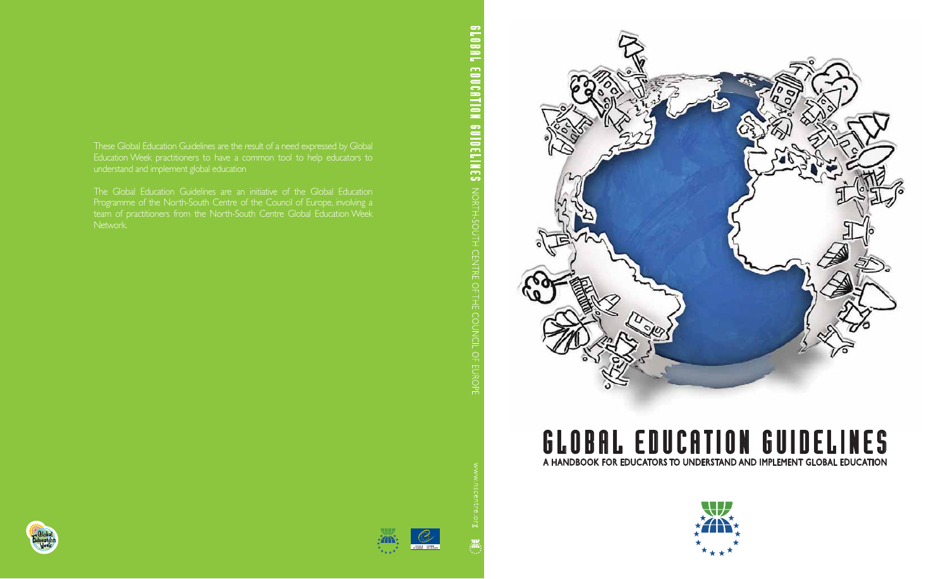These Global Education Guidelines are the result of a need expressed by Global Education Week practitioners to have a common tool to help educators to understand and implement global education

The Global Education Guidelines are an initiative of the Global Education Programme of the North-South Centre of the Council of Europe, involving a team of practitioners from the North-South Centre Global Education Week Network.

BLOBAL EDUCATION GUIDELINES MORTH-SOUTH CENTRE OF THE COUNCIL OF EUROPE



## GLOBAL EDUCATION GUIDELINES A HANDBOOK FOR EDUCATORS TO UNDERSTAND AND IMPLEMENT GLOBAL EDUCATION















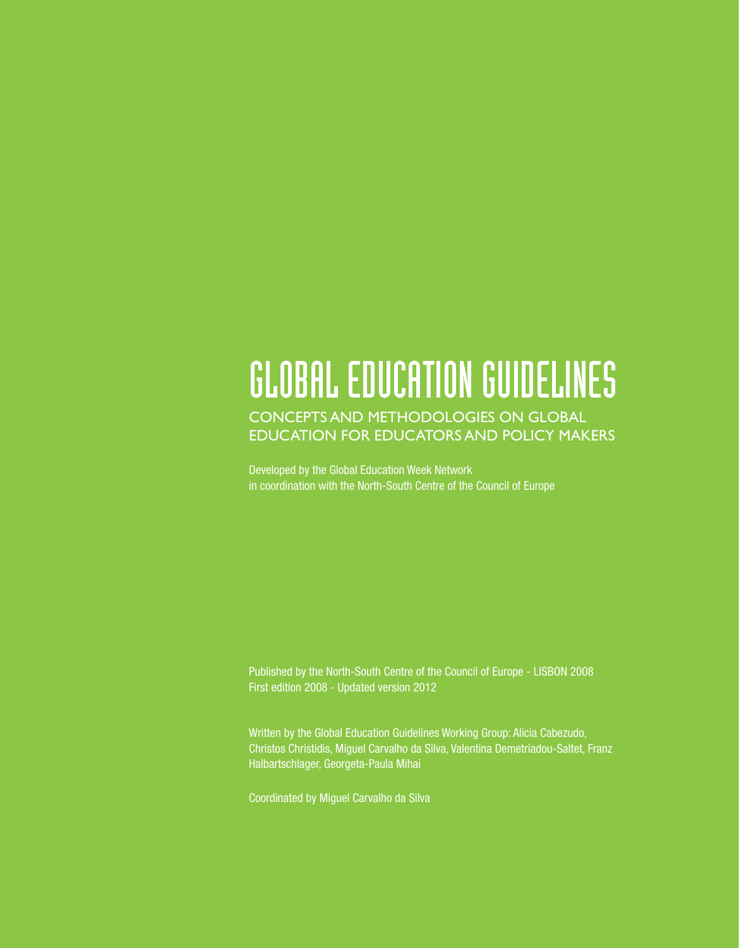## GLOBAL EDUCATION GUIDELINES

### CONCEPTS AND METHODOLOGIES ON GLOBAL EDUCATION FOR EDUCATORS AND POLICY MAKERS

Developed by the Global Education Week Network in coordination with the North-South Centre of the Council of Europe

Published by the North-South Centre of the Council of Europe - LISBON 2008 First edition 2008 - Updated version 2012

Written by the Global Education Guidelines Working Group: Alicia Cabezudo, Christos Christidis, Miguel Carvalho da Silva, Valentina Demetriadou-Saltet, Franz Halbartschlager, Georgeta-Paula Mihai

Coordinated by Miguel Carvalho da Silva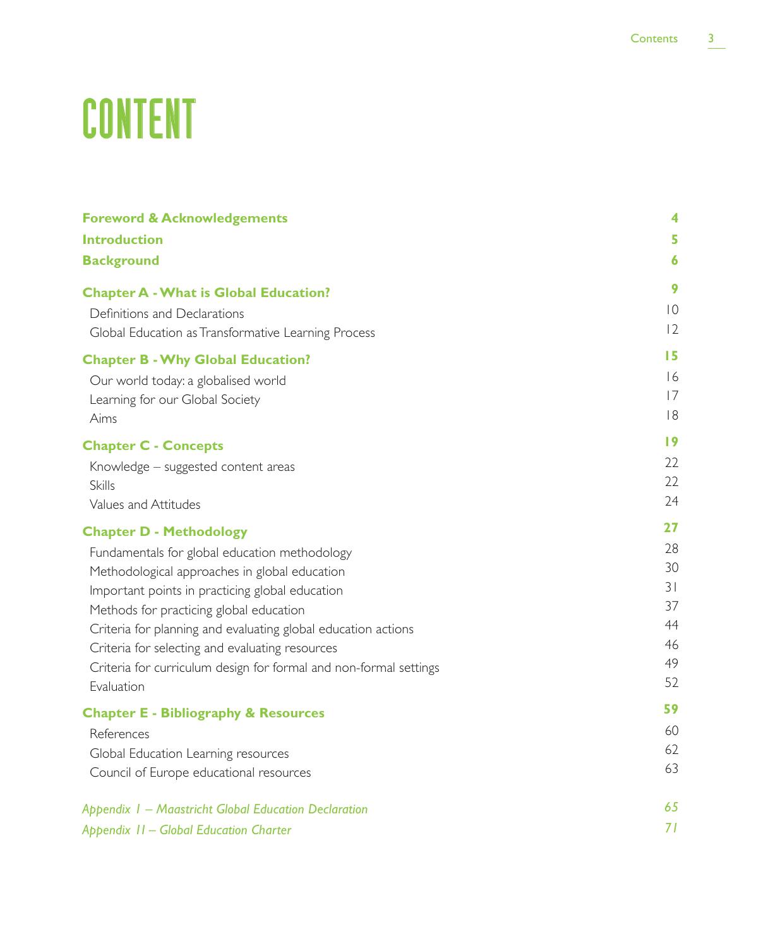# CONTENT

| <b>Foreword &amp; Acknowledgements</b>                            | 4                |
|-------------------------------------------------------------------|------------------|
| <b>Introduction</b>                                               | 5                |
| <b>Background</b>                                                 | $\boldsymbol{6}$ |
| <b>Chapter A - What is Global Education?</b>                      | 9                |
| Definitions and Declarations                                      | $ 0\rangle$      |
| Global Education as Transformative Learning Process               | 12               |
| <b>Chapter B - Why Global Education?</b>                          | 15               |
| Our world today: a globalised world                               | 16               |
| Learning for our Global Society                                   | 17               |
| Aims                                                              | 8                |
| <b>Chapter C - Concepts</b>                                       | 19               |
| Knowledge - suggested content areas                               | 22               |
| <b>Skills</b>                                                     | 22               |
| Values and Attitudes                                              | 24               |
| <b>Chapter D - Methodology</b>                                    | 27               |
| Fundamentals for global education methodology                     | 28               |
| Methodological approaches in global education                     | 30               |
| Important points in practicing global education                   | 31               |
| Methods for practicing global education                           | 37               |
| Criteria for planning and evaluating global education actions     | 44               |
| Criteria for selecting and evaluating resources                   | 46               |
| Criteria for curriculum design for formal and non-formal settings | 49               |
| Evaluation                                                        | 52               |
| <b>Chapter E - Bibliography &amp; Resources</b>                   | 59               |
| References                                                        | 60               |
| Global Education Learning resources                               | 62               |
| Council of Europe educational resources                           | 63               |
| Appendix 1 – Maastricht Global Education Declaration              | 65               |
| Appendix II - Global Education Charter                            | 71               |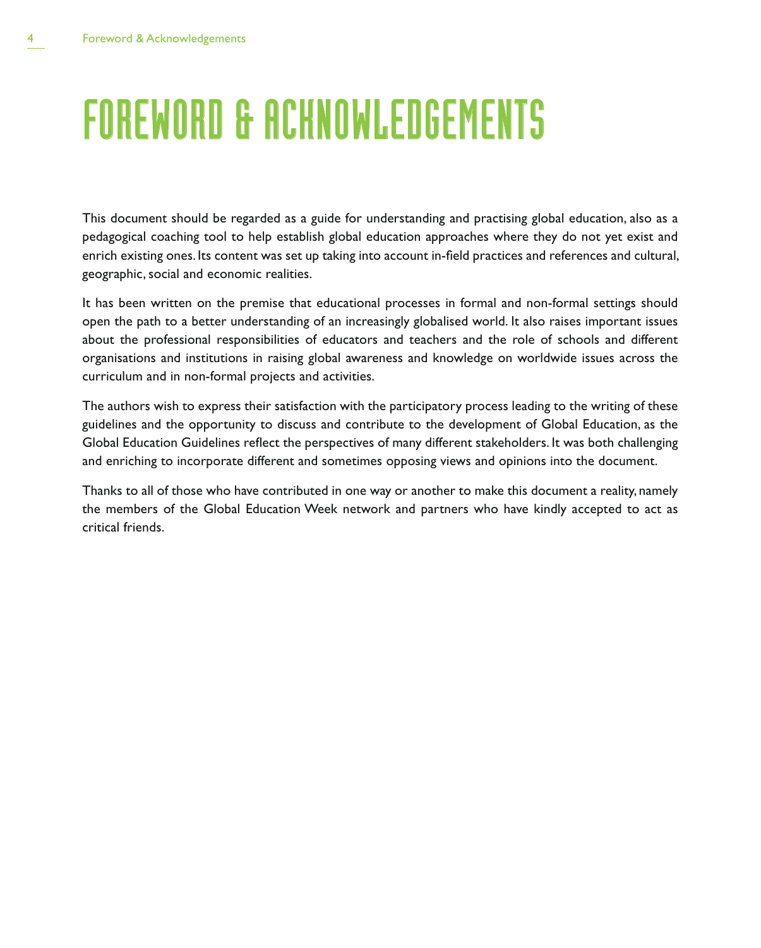## FOREWORD & ACKNOWLEDGEMENTS

This document should be regarded as a guide for understanding and practising global education, also as a pedagogical coaching tool to help establish global education approaches where they do not yet exist and enrich existing ones. Its content was set up taking into account in-field practices and references and cultural, geographic, social and economic realities.

It has been written on the premise that educational processes in formal and non-formal settings should open the path to a better understanding of an increasingly globalised world. It also raises important issues about the professional responsibilities of educators and teachers and the role of schools and different organisations and institutions in raising global awareness and knowledge on worldwide issues across the curriculum and in non-formal projects and activities.

The authors wish to express their satisfaction with the participatory process leading to the writing of these guidelines and the opportunity to discuss and contribute to the development of Global Education, as the Global Education Guidelines reflect the perspectives of many different stakeholders. It was both challenging and enriching to incorporate different and sometimes opposing views and opinions into the document.

Thanks to all of those who have contributed in one way or another to make this document a reality, namely the members of the Global Education Week network and partners who have kindly accepted to act as critical friends.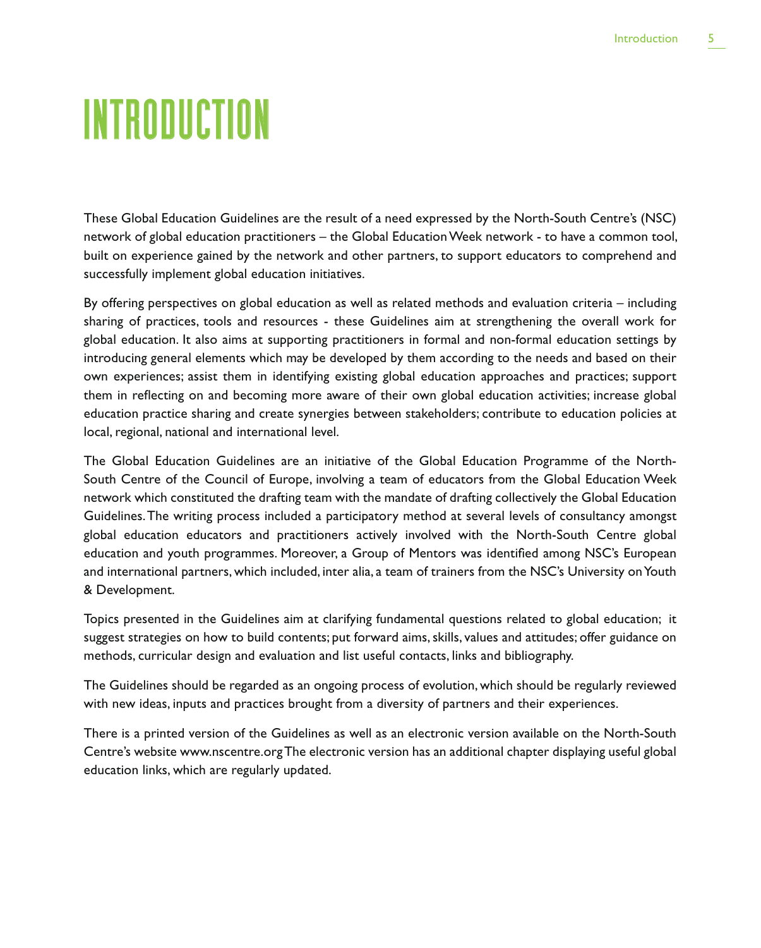## **INTRODUCTION**

These Global Education Guidelines are the result of a need expressed by the North-South Centre's (NSC) network of global education practitioners – the Global Education Week network - to have a common tool, built on experience gained by the network and other partners, to support educators to comprehend and successfully implement global education initiatives.

By offering perspectives on global education as well as related methods and evaluation criteria – including sharing of practices, tools and resources - these Guidelines aim at strengthening the overall work for global education. It also aims at supporting practitioners in formal and non-formal education settings by introducing general elements which may be developed by them according to the needs and based on their own experiences; assist them in identifying existing global education approaches and practices; support them in reflecting on and becoming more aware of their own global education activities; increase global education practice sharing and create synergies between stakeholders; contribute to education policies at local, regional, national and international level.

The Global Education Guidelines are an initiative of the Global Education Programme of the North-South Centre of the Council of Europe, involving a team of educators from the Global Education Week network which constituted the drafting team with the mandate of drafting collectively the Global Education Guidelines. The writing process included a participatory method at several levels of consultancy amongst global education educators and practitioners actively involved with the North-South Centre global education and youth programmes. Moreover, a Group of Mentors was identified among NSC's European and international partners, which included, inter alia, a team of trainers from the NSC's University on Youth & Development.

Topics presented in the Guidelines aim at clarifying fundamental questions related to global education; it suggest strategies on how to build contents; put forward aims, skills, values and attitudes; offer guidance on methods, curricular design and evaluation and list useful contacts, links and bibliography.

The Guidelines should be regarded as an ongoing process of evolution, which should be regularly reviewed with new ideas, inputs and practices brought from a diversity of partners and their experiences.

There is a printed version of the Guidelines as well as an electronic version available on the North-South Centre's website www.nscentre.org The electronic version has an additional chapter displaying useful global education links, which are regularly updated.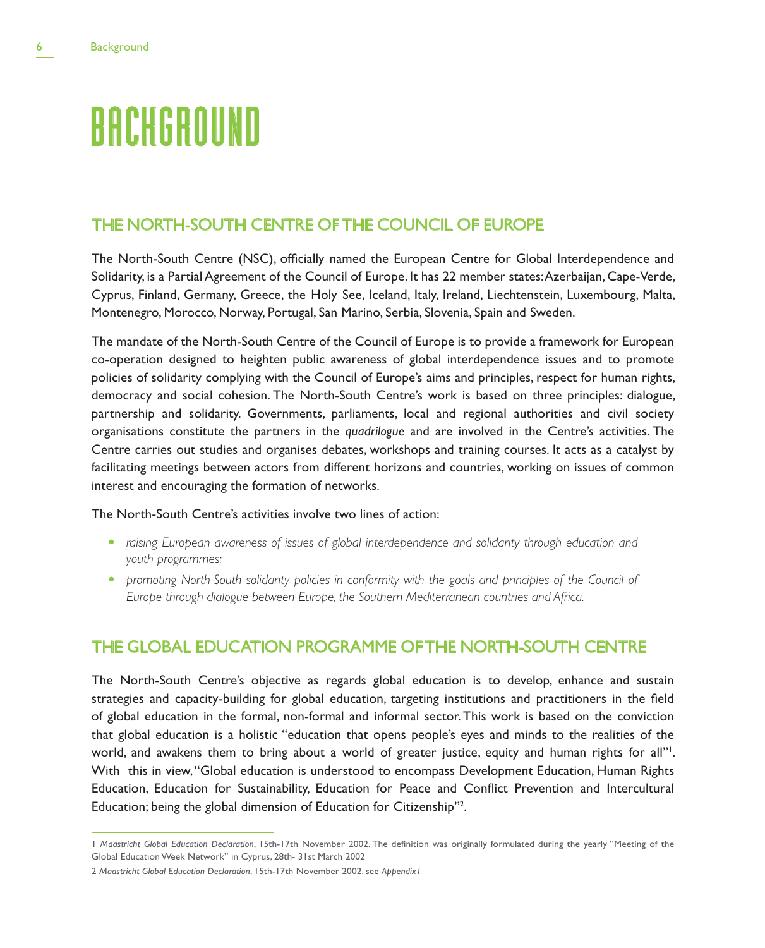## **BACKGROUND**

## THE NORTH-SOUTH CENTRE OF THE COUNCIL OF EUROPE

The North-South Centre (NSC), officially named the European Centre for Global Interdependence and Solidarity, is a Partial Agreement of the Council of Europe. It has 22 member states: Azerbaijan, Cape-Verde, Cyprus, Finland, Germany, Greece, the Holy See, Iceland, Italy, Ireland, Liechtenstein, Luxembourg, Malta, Montenegro, Morocco, Norway, Portugal, San Marino, Serbia, Slovenia, Spain and Sweden.

The mandate of the North-South Centre of the Council of Europe is to provide a framework for European co-operation designed to heighten public awareness of global interdependence issues and to promote policies of solidarity complying with the Council of Europe's aims and principles, respect for human rights, democracy and social cohesion. The North-South Centre's work is based on three principles: dialogue, partnership and solidarity. Governments, parliaments, local and regional authorities and civil society organisations constitute the partners in the *quadrilogue* and are involved in the Centre's activities. The Centre carries out studies and organises debates, workshops and training courses. It acts as a catalyst by facilitating meetings between actors from different horizons and countries, working on issues of common interest and encouraging the formation of networks.

#### The North-South Centre's activities involve two lines of action:

- raising European awareness of issues of global interdependence and solidarity through education and *youth programmes;*
- *promoting North-South solidarity policies in conformity with the goals and principles of the Council of Europe through dialogue between Europe, the Southern Mediterranean countries and Africa.*

## THE GLOBAL EDUCATION PROGRAMME OF THE NORTH-SOUTH CENTRE

The North-South Centre's objective as regards global education is to develop, enhance and sustain strategies and capacity-building for global education, targeting institutions and practitioners in the field of global education in the formal, non-formal and informal sector. This work is based on the conviction that global education is a holistic "education that opens people's eyes and minds to the realities of the world, and awakens them to bring about a world of greater justice, equity and human rights for all"<sup>1</sup>. With this in view, "Global education is understood to encompass Development Education, Human Rights Education, Education for Sustainability, Education for Peace and Conflict Prevention and Intercultural Education; being the global dimension of Education for Citizenship"2 .

<sup>1</sup> *Maastricht Global Education Declaration*, 15th-17th November 2002. The definition was originally formulated during the yearly "Meeting of the Global Education Week Network" in Cyprus, 28th- 31st March 2002

<sup>2</sup> *Maastricht Global Education Declaration*, 15th-17th November 2002, see *Appendix1*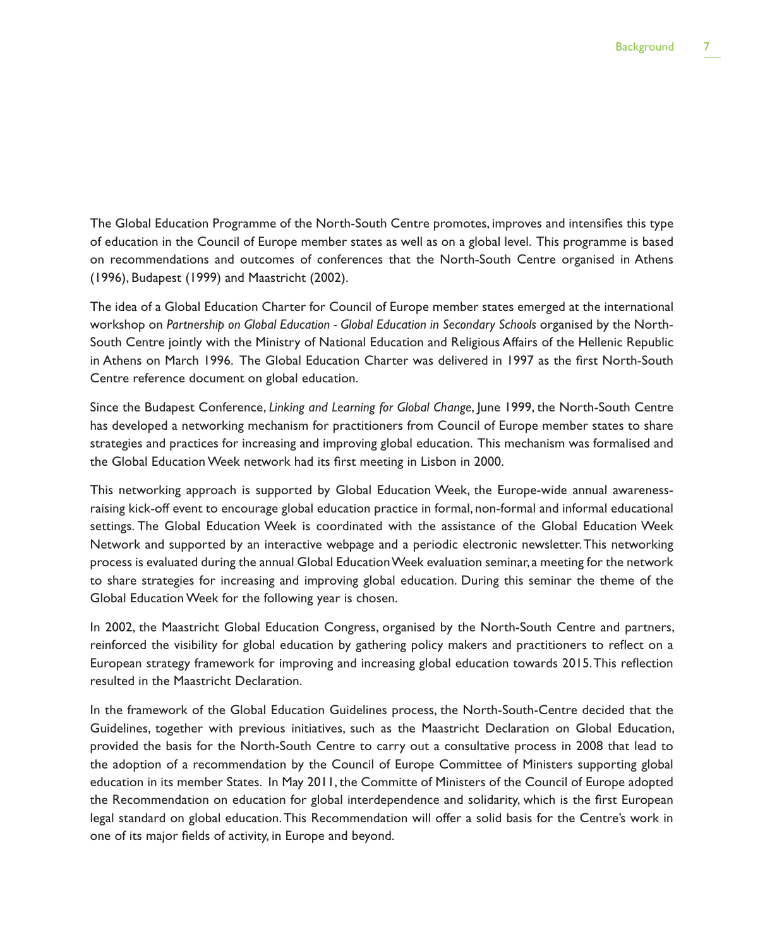The Global Education Programme of the North-South Centre promotes, improves and intensifies this type of education in the Council of Europe member states as well as on a global level. This programme is based on recommendations and outcomes of conferences that the North-South Centre organised in Athens (1996), Budapest (1999) and Maastricht (2002).

The idea of a Global Education Charter for Council of Europe member states emerged at the international workshop on *Partnership on Global Education - Global Education in Secondary Schools* organised by the North-South Centre jointly with the Ministry of National Education and Religious Affairs of the Hellenic Republic in Athens on March 1996. The Global Education Charter was delivered in 1997 as the first North-South Centre reference document on global education.

Since the Budapest Conference, *Linking and Learning for Global Change*, June 1999, the North-South Centre has developed a networking mechanism for practitioners from Council of Europe member states to share strategies and practices for increasing and improving global education. This mechanism was formalised and the Global Education Week network had its first meeting in Lisbon in 2000.

This networking approach is supported by Global Education Week, the Europe-wide annual awarenessraising kick-off event to encourage global education practice in formal, non-formal and informal educational settings. The Global Education Week is coordinated with the assistance of the Global Education Week Network and supported by an interactive webpage and a periodic electronic newsletter. This networking process is evaluated during the annual Global Education Week evaluation seminar, a meeting for the network to share strategies for increasing and improving global education. During this seminar the theme of the Global Education Week for the following year is chosen.

In 2002, the Maastricht Global Education Congress, organised by the North-South Centre and partners, reinforced the visibility for global education by gathering policy makers and practitioners to reflect on a European strategy framework for improving and increasing global education towards 2015. This reflection resulted in the Maastricht Declaration.

In the framework of the Global Education Guidelines process, the North-South-Centre decided that the Guidelines, together with previous initiatives, such as the Maastricht Declaration on Global Education, provided the basis for the North-South Centre to carry out a consultative process in 2008 that lead to the adoption of a recommendation by the Council of Europe Committee of Ministers supporting global education in its member States. In May 2011, the Committe of Ministers of the Council of Europe adopted the Recommendation on education for global interdependence and solidarity, which is the first European legal standard on global education. This Recommendation will offer a solid basis for the Centre's work in one of its major fields of activity, in Europe and beyond.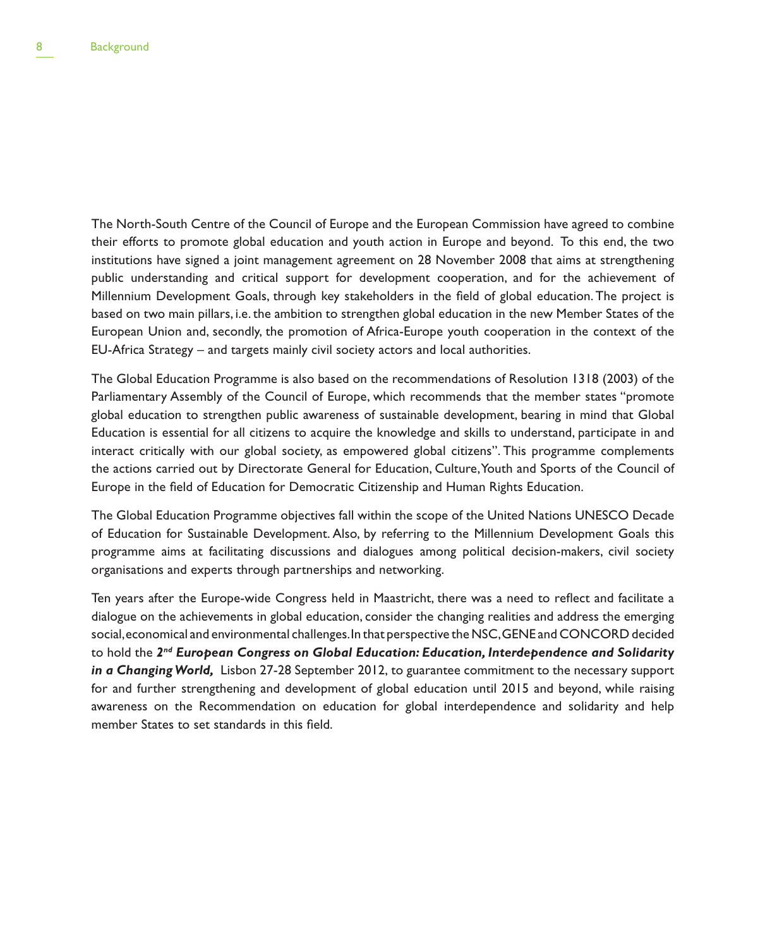The North-South Centre of the Council of Europe and the European Commission have agreed to combine their efforts to promote global education and youth action in Europe and beyond. To this end, the two institutions have signed a joint management agreement on 28 November 2008 that aims at strengthening public understanding and critical support for development cooperation, and for the achievement of Millennium Development Goals, through key stakeholders in the field of global education. The project is based on two main pillars, i.e. the ambition to strengthen global education in the new Member States of the European Union and, secondly, the promotion of Africa-Europe youth cooperation in the context of the EU-Africa Strategy – and targets mainly civil society actors and local authorities.

The Global Education Programme is also based on the recommendations of Resolution 1318 (2003) of the Parliamentary Assembly of the Council of Europe, which recommends that the member states "promote global education to strengthen public awareness of sustainable development, bearing in mind that Global Education is essential for all citizens to acquire the knowledge and skills to understand, participate in and interact critically with our global society, as empowered global citizens". This programme complements the actions carried out by Directorate General for Education, Culture, Youth and Sports of the Council of Europe in the field of Education for Democratic Citizenship and Human Rights Education.

The Global Education Programme objectives fall within the scope of the United Nations UNESCO Decade of Education for Sustainable Development. Also, by referring to the Millennium Development Goals this programme aims at facilitating discussions and dialogues among political decision-makers, civil society organisations and experts through partnerships and networking.

Ten years after the Europe-wide Congress held in Maastricht, there was a need to reflect and facilitate a dialogue on the achievements in global education, consider the changing realities and address the emerging social, economical and environmental challenges. In that perspective the NSC, GENE and CONCORD decided to hold the *2nd European Congress on Global Education: Education, Interdependence and Solidarity in a Changing World,* Lisbon 27-28 September 2012, to guarantee commitment to the necessary support for and further strengthening and development of global education until 2015 and beyond, while raising awareness on the Recommendation on education for global interdependence and solidarity and help member States to set standards in this field.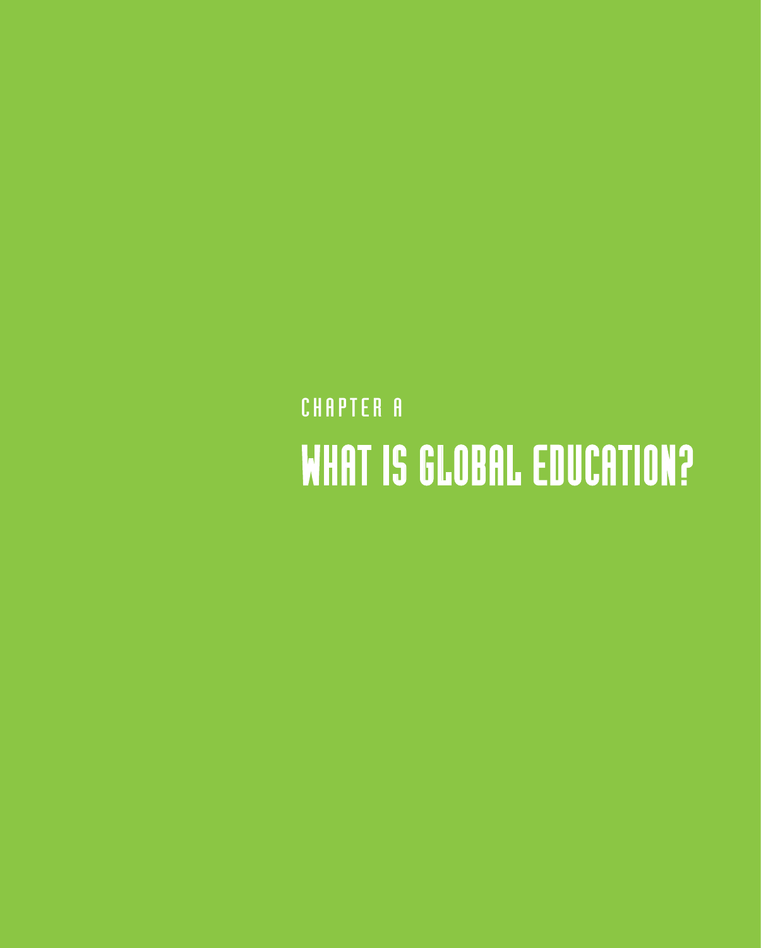## CHAPTER A WHAT IS GLOBAL EDUCATION?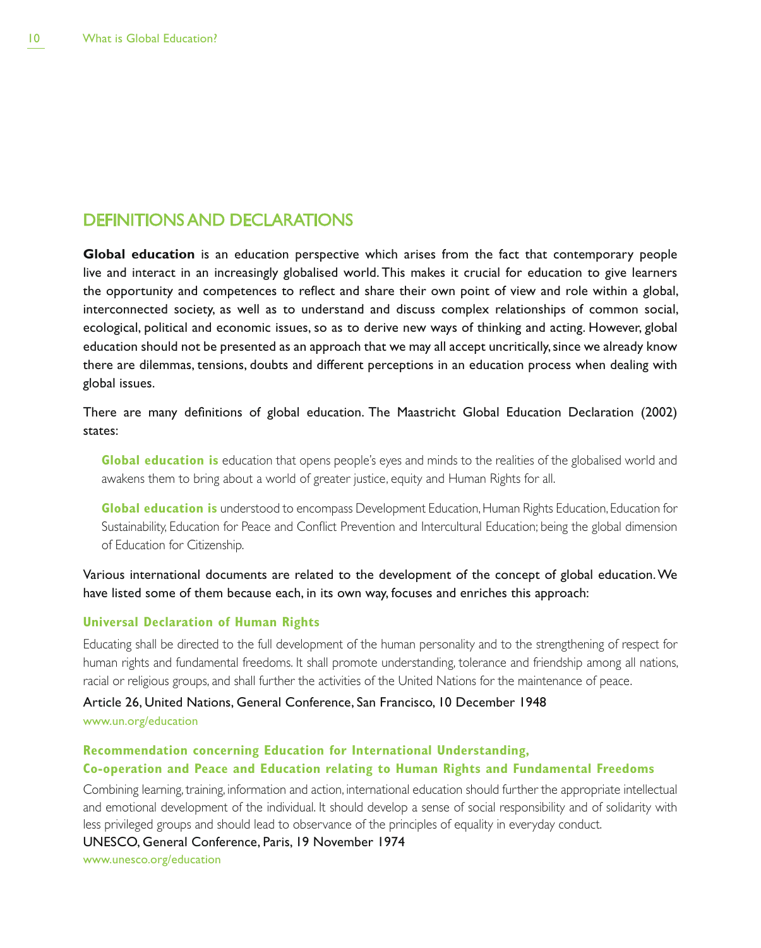### DEFINITIONS AND DECLARATIONS

**Global education** is an education perspective which arises from the fact that contemporary people live and interact in an increasingly globalised world. This makes it crucial for education to give learners the opportunity and competences to reflect and share their own point of view and role within a global, interconnected society, as well as to understand and discuss complex relationships of common social, ecological, political and economic issues, so as to derive new ways of thinking and acting. However, global education should not be presented as an approach that we may all accept uncritically, since we already know there are dilemmas, tensions, doubts and different perceptions in an education process when dealing with global issues.

There are many definitions of global education. The Maastricht Global Education Declaration (2002) states:

**Global education is** education that opens people's eyes and minds to the realities of the globalised world and awakens them to bring about a world of greater justice, equity and Human Rights for all.

**Global education is** understood to encompass Development Education, Human Rights Education, Education for Sustainability, Education for Peace and Conflict Prevention and Intercultural Education; being the global dimension of Education for Citizenship.

Various international documents are related to the development of the concept of global education. We have listed some of them because each, in its own way, focuses and enriches this approach:

#### **Universal Declaration of Human Rights**

Educating shall be directed to the full development of the human personality and to the strengthening of respect for human rights and fundamental freedoms. It shall promote understanding, tolerance and friendship among all nations, racial or religious groups, and shall further the activities of the United Nations for the maintenance of peace.

Article 26, United Nations, General Conference, San Francisco, 10 December 1948 www.un.org/education

#### **Recommendation concerning Education for International Understanding, Co-operation and Peace and Education relating to Human Rights and Fundamental Freedoms**

Combining learning, training, information and action, international education should further the appropriate intellectual and emotional development of the individual. It should develop a sense of social responsibility and of solidarity with less privileged groups and should lead to observance of the principles of equality in everyday conduct.

UNESCO, General Conference, Paris, 19 November 1974

www.unesco.org/education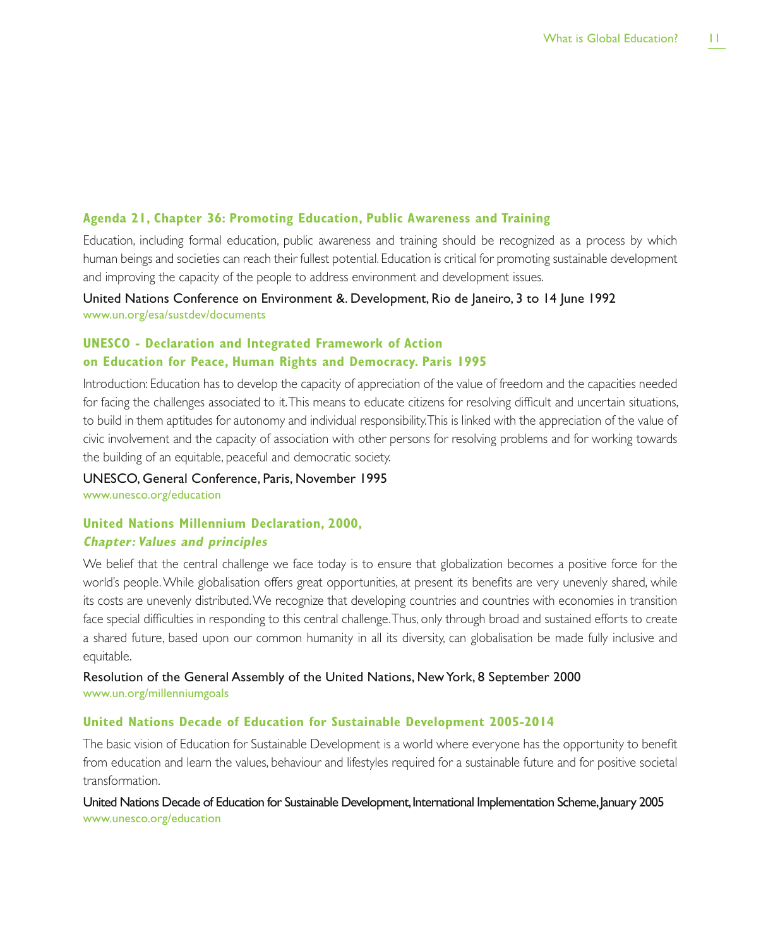#### **Agenda 21, Chapter 36: Promoting Education, Public Awareness and Training**

Education, including formal education, public awareness and training should be recognized as a process by which human beings and societies can reach their fullest potential. Education is critical for promoting sustainable development and improving the capacity of the people to address environment and development issues.

United Nations Conference on Environment &. Development, Rio de Janeiro, 3 to 14 June 1992 www.un.org/esa/sustdev/documents

#### **UNESCO - Declaration and Integrated Framework of Action on Education for Peace, Human Rights and Democracy. Paris 1995**

Introduction: Education has to develop the capacity of appreciation of the value of freedom and the capacities needed for facing the challenges associated to it. This means to educate citizens for resolving difficult and uncertain situations, to build in them aptitudes for autonomy and individual responsibility. This is linked with the appreciation of the value of civic involvement and the capacity of association with other persons for resolving problems and for working towards the building of an equitable, peaceful and democratic society.

UNESCO, General Conference, Paris, November 1995 www.unesco.org/education

## **United Nations Millennium Declaration, 2000,**

#### **Chapter: Values and principles**

We belief that the central challenge we face today is to ensure that globalization becomes a positive force for the world's people. While globalisation offers great opportunities, at present its benefits are very unevenly shared, while its costs are unevenly distributed. We recognize that developing countries and countries with economies in transition face special difficulties in responding to this central challenge. Thus, only through broad and sustained efforts to create a shared future, based upon our common humanity in all its diversity, can globalisation be made fully inclusive and equitable.

Resolution of the General Assembly of the United Nations, New York, 8 September 2000 www.un.org/millenniumgoals

#### **United Nations Decade of Education for Sustainable Development 2005-2014**

The basic vision of Education for Sustainable Development is a world where everyone has the opportunity to benefit from education and learn the values, behaviour and lifestyles required for a sustainable future and for positive societal transformation.

United Nations Decade of Education for Sustainable Development, International Implementation Scheme, January 2005 www.unesco.org/education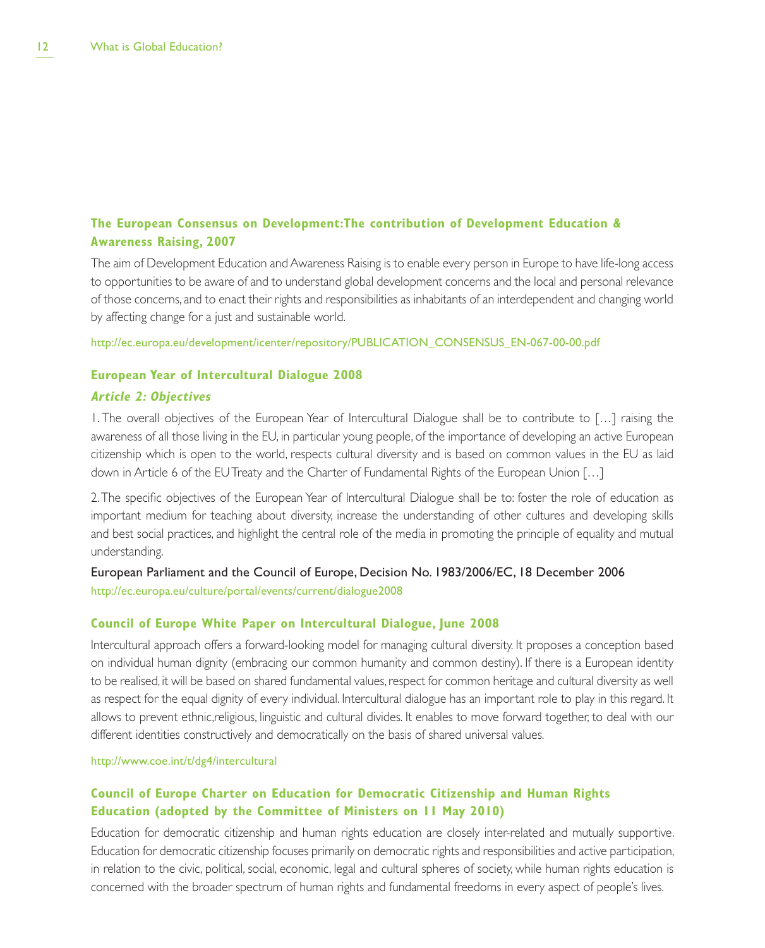#### **The European Consensus on Development:The contribution of Development Education & Awareness Raising, 2007**

The aim of Development Education and Awareness Raising is to enable every person in Europe to have life-long access to opportunities to be aware of and to understand global development concerns and the local and personal relevance of those concerns, and to enact their rights and responsibilities as inhabitants of an interdependent and changing world by affecting change for a just and sustainable world.

http://ec.europa.eu/development/icenter/repository/PUBLICATION\_CONSENSUS\_EN-067-00-00.pdf

#### **European Year of Intercultural Dialogue 2008**

#### **Article 2: Objectives**

1. The overall objectives of the European Year of Intercultural Dialogue shall be to contribute to […] raising the awareness of all those living in the EU, in particular young people, of the importance of developing an active European citizenship which is open to the world, respects cultural diversity and is based on common values in the EU as laid down in Article 6 of the EU Treaty and the Charter of Fundamental Rights of the European Union […]

2. The specific objectives of the European Year of Intercultural Dialogue shall be to: foster the role of education as important medium for teaching about diversity, increase the understanding of other cultures and developing skills and best social practices, and highlight the central role of the media in promoting the principle of equality and mutual understanding.

European Parliament and the Council of Europe, Decision No. 1983/2006/EC, 18 December 2006 http://ec.europa.eu/culture/portal/events/current/dialogue2008

#### **Council of Europe White Paper on Intercultural Dialogue, June 2008**

Intercultural approach offers a forward-looking model for managing cultural diversity. It proposes a conception based on individual human dignity (embracing our common humanity and common destiny). If there is a European identity to be realised, it will be based on shared fundamental values, respect for common heritage and cultural diversity as well as respect for the equal dignity of every individual. Intercultural dialogue has an important role to play in this regard. It allows to prevent ethnic,religious, linguistic and cultural divides. It enables to move forward together, to deal with our different identities constructively and democratically on the basis of shared universal values.

http://www.coe.int/t/dg4/intercultural

#### **Council of Europe Charter on Education for Democratic Citizenship and Human Rights Education (adopted by the Committee of Ministers on 11 May 2010)**

Education for democratic citizenship and human rights education are closely inter-related and mutually supportive. Education for democratic citizenship focuses primarily on democratic rights and responsibilities and active participation, in relation to the civic, political, social, economic, legal and cultural spheres of society, while human rights education is concerned with the broader spectrum of human rights and fundamental freedoms in every aspect of people's lives.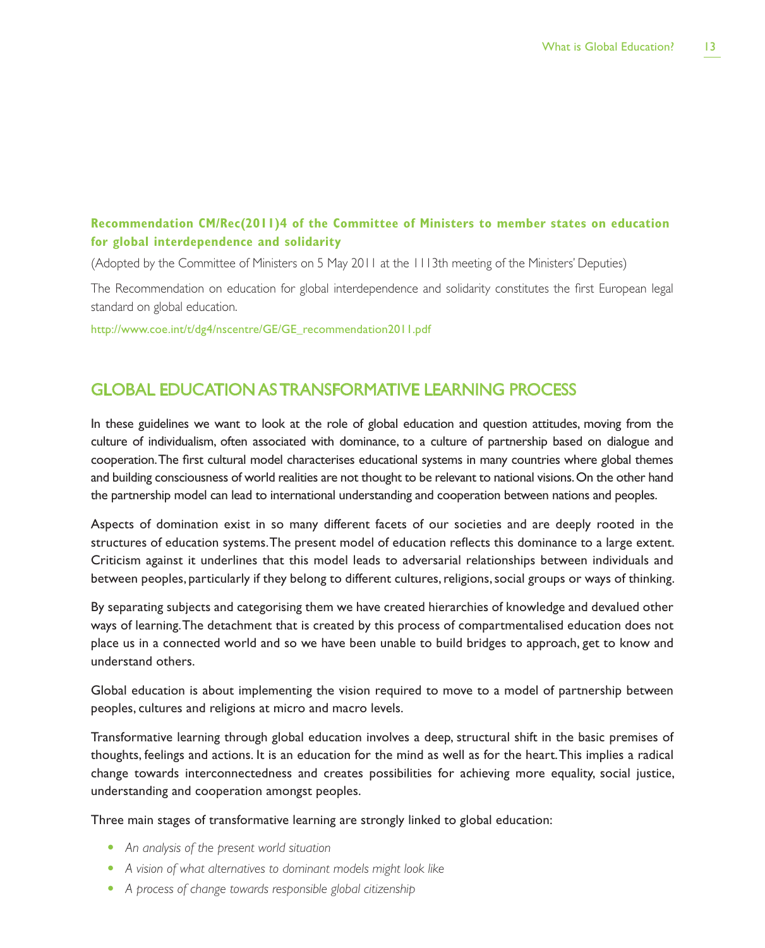#### **Recommendation CM/Rec(2011)4 of the Committee of Ministers to member states on education for global interdependence and solidarity**

(Adopted by the Committee of Ministers on 5 May 2011 at the 1113th meeting of the Ministers' Deputies)

The Recommendation on education for global interdependence and solidarity constitutes the first European legal standard on global education.

http://www.coe.int/t/dg4/nscentre/GE/GE\_recommendation2011.pdf

## GLOBAL EDUCATION AS TRANSFORMATIVE LEARNING PROCESS

In these guidelines we want to look at the role of global education and question attitudes, moving from the culture of individualism, often associated with dominance, to a culture of partnership based on dialogue and cooperation. The first cultural model characterises educational systems in many countries where global themes and building consciousness of world realities are not thought to be relevant to national visions. On the other hand the partnership model can lead to international understanding and cooperation between nations and peoples.

Aspects of domination exist in so many different facets of our societies and are deeply rooted in the structures of education systems. The present model of education reflects this dominance to a large extent. Criticism against it underlines that this model leads to adversarial relationships between individuals and between peoples, particularly if they belong to different cultures, religions, social groups or ways of thinking.

By separating subjects and categorising them we have created hierarchies of knowledge and devalued other ways of learning. The detachment that is created by this process of compartmentalised education does not place us in a connected world and so we have been unable to build bridges to approach, get to know and understand others.

Global education is about implementing the vision required to move to a model of partnership between peoples, cultures and religions at micro and macro levels.

Transformative learning through global education involves a deep, structural shift in the basic premises of thoughts, feelings and actions. It is an education for the mind as well as for the heart. This implies a radical change towards interconnectedness and creates possibilities for achieving more equality, social justice, understanding and cooperation amongst peoples.

Three main stages of transformative learning are strongly linked to global education:

- t *An analysis of the present world situation*
- t *A vision of what alternatives to dominant models might look like*
- t *A process of change towards responsible global citizenship*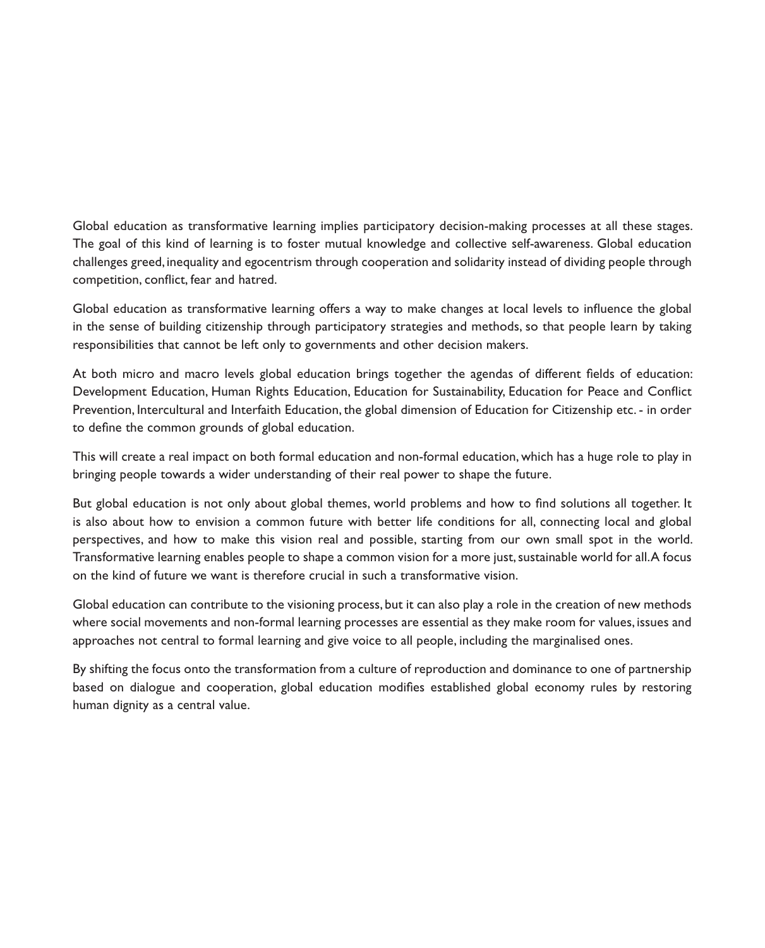Global education as transformative learning implies participatory decision-making processes at all these stages. The goal of this kind of learning is to foster mutual knowledge and collective self-awareness. Global education challenges greed, inequality and egocentrism through cooperation and solidarity instead of dividing people through competition, conflict, fear and hatred.

Global education as transformative learning offers a way to make changes at local levels to influence the global in the sense of building citizenship through participatory strategies and methods, so that people learn by taking responsibilities that cannot be left only to governments and other decision makers.

At both micro and macro levels global education brings together the agendas of different fields of education: Development Education, Human Rights Education, Education for Sustainability, Education for Peace and Conflict Prevention, Intercultural and Interfaith Education, the global dimension of Education for Citizenship etc. - in order to define the common grounds of global education.

This will create a real impact on both formal education and non-formal education, which has a huge role to play in bringing people towards a wider understanding of their real power to shape the future.

But global education is not only about global themes, world problems and how to find solutions all together. It is also about how to envision a common future with better life conditions for all, connecting local and global perspectives, and how to make this vision real and possible, starting from our own small spot in the world. Transformative learning enables people to shape a common vision for a more just, sustainable world for all. A focus on the kind of future we want is therefore crucial in such a transformative vision.

Global education can contribute to the visioning process, but it can also play a role in the creation of new methods where social movements and non-formal learning processes are essential as they make room for values, issues and approaches not central to formal learning and give voice to all people, including the marginalised ones.

By shifting the focus onto the transformation from a culture of reproduction and dominance to one of partnership based on dialogue and cooperation, global education modifies established global economy rules by restoring human dignity as a central value.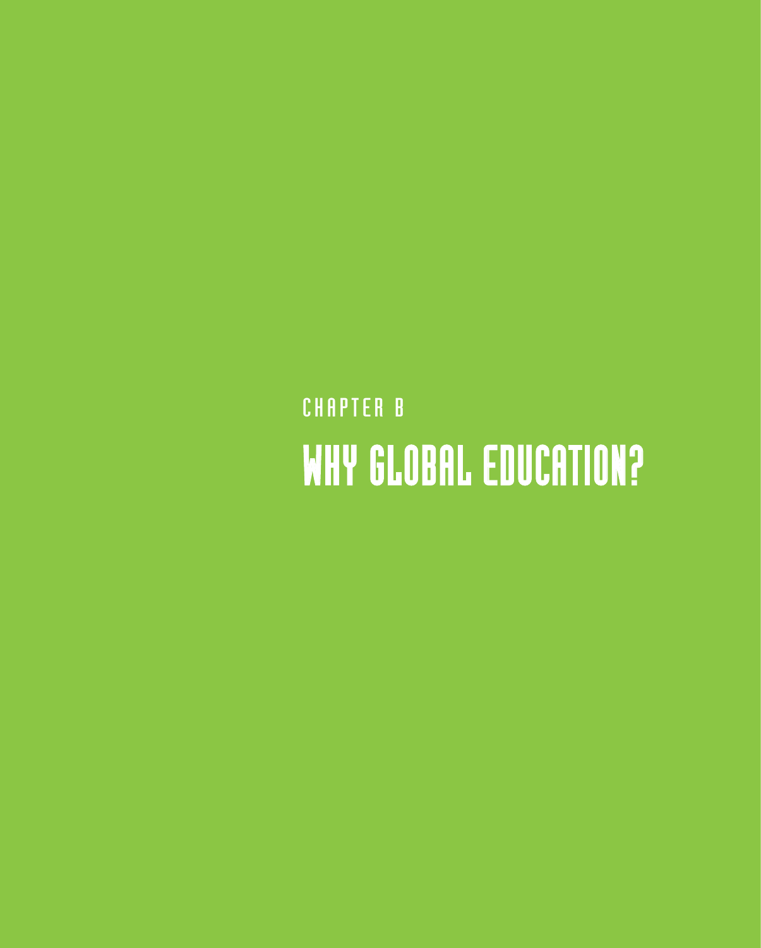## CHAPTER B WHY GLOBAL EDUCATION?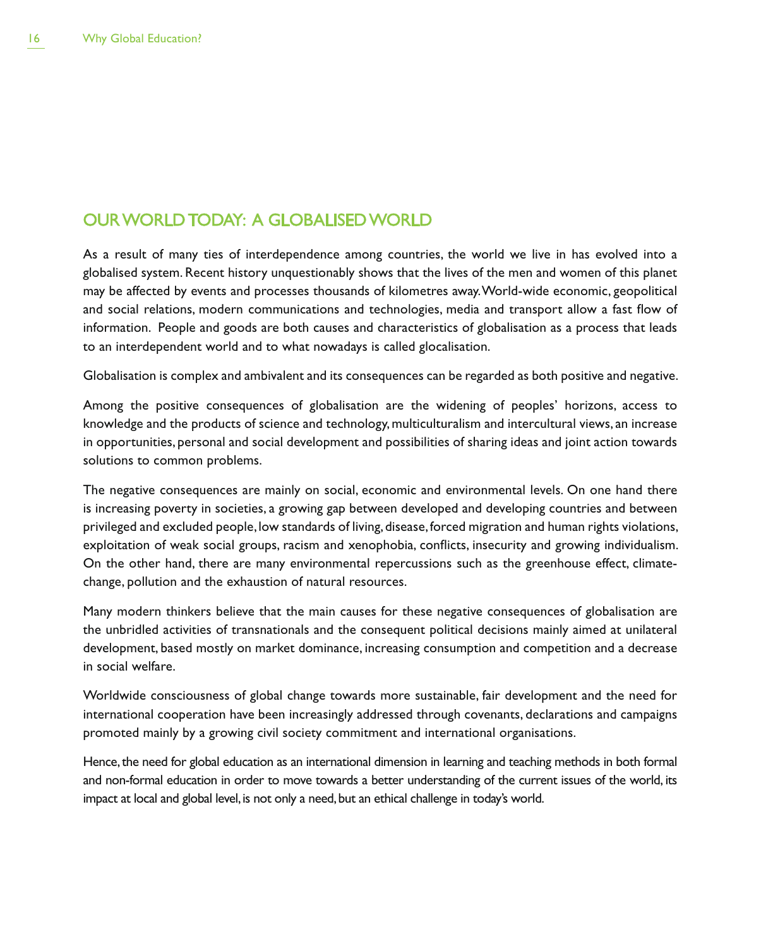### OUR WORLD TODAY: A GLOBALISED WORLD

As a result of many ties of interdependence among countries, the world we live in has evolved into a globalised system. Recent history unquestionably shows that the lives of the men and women of this planet may be affected by events and processes thousands of kilometres away. World-wide economic, geopolitical and social relations, modern communications and technologies, media and transport allow a fast flow of information. People and goods are both causes and characteristics of globalisation as a process that leads to an interdependent world and to what nowadays is called glocalisation.

Globalisation is complex and ambivalent and its consequences can be regarded as both positive and negative.

Among the positive consequences of globalisation are the widening of peoples' horizons, access to knowledge and the products of science and technology, multiculturalism and intercultural views, an increase in opportunities, personal and social development and possibilities of sharing ideas and joint action towards solutions to common problems.

The negative consequences are mainly on social, economic and environmental levels. On one hand there is increasing poverty in societies, a growing gap between developed and developing countries and between privileged and excluded people, low standards of living, disease, forced migration and human rights violations, exploitation of weak social groups, racism and xenophobia, conflicts, insecurity and growing individualism. On the other hand, there are many environmental repercussions such as the greenhouse effect, climatechange, pollution and the exhaustion of natural resources.

Many modern thinkers believe that the main causes for these negative consequences of globalisation are the unbridled activities of transnationals and the consequent political decisions mainly aimed at unilateral development, based mostly on market dominance, increasing consumption and competition and a decrease in social welfare.

Worldwide consciousness of global change towards more sustainable, fair development and the need for international cooperation have been increasingly addressed through covenants, declarations and campaigns promoted mainly by a growing civil society commitment and international organisations.

Hence, the need for global education as an international dimension in learning and teaching methods in both formal and non-formal education in order to move towards a better understanding of the current issues of the world, its impact at local and global level, is not only a need, but an ethical challenge in today's world.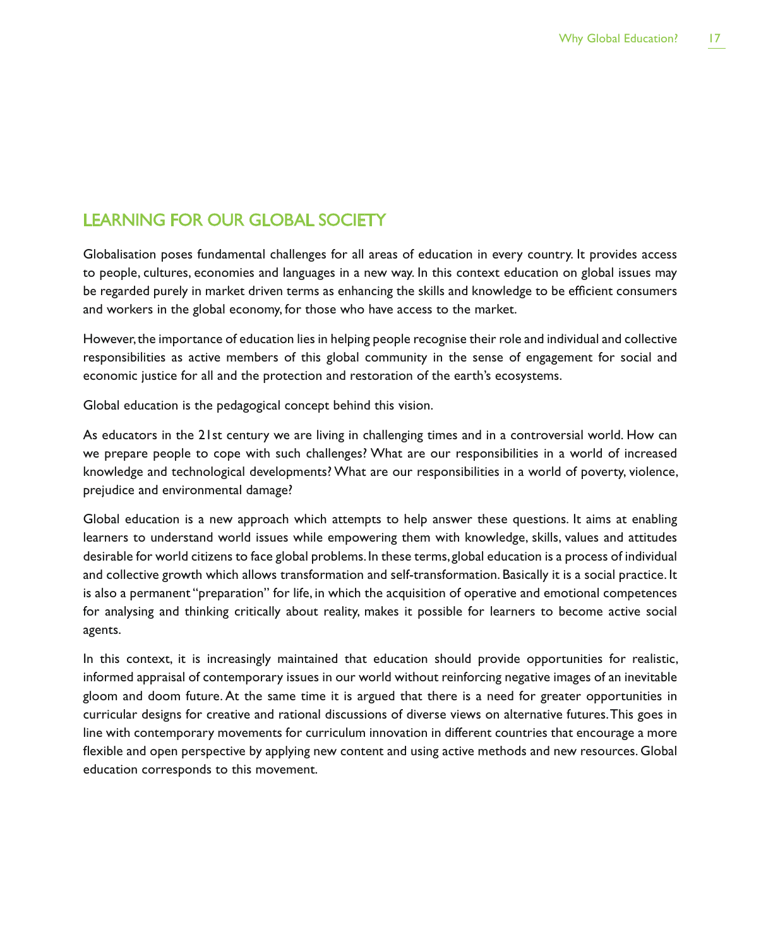## LEARNING FOR OUR GLOBAL SOCIETY

Globalisation poses fundamental challenges for all areas of education in every country. It provides access to people, cultures, economies and languages in a new way. In this context education on global issues may be regarded purely in market driven terms as enhancing the skills and knowledge to be efficient consumers and workers in the global economy, for those who have access to the market.

However, the importance of education lies in helping people recognise their role and individual and collective responsibilities as active members of this global community in the sense of engagement for social and economic justice for all and the protection and restoration of the earth's ecosystems.

Global education is the pedagogical concept behind this vision.

As educators in the 21st century we are living in challenging times and in a controversial world. How can we prepare people to cope with such challenges? What are our responsibilities in a world of increased knowledge and technological developments? What are our responsibilities in a world of poverty, violence, prejudice and environmental damage?

Global education is a new approach which attempts to help answer these questions. It aims at enabling learners to understand world issues while empowering them with knowledge, skills, values and attitudes desirable for world citizens to face global problems. In these terms, global education is a process of individual and collective growth which allows transformation and self-transformation. Basically it is a social practice. It is also a permanent "preparation" for life, in which the acquisition of operative and emotional competences for analysing and thinking critically about reality, makes it possible for learners to become active social agents.

In this context, it is increasingly maintained that education should provide opportunities for realistic, informed appraisal of contemporary issues in our world without reinforcing negative images of an inevitable gloom and doom future. At the same time it is argued that there is a need for greater opportunities in curricular designs for creative and rational discussions of diverse views on alternative futures. This goes in line with contemporary movements for curriculum innovation in different countries that encourage a more flexible and open perspective by applying new content and using active methods and new resources. Global education corresponds to this movement.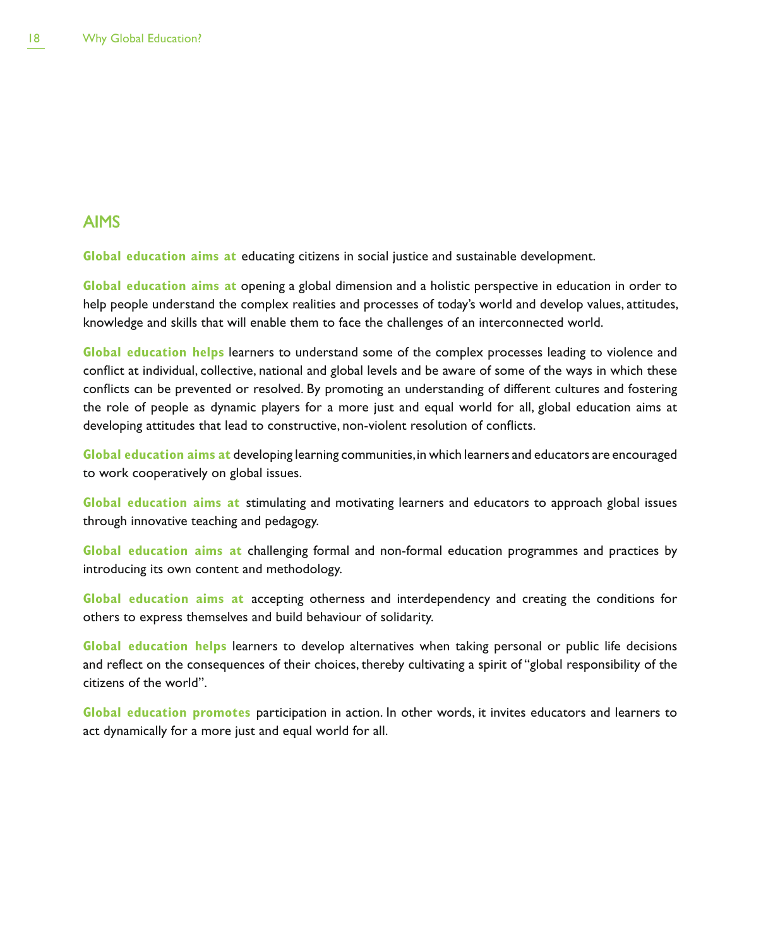### AIMS

**Global education aims at** educating citizens in social justice and sustainable development.

**Global education aims at** opening a global dimension and a holistic perspective in education in order to help people understand the complex realities and processes of today's world and develop values, attitudes, knowledge and skills that will enable them to face the challenges of an interconnected world.

**Global education helps** learners to understand some of the complex processes leading to violence and conflict at individual, collective, national and global levels and be aware of some of the ways in which these conflicts can be prevented or resolved. By promoting an understanding of different cultures and fostering the role of people as dynamic players for a more just and equal world for all, global education aims at developing attitudes that lead to constructive, non-violent resolution of conflicts.

**Global education aims at** developing learning communities, in which learners and educators are encouraged to work cooperatively on global issues.

**Global education aims at** stimulating and motivating learners and educators to approach global issues through innovative teaching and pedagogy.

**Global education aims at** challenging formal and non-formal education programmes and practices by introducing its own content and methodology.

**Global education aims at** accepting otherness and interdependency and creating the conditions for others to express themselves and build behaviour of solidarity.

**Global education helps** learners to develop alternatives when taking personal or public life decisions and reflect on the consequences of their choices, thereby cultivating a spirit of "global responsibility of the citizens of the world".

**Global education promotes** participation in action. In other words, it invites educators and learners to act dynamically for a more just and equal world for all.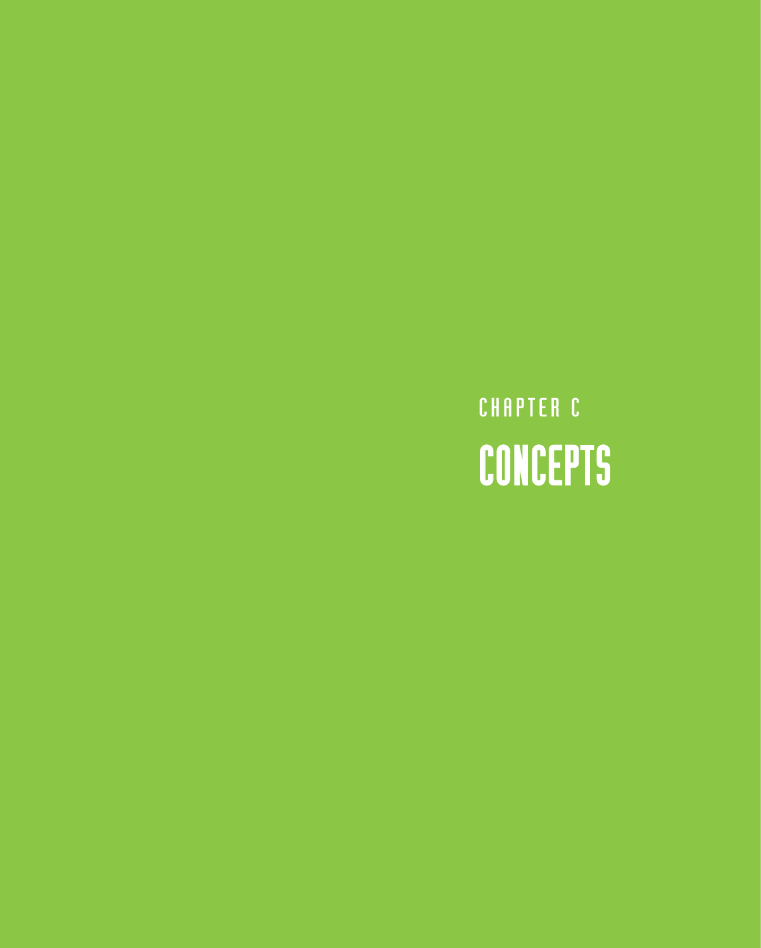## CHAPTER C CONCEPTS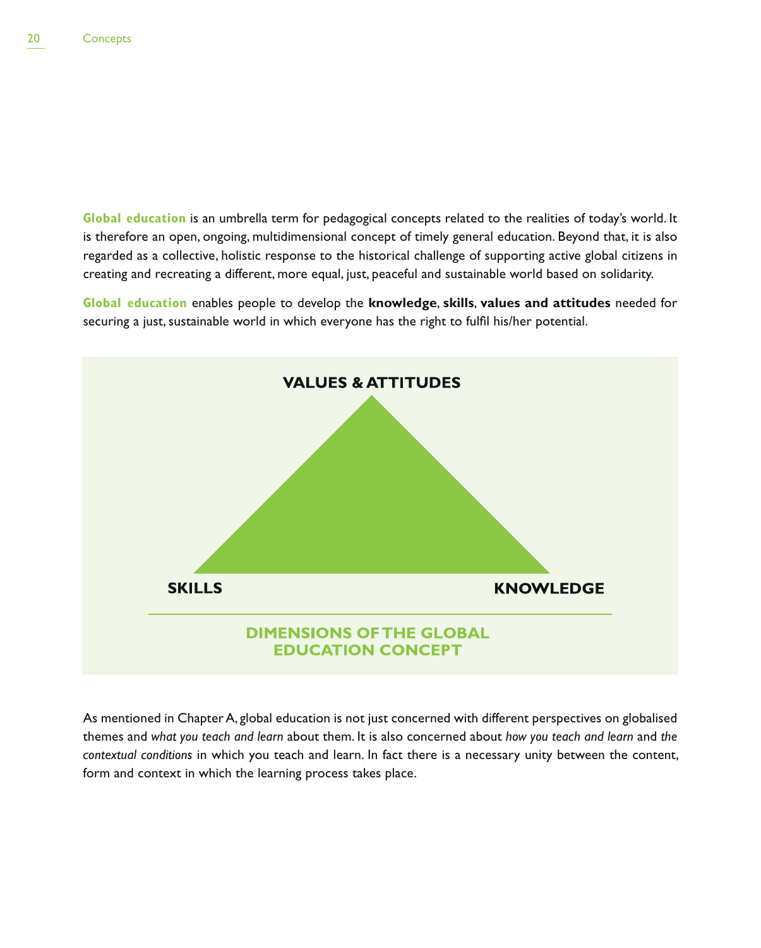**Global education** is an umbrella term for pedagogical concepts related to the realities of today's world. It is therefore an open, ongoing, multidimensional concept of timely general education. Beyond that, it is also regarded as a collective, holistic response to the historical challenge of supporting active global citizens in creating and recreating a different, more equal, just, peaceful and sustainable world based on solidarity.

**Global education** enables people to develop the **knowledge**, **skills**, **values and attitudes** needed for securing a just, sustainable world in which everyone has the right to fulfil his/her potential.



As mentioned in Chapter A, global education is not just concerned with different perspectives on globalised themes and *what you teach and learn* about them. It is also concerned about *how you teach and learn* and *the contextual conditions* in which you teach and learn. In fact there is a necessary unity between the content, form and context in which the learning process takes place.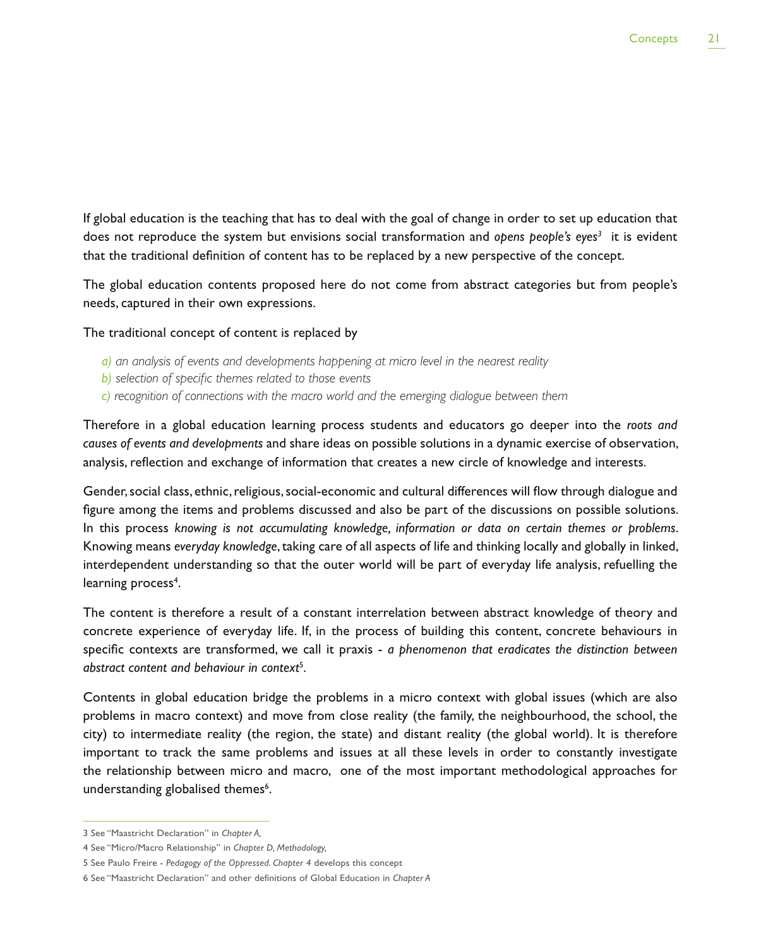If global education is the teaching that has to deal with the goal of change in order to set up education that does not reproduce the system but envisions social transformation and opens people's eyes<sup>3</sup> it is evident that the traditional definition of content has to be replaced by a new perspective of the concept.

The global education contents proposed here do not come from abstract categories but from people's needs, captured in their own expressions.

The traditional concept of content is replaced by

- *a) an analysis of events and developments happening at micro level in the nearest reality*
- *b) selection of specific themes related to those events*
- *c) recognition of connections with the macro world and the emerging dialogue between them*

Therefore in a global education learning process students and educators go deeper into the *roots and causes of events and developments* and share ideas on possible solutions in a dynamic exercise of observation, analysis, reflection and exchange of information that creates a new circle of knowledge and interests.

Gender, social class, ethnic, religious, social-economic and cultural differences will flow through dialogue and figure among the items and problems discussed and also be part of the discussions on possible solutions. In this process *knowing is not accumulating knowledge, information or data on certain themes or problems*. Knowing means *everyday knowledge*, taking care of all aspects of life and thinking locally and globally in linked, interdependent understanding so that the outer world will be part of everyday life analysis, refuelling the learning process<sup>4</sup>.

The content is therefore a result of a constant interrelation between abstract knowledge of theory and concrete experience of everyday life. If, in the process of building this content, concrete behaviours in specific contexts are transformed, we call it praxis - *a phenomenon that eradicates the distinction between abstract content and behaviour in context*<sup>5</sup> .

Contents in global education bridge the problems in a micro context with global issues (which are also problems in macro context) and move from close reality (the family, the neighbourhood, the school, the city) to intermediate reality (the region, the state) and distant reality (the global world). It is therefore important to track the same problems and issues at all these levels in order to constantly investigate the relationship between micro and macro, one of the most important methodological approaches for understanding globalised themes<sup>6</sup>.

<sup>3</sup> See "Maastricht Declaration" in *Chapter A,*

<sup>4</sup> See "Micro/Macro Relationship" in *Chapter D, Methodology,*

<sup>5</sup> See Paulo Freire - *Pedagogy of the Oppressed*. *Chapter 4* develops this concept

<sup>6</sup> See "Maastricht Declaration" and other definitions of Global Education in *Chapter A*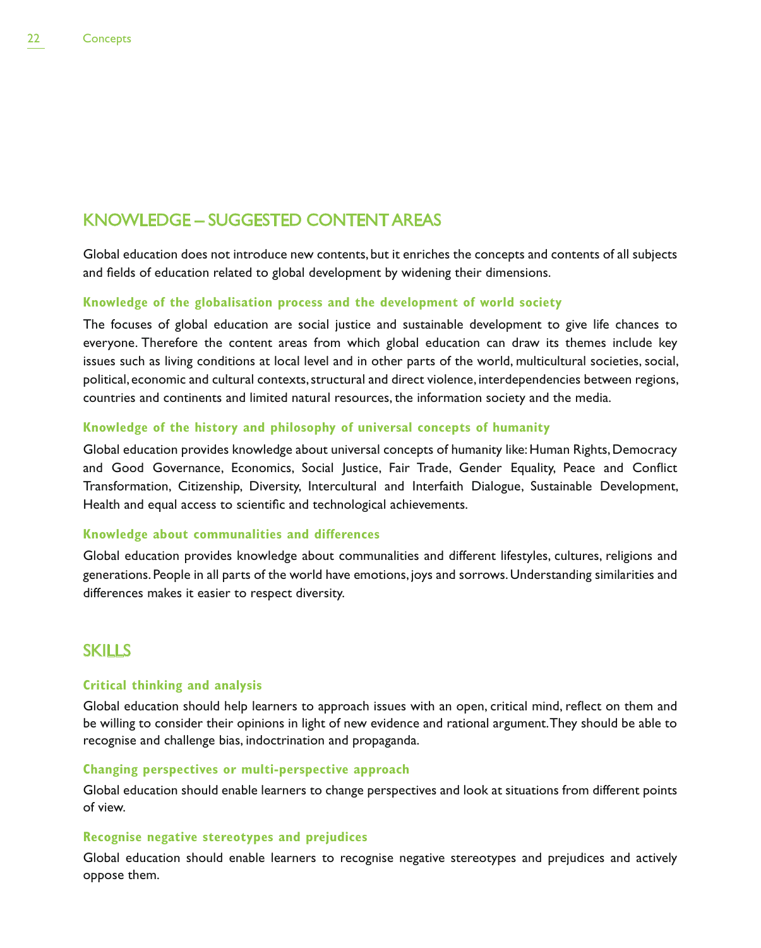## KNOWLEDGE – SUGGESTED CONTENT AREAS

Global education does not introduce new contents, but it enriches the concepts and contents of all subjects and fields of education related to global development by widening their dimensions.

#### **Knowledge of the globalisation process and the development of world society**

The focuses of global education are social justice and sustainable development to give life chances to everyone. Therefore the content areas from which global education can draw its themes include key issues such as living conditions at local level and in other parts of the world, multicultural societies, social, political, economic and cultural contexts, structural and direct violence, interdependencies between regions, countries and continents and limited natural resources, the information society and the media.

#### **Knowledge of the history and philosophy of universal concepts of humanity**

Global education provides knowledge about universal concepts of humanity like: Human Rights, Democracy and Good Governance, Economics, Social Justice, Fair Trade, Gender Equality, Peace and Conflict Transformation, Citizenship, Diversity, Intercultural and Interfaith Dialogue, Sustainable Development, Health and equal access to scientific and technological achievements.

#### **Knowledge about communalities and differences**

Global education provides knowledge about communalities and different lifestyles, cultures, religions and generations. People in all parts of the world have emotions, joys and sorrows. Understanding similarities and differences makes it easier to respect diversity.

#### **SKILLS**

#### **Critical thinking and analysis**

Global education should help learners to approach issues with an open, critical mind, reflect on them and be willing to consider their opinions in light of new evidence and rational argument. They should be able to recognise and challenge bias, indoctrination and propaganda.

#### **Changing perspectives or multi-perspective approach**

Global education should enable learners to change perspectives and look at situations from different points of view.

#### **Recognise negative stereotypes and prejudices**

Global education should enable learners to recognise negative stereotypes and prejudices and actively oppose them.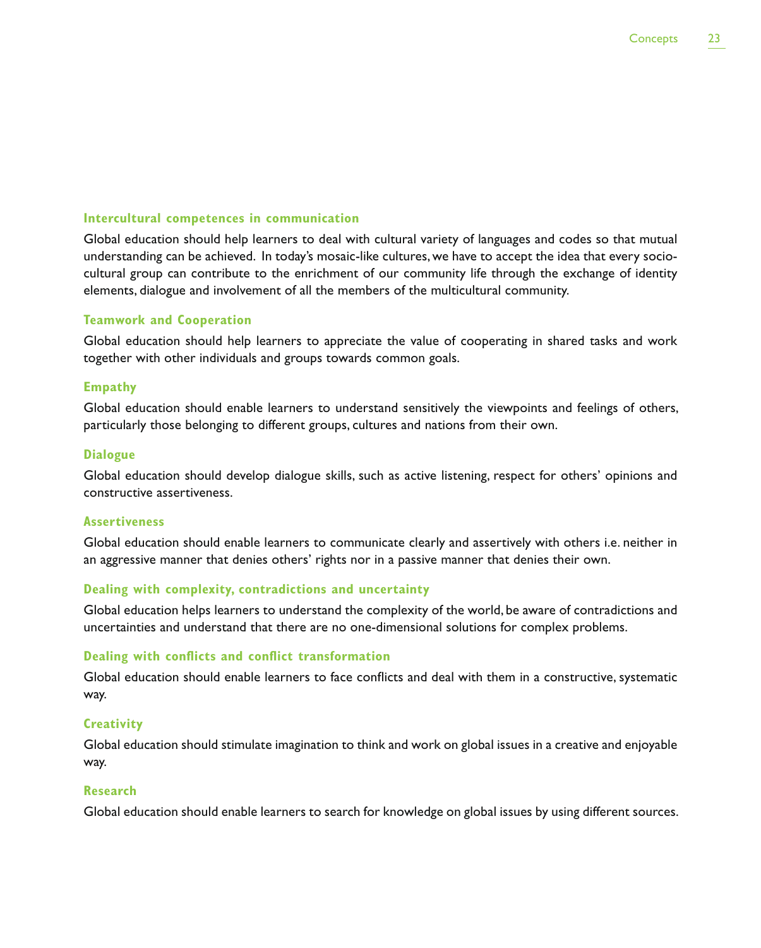#### **Intercultural competences in communication**

Global education should help learners to deal with cultural variety of languages and codes so that mutual understanding can be achieved. In today's mosaic-like cultures, we have to accept the idea that every sociocultural group can contribute to the enrichment of our community life through the exchange of identity elements, dialogue and involvement of all the members of the multicultural community.

#### **Teamwork and Cooperation**

Global education should help learners to appreciate the value of cooperating in shared tasks and work together with other individuals and groups towards common goals.

#### **Empathy**

Global education should enable learners to understand sensitively the viewpoints and feelings of others, particularly those belonging to different groups, cultures and nations from their own.

#### **Dialogue**

Global education should develop dialogue skills, such as active listening, respect for others' opinions and constructive assertiveness.

#### **Assertiveness**

Global education should enable learners to communicate clearly and assertively with others i.e. neither in an aggressive manner that denies others' rights nor in a passive manner that denies their own.

#### **Dealing with complexity, contradictions and uncertainty**

Global education helps learners to understand the complexity of the world, be aware of contradictions and uncertainties and understand that there are no one-dimensional solutions for complex problems.

#### **Dealing with conflicts and conflict transformation**

Global education should enable learners to face conflicts and deal with them in a constructive, systematic way.

#### **Creativity**

Global education should stimulate imagination to think and work on global issues in a creative and enjoyable way.

#### **Research**

Global education should enable learners to search for knowledge on global issues by using different sources.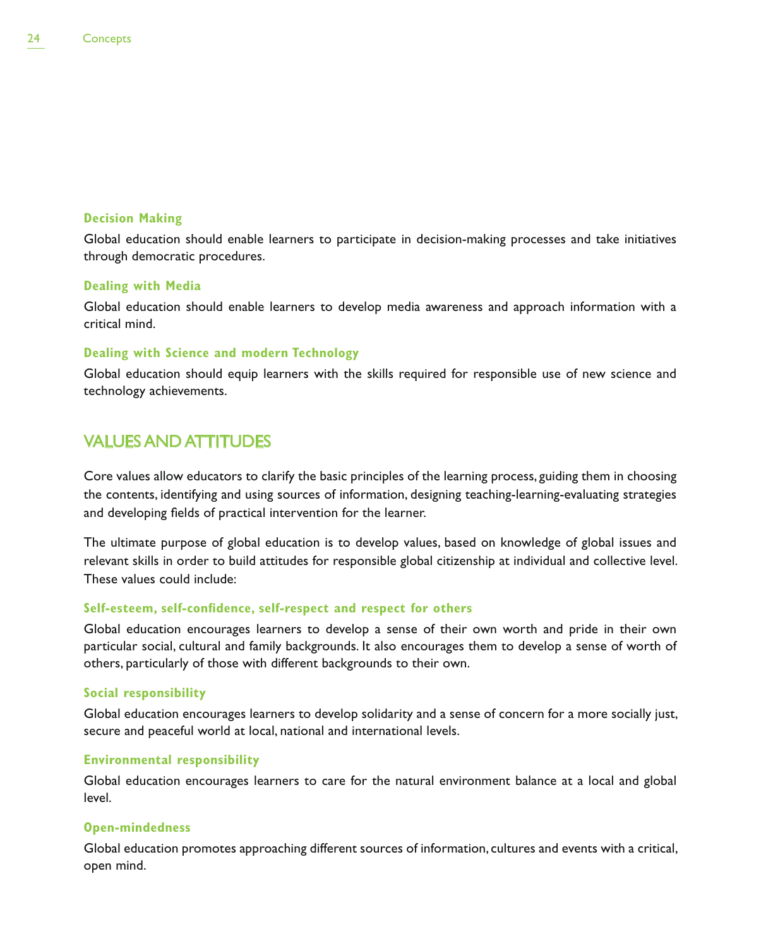#### **Decision Making**

Global education should enable learners to participate in decision-making processes and take initiatives through democratic procedures.

#### **Dealing with Media**

Global education should enable learners to develop media awareness and approach information with a critical mind.

#### **Dealing with Science and modern Technology**

Global education should equip learners with the skills required for responsible use of new science and technology achievements.

### VALUES AND ATTITUDES

Core values allow educators to clarify the basic principles of the learning process, guiding them in choosing the contents, identifying and using sources of information, designing teaching-learning-evaluating strategies and developing fields of practical intervention for the learner.

The ultimate purpose of global education is to develop values, based on knowledge of global issues and relevant skills in order to build attitudes for responsible global citizenship at individual and collective level. These values could include:

#### **Self-esteem, self-confidence, self-respect and respect for others**

Global education encourages learners to develop a sense of their own worth and pride in their own particular social, cultural and family backgrounds. It also encourages them to develop a sense of worth of others, particularly of those with different backgrounds to their own.

#### **Social responsibility**

Global education encourages learners to develop solidarity and a sense of concern for a more socially just, secure and peaceful world at local, national and international levels.

#### **Environmental responsibility**

Global education encourages learners to care for the natural environment balance at a local and global level.

#### **Open-mindedness**

Global education promotes approaching different sources of information, cultures and events with a critical, open mind.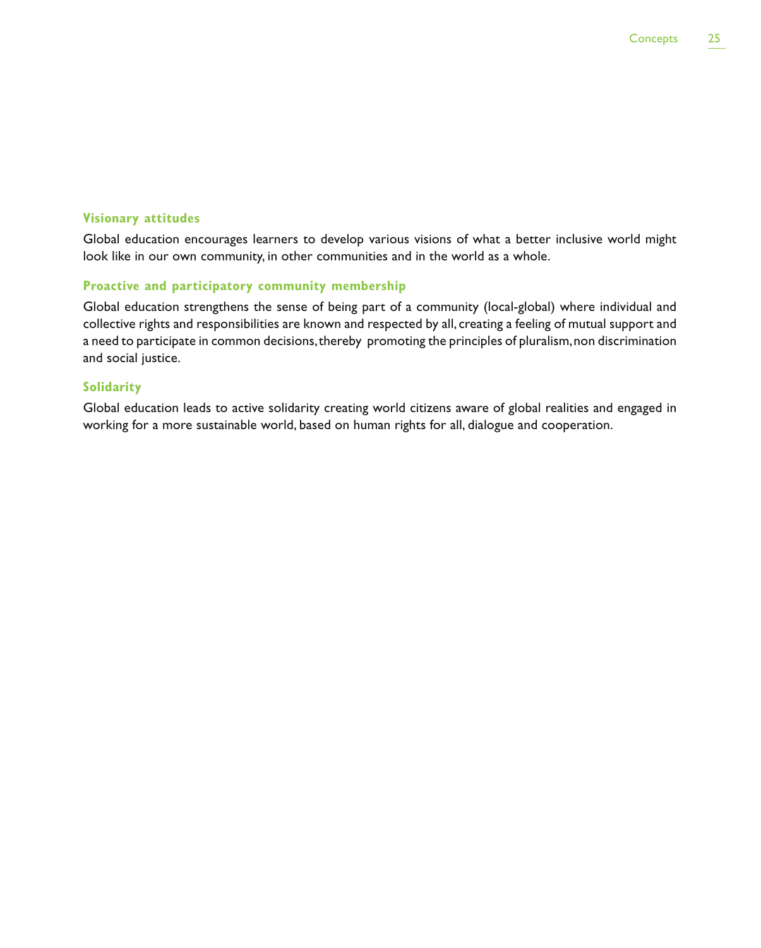#### **Visionary attitudes**

Global education encourages learners to develop various visions of what a better inclusive world might look like in our own community, in other communities and in the world as a whole.

#### **Proactive and participatory community membership**

Global education strengthens the sense of being part of a community (local-global) where individual and collective rights and responsibilities are known and respected by all, creating a feeling of mutual support and a need to participate in common decisions, thereby promoting the principles of pluralism, non discrimination and social justice.

#### **Solidarity**

Global education leads to active solidarity creating world citizens aware of global realities and engaged in working for a more sustainable world, based on human rights for all, dialogue and cooperation.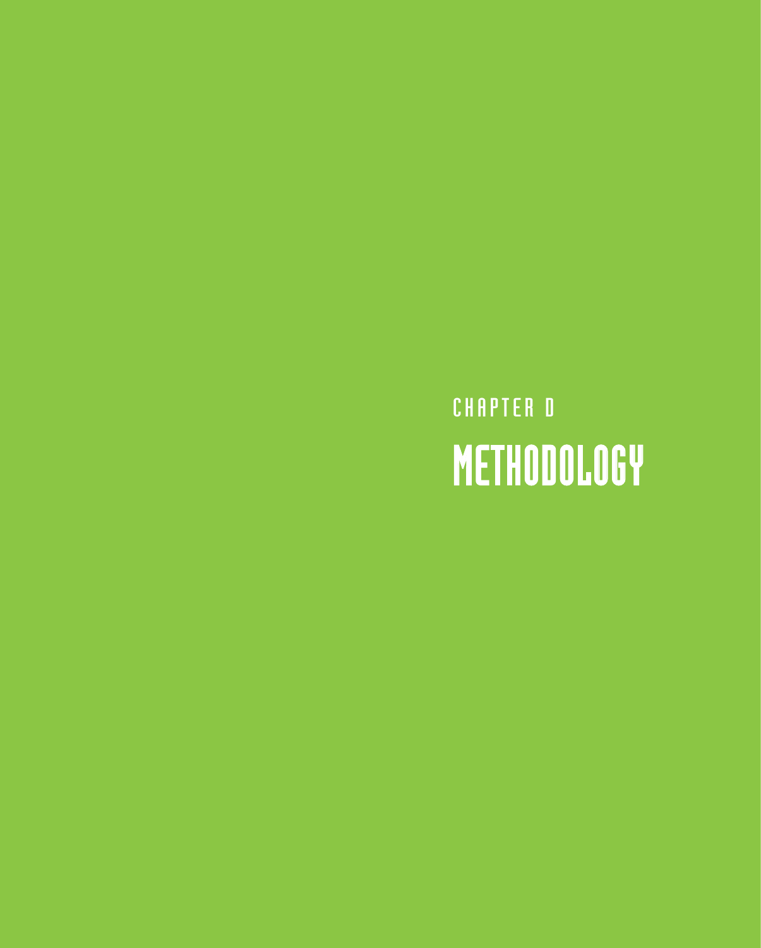CHAPTER D METHODOLOGY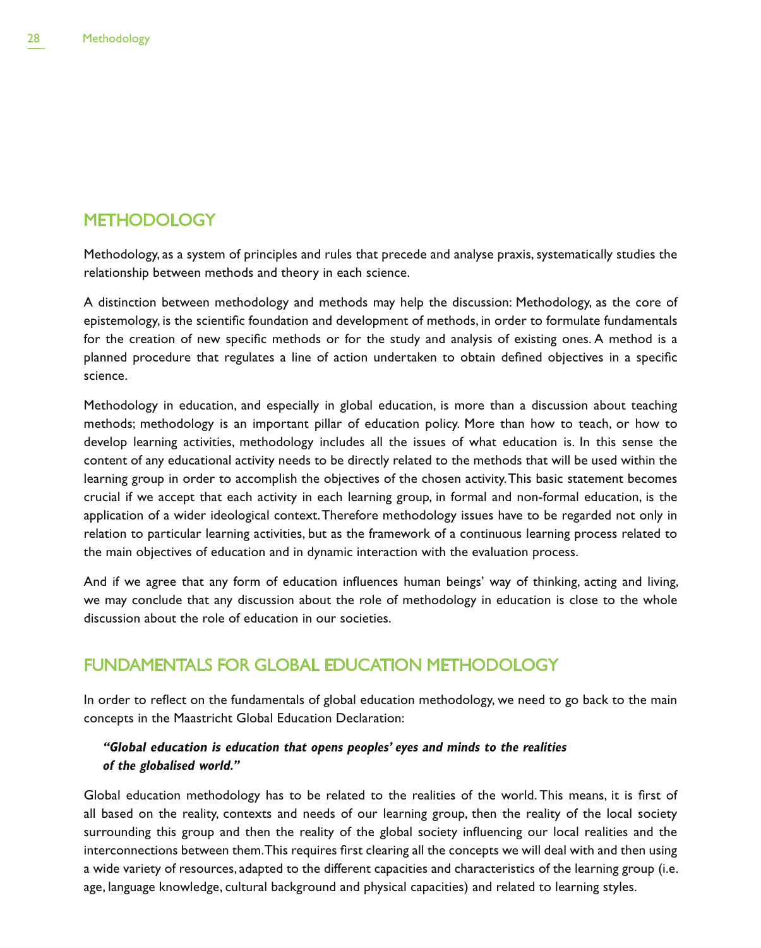### **METHODOLOGY**

Methodology, as a system of principles and rules that precede and analyse praxis, systematically studies the relationship between methods and theory in each science.

A distinction between methodology and methods may help the discussion: Methodology, as the core of epistemology, is the scientific foundation and development of methods, in order to formulate fundamentals for the creation of new specific methods or for the study and analysis of existing ones. A method is a planned procedure that regulates a line of action undertaken to obtain defined objectives in a specific science.

Methodology in education, and especially in global education, is more than a discussion about teaching methods; methodology is an important pillar of education policy. More than how to teach, or how to develop learning activities, methodology includes all the issues of what education is. In this sense the content of any educational activity needs to be directly related to the methods that will be used within the learning group in order to accomplish the objectives of the chosen activity. This basic statement becomes crucial if we accept that each activity in each learning group, in formal and non-formal education, is the application of a wider ideological context. Therefore methodology issues have to be regarded not only in relation to particular learning activities, but as the framework of a continuous learning process related to the main objectives of education and in dynamic interaction with the evaluation process.

And if we agree that any form of education influences human beings' way of thinking, acting and living, we may conclude that any discussion about the role of methodology in education is close to the whole discussion about the role of education in our societies.

## FUNDAMENTALS FOR GLOBAL EDUCATION METHODOLOGY

In order to reflect on the fundamentals of global education methodology, we need to go back to the main concepts in the Maastricht Global Education Declaration:

#### **"Global education is education that opens peoples' eyes and minds to the realities of the globalised world."**

Global education methodology has to be related to the realities of the world. This means, it is first of all based on the reality, contexts and needs of our learning group, then the reality of the local society surrounding this group and then the reality of the global society influencing our local realities and the interconnections between them. This requires first clearing all the concepts we will deal with and then using a wide variety of resources, adapted to the different capacities and characteristics of the learning group (i.e. age, language knowledge, cultural background and physical capacities) and related to learning styles.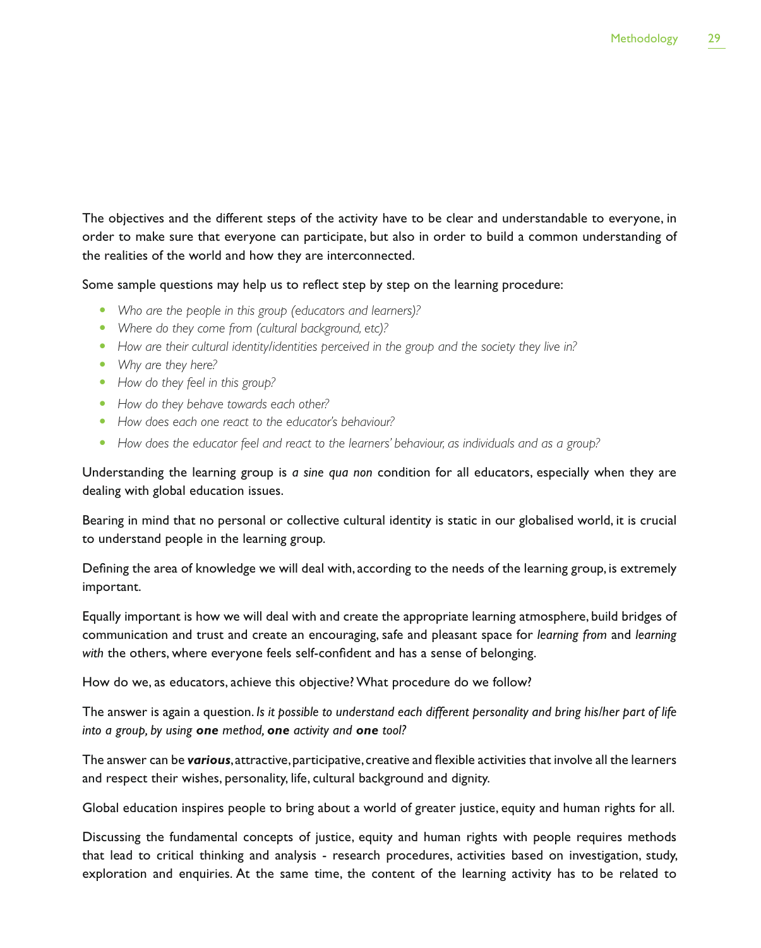The objectives and the different steps of the activity have to be clear and understandable to everyone, in order to make sure that everyone can participate, but also in order to build a common understanding of the realities of the world and how they are interconnected.

Some sample questions may help us to reflect step by step on the learning procedure:

- Who are the people in this group (educators and learners)?
- Where do they come from (cultural background, etc)?
- How are their cultural identity/identities perceived in the group and the society they live in?
- Why are they here?
- How do they feel in this group?
- How do they behave towards each other?
- How does each one react to the educator's behaviour?
- How does the educator feel and react to the learners' behaviour, as individuals and as a group?

Understanding the learning group is *a sine qua non* condition for all educators, especially when they are dealing with global education issues.

Bearing in mind that no personal or collective cultural identity is static in our globalised world, it is crucial to understand people in the learning group.

Defining the area of knowledge we will deal with, according to the needs of the learning group, is extremely important.

Equally important is how we will deal with and create the appropriate learning atmosphere, build bridges of communication and trust and create an encouraging, safe and pleasant space for *learning from* and *learning with* the others, where everyone feels self-confident and has a sense of belonging.

How do we, as educators, achieve this objective? What procedure do we follow?

The answer is again a question. *Is it possible to understand each different personality and bring his/her part of life into a group, by using one method, one activity and one tool?*

The answer can be *various*, attractive, participative, creative and flexible activities that involve all the learners and respect their wishes, personality, life, cultural background and dignity.

Global education inspires people to bring about a world of greater justice, equity and human rights for all.

Discussing the fundamental concepts of justice, equity and human rights with people requires methods that lead to critical thinking and analysis - research procedures, activities based on investigation, study, exploration and enquiries. At the same time, the content of the learning activity has to be related to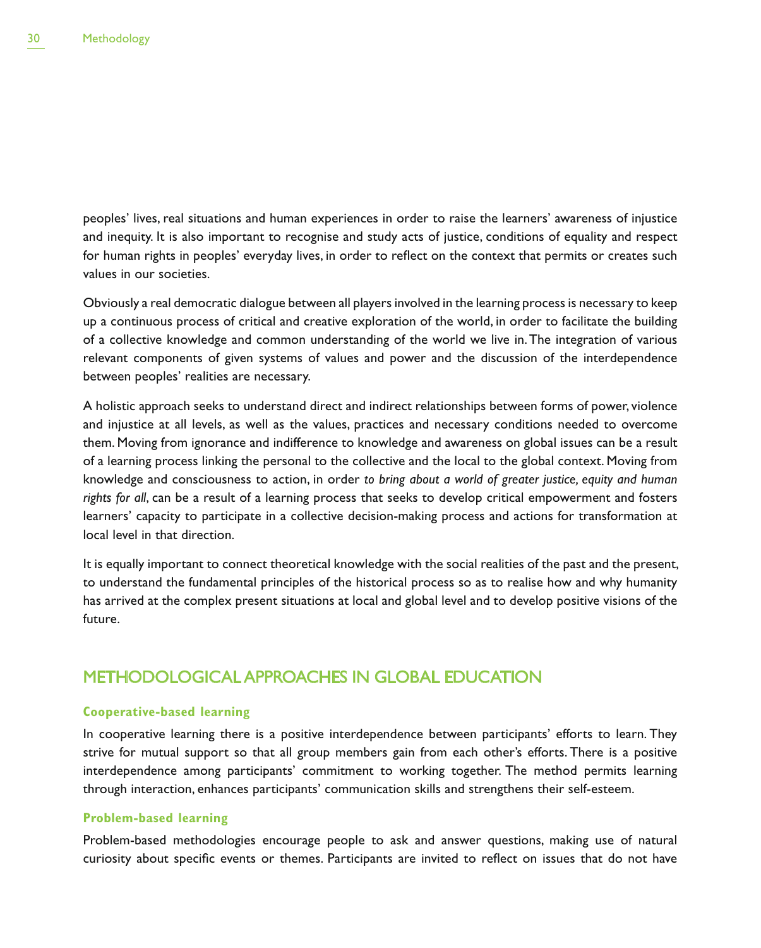peoples' lives, real situations and human experiences in order to raise the learners' awareness of injustice and inequity. It is also important to recognise and study acts of justice, conditions of equality and respect for human rights in peoples' everyday lives, in order to reflect on the context that permits or creates such values in our societies.

Obviously a real democratic dialogue between all players involved in the learning process is necessary to keep up a continuous process of critical and creative exploration of the world, in order to facilitate the building of a collective knowledge and common understanding of the world we live in. The integration of various relevant components of given systems of values and power and the discussion of the interdependence between peoples' realities are necessary.

A holistic approach seeks to understand direct and indirect relationships between forms of power, violence and injustice at all levels, as well as the values, practices and necessary conditions needed to overcome them. Moving from ignorance and indifference to knowledge and awareness on global issues can be a result of a learning process linking the personal to the collective and the local to the global context. Moving from knowledge and consciousness to action, in order *to bring about a world of greater justice, equity and human rights for all*, can be a result of a learning process that seeks to develop critical empowerment and fosters learners' capacity to participate in a collective decision-making process and actions for transformation at local level in that direction.

It is equally important to connect theoretical knowledge with the social realities of the past and the present, to understand the fundamental principles of the historical process so as to realise how and why humanity has arrived at the complex present situations at local and global level and to develop positive visions of the future.

### METHODOLOGICAL APPROACHES IN GLOBAL EDUCATION

#### **Cooperative-based learning**

In cooperative learning there is a positive interdependence between participants' efforts to learn. They strive for mutual support so that all group members gain from each other's efforts. There is a positive interdependence among participants' commitment to working together. The method permits learning through interaction, enhances participants' communication skills and strengthens their self-esteem.

#### **Problem-based learning**

Problem-based methodologies encourage people to ask and answer questions, making use of natural curiosity about specific events or themes. Participants are invited to reflect on issues that do not have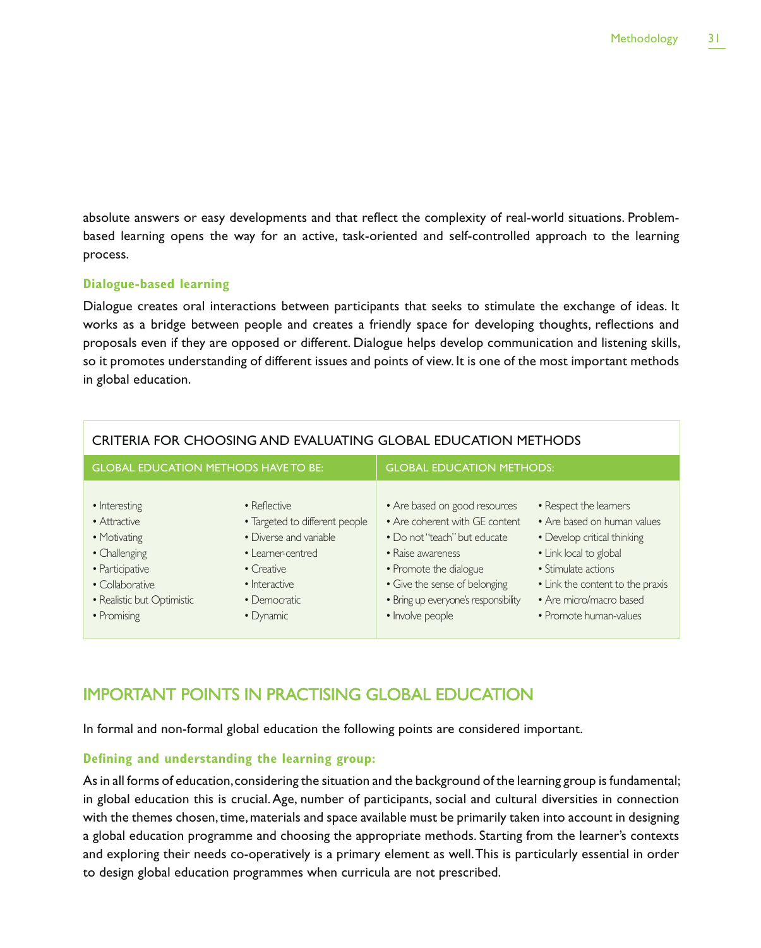absolute answers or easy developments and that reflect the complexity of real-world situations. Problembased learning opens the way for an active, task-oriented and self-controlled approach to the learning process.

#### **Dialogue-based learning**

Dialogue creates oral interactions between participants that seeks to stimulate the exchange of ideas. It works as a bridge between people and creates a friendly space for developing thoughts, reflections and proposals even if they are opposed or different. Dialogue helps develop communication and listening skills, so it promotes understanding of different issues and points of view. It is one of the most important methods in global education.

| CRITERIA FOR CHOOSING AND EVALUATING GLOBAL EDUCATION METHODS                                                                                     |                                                                                                                                                                   |                                                                                                                                                                                                                                             |                                                                                                                                                                                                                                |
|---------------------------------------------------------------------------------------------------------------------------------------------------|-------------------------------------------------------------------------------------------------------------------------------------------------------------------|---------------------------------------------------------------------------------------------------------------------------------------------------------------------------------------------------------------------------------------------|--------------------------------------------------------------------------------------------------------------------------------------------------------------------------------------------------------------------------------|
| <b>GLOBAL EDUCATION METHODS HAVE TO BE:</b>                                                                                                       |                                                                                                                                                                   | <b>GLOBAL EDUCATION METHODS:</b>                                                                                                                                                                                                            |                                                                                                                                                                                                                                |
| • Interesting<br>• Attractive<br>• Motivating<br>• Challenging<br>• Participative<br>• Collaborative<br>• Realistic but Optimistic<br>• Promising | • Reflective<br>• Targeted to different people<br>• Diverse and variable<br>• Learner-centred<br>$\bullet$ Creative<br>• Interactive<br>• Democratic<br>• Dynamic | • Are based on good resources<br>• Are coherent with GE content<br>• Do not "teach" but educate<br>• Raise awareness<br>• Promote the dialogue<br>• Give the sense of belonging<br>· Bring up everyone's responsibility<br>· Involve people | • Respect the learners<br>• Are based on human values<br>• Develop critical thinking<br>• Link local to global<br>• Stimulate actions<br>• Link the content to the praxis<br>• Are micro/macro based<br>• Promote human-values |

## IMPORTANT POINTS IN PRACTISING GLOBAL EDUCATION

In formal and non-formal global education the following points are considered important.

#### **Defining and understanding the learning group:**

As in all forms of education, considering the situation and the background of the learning group is fundamental; in global education this is crucial. Age, number of participants, social and cultural diversities in connection with the themes chosen, time, materials and space available must be primarily taken into account in designing a global education programme and choosing the appropriate methods. Starting from the learner's contexts and exploring their needs co-operatively is a primary element as well. This is particularly essential in order to design global education programmes when curricula are not prescribed.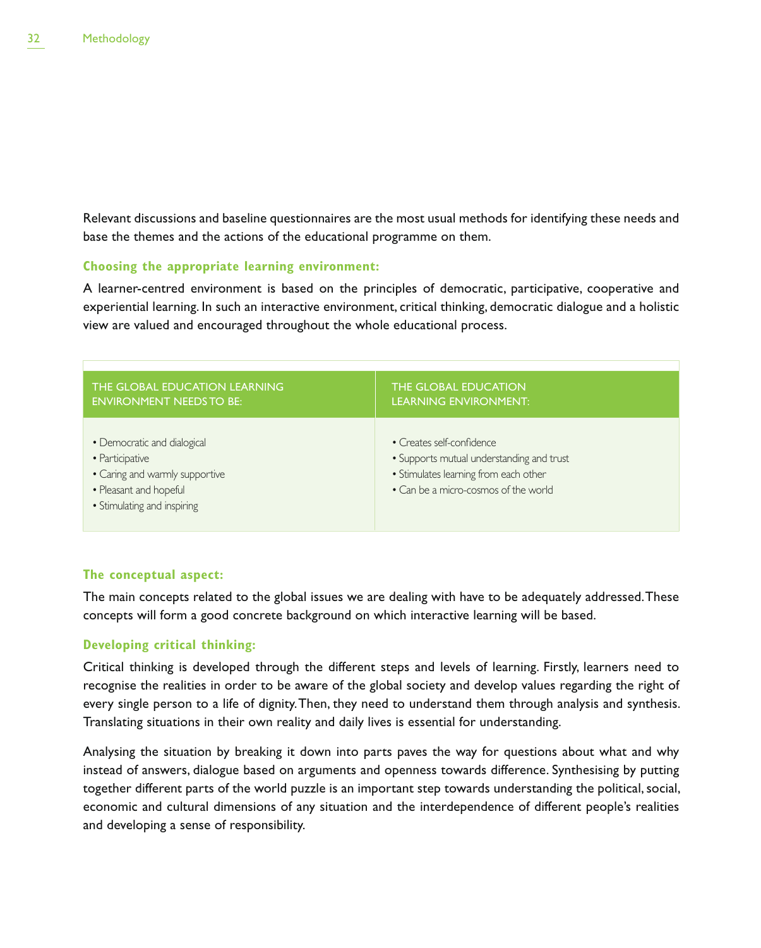Relevant discussions and baseline questionnaires are the most usual methods for identifying these needs and base the themes and the actions of the educational programme on them.

#### **Choosing the appropriate learning environment:**

A learner-centred environment is based on the principles of democratic, participative, cooperative and experiential learning. In such an interactive environment, critical thinking, democratic dialogue and a holistic view are valued and encouraged throughout the whole educational process.

| THE GLOBAL EDUCATION LEARNING                                                                                                             | <b>THE GLOBAL EDUCATION</b>                                                                                                                             |
|-------------------------------------------------------------------------------------------------------------------------------------------|---------------------------------------------------------------------------------------------------------------------------------------------------------|
| <b>ENVIRONMENT NEEDS TO BE:</b>                                                                                                           | <b>LEARNING ENVIRONMENT:</b>                                                                                                                            |
| • Democratic and dialogical<br>• Participative<br>• Caring and warmly supportive<br>• Pleasant and hopeful<br>• Stimulating and inspiring | • Creates self-confidence<br>• Supports mutual understanding and trust<br>• Stimulates learning from each other<br>• Can be a micro-cosmos of the world |

#### **The conceptual aspect:**

The main concepts related to the global issues we are dealing with have to be adequately addressed. These concepts will form a good concrete background on which interactive learning will be based.

#### **Developing critical thinking:**

Critical thinking is developed through the different steps and levels of learning. Firstly, learners need to recognise the realities in order to be aware of the global society and develop values regarding the right of every single person to a life of dignity. Then, they need to understand them through analysis and synthesis. Translating situations in their own reality and daily lives is essential for understanding.

Analysing the situation by breaking it down into parts paves the way for questions about what and why instead of answers, dialogue based on arguments and openness towards difference. Synthesising by putting together different parts of the world puzzle is an important step towards understanding the political, social, economic and cultural dimensions of any situation and the interdependence of different people's realities and developing a sense of responsibility.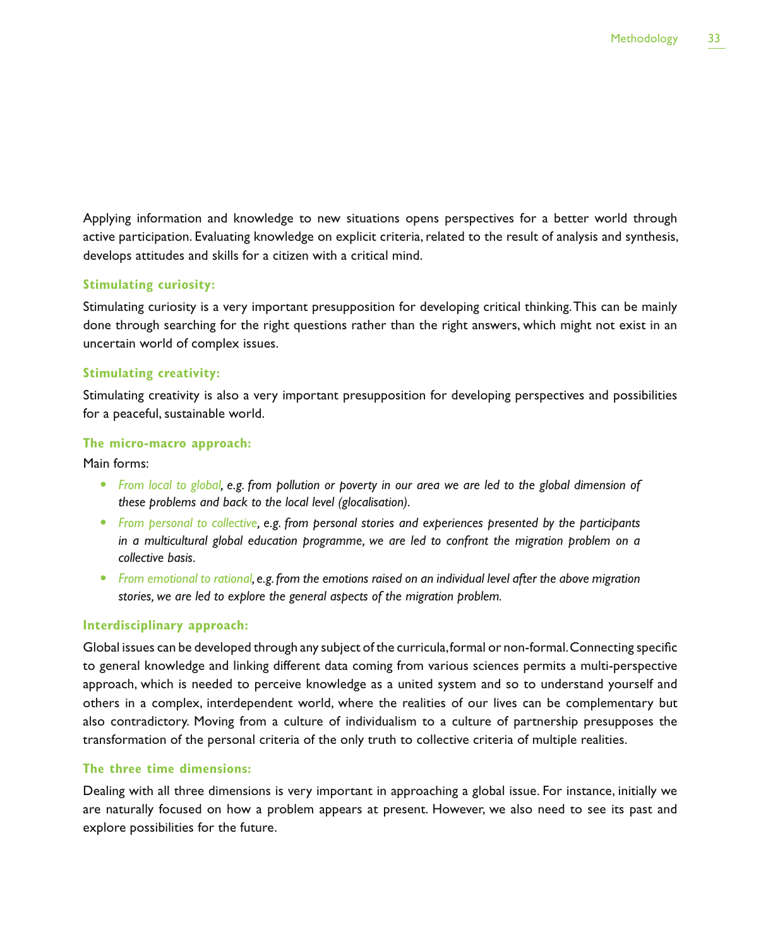Applying information and knowledge to new situations opens perspectives for a better world through active participation. Evaluating knowledge on explicit criteria, related to the result of analysis and synthesis, develops attitudes and skills for a citizen with a critical mind.

#### **Stimulating curiosity:**

Stimulating curiosity is a very important presupposition for developing critical thinking. This can be mainly done through searching for the right questions rather than the right answers, which might not exist in an uncertain world of complex issues.

#### **Stimulating creativity:**

Stimulating creativity is also a very important presupposition for developing perspectives and possibilities for a peaceful, sustainable world.

#### **The micro-macro approach:**

Main forms:

- From local to global, e.g. from pollution or poverty in our area we are led to the global dimension of *these problems and back to the local level (glocalisation).*
- From personal to collective, e.g. from personal stories and experiences presented by the participants *in a multicultural global education programme, we are led to confront the migration problem on a collective basis.*
- **•** From emotional to rational, e.g. from the emotions raised on an individual level after the above migration *stories, we are led to explore the general aspects of the migration problem.*

#### **Interdisciplinary approach:**

Global issues can be developed through any subject of the curricula, formal or non-formal. Connecting specific to general knowledge and linking different data coming from various sciences permits a multi-perspective approach, which is needed to perceive knowledge as a united system and so to understand yourself and others in a complex, interdependent world, where the realities of our lives can be complementary but also contradictory. Moving from a culture of individualism to a culture of partnership presupposes the transformation of the personal criteria of the only truth to collective criteria of multiple realities.

#### **The three time dimensions:**

Dealing with all three dimensions is very important in approaching a global issue. For instance, initially we are naturally focused on how a problem appears at present. However, we also need to see its past and explore possibilities for the future.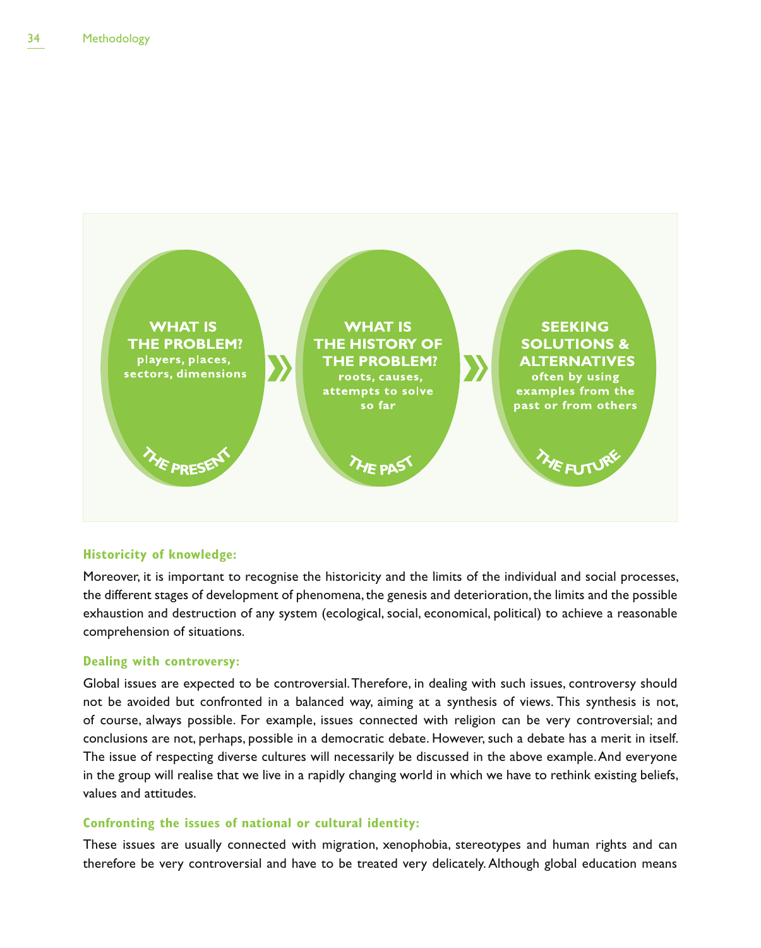

#### **Historicity of knowledge:**

Moreover, it is important to recognise the historicity and the limits of the individual and social processes, the different stages of development of phenomena, the genesis and deterioration, the limits and the possible exhaustion and destruction of any system (ecological, social, economical, political) to achieve a reasonable comprehension of situations.

#### **Dealing with controversy:**

Global issues are expected to be controversial. Therefore, in dealing with such issues, controversy should not be avoided but confronted in a balanced way, aiming at a synthesis of views. This synthesis is not, of course, always possible. For example, issues connected with religion can be very controversial; and conclusions are not, perhaps, possible in a democratic debate. However, such a debate has a merit in itself. The issue of respecting diverse cultures will necessarily be discussed in the above example. And everyone in the group will realise that we live in a rapidly changing world in which we have to rethink existing beliefs, values and attitudes.

#### **Confronting the issues of national or cultural identity:**

These issues are usually connected with migration, xenophobia, stereotypes and human rights and can therefore be very controversial and have to be treated very delicately. Although global education means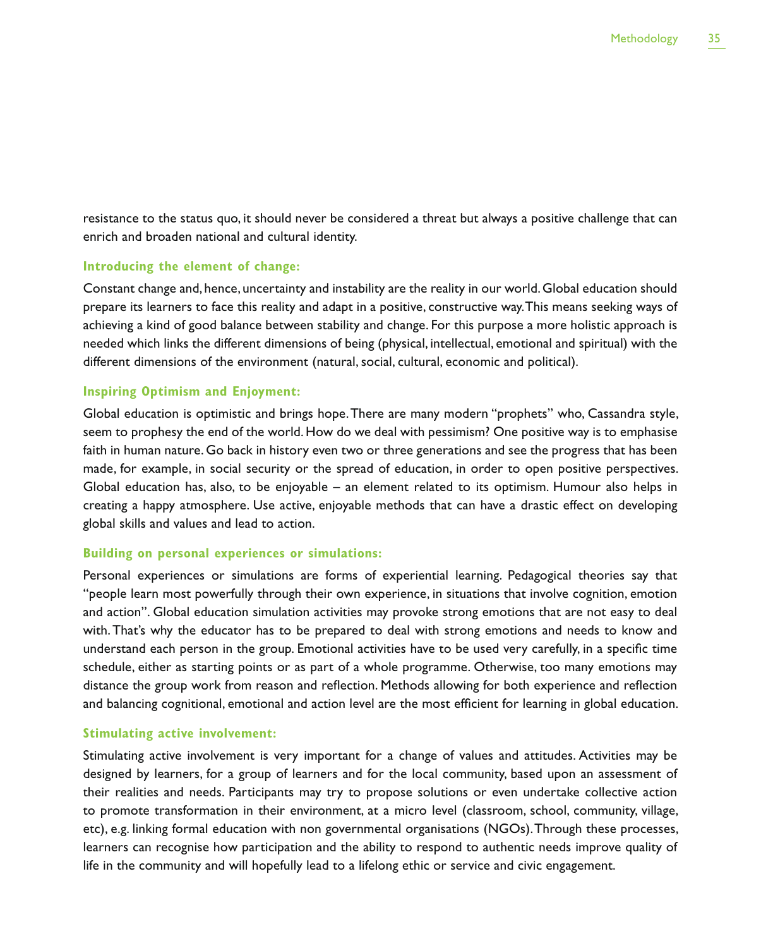resistance to the status quo, it should never be considered a threat but always a positive challenge that can enrich and broaden national and cultural identity.

#### **Introducing the element of change:**

Constant change and, hence, uncertainty and instability are the reality in our world. Global education should prepare its learners to face this reality and adapt in a positive, constructive way. This means seeking ways of achieving a kind of good balance between stability and change. For this purpose a more holistic approach is needed which links the different dimensions of being (physical, intellectual, emotional and spiritual) with the different dimensions of the environment (natural, social, cultural, economic and political).

#### **Inspiring Optimism and Enjoyment:**

Global education is optimistic and brings hope. There are many modern "prophets" who, Cassandra style, seem to prophesy the end of the world. How do we deal with pessimism? One positive way is to emphasise faith in human nature. Go back in history even two or three generations and see the progress that has been made, for example, in social security or the spread of education, in order to open positive perspectives. Global education has, also, to be enjoyable – an element related to its optimism. Humour also helps in creating a happy atmosphere. Use active, enjoyable methods that can have a drastic effect on developing global skills and values and lead to action.

#### **Building on personal experiences or simulations:**

Personal experiences or simulations are forms of experiential learning. Pedagogical theories say that "people learn most powerfully through their own experience, in situations that involve cognition, emotion and action". Global education simulation activities may provoke strong emotions that are not easy to deal with. That's why the educator has to be prepared to deal with strong emotions and needs to know and understand each person in the group. Emotional activities have to be used very carefully, in a specific time schedule, either as starting points or as part of a whole programme. Otherwise, too many emotions may distance the group work from reason and reflection. Methods allowing for both experience and reflection and balancing cognitional, emotional and action level are the most efficient for learning in global education.

#### **Stimulating active involvement:**

Stimulating active involvement is very important for a change of values and attitudes. Activities may be designed by learners, for a group of learners and for the local community, based upon an assessment of their realities and needs. Participants may try to propose solutions or even undertake collective action to promote transformation in their environment, at a micro level (classroom, school, community, village, etc), e.g. linking formal education with non governmental organisations (NGOs). Through these processes, learners can recognise how participation and the ability to respond to authentic needs improve quality of life in the community and will hopefully lead to a lifelong ethic or service and civic engagement.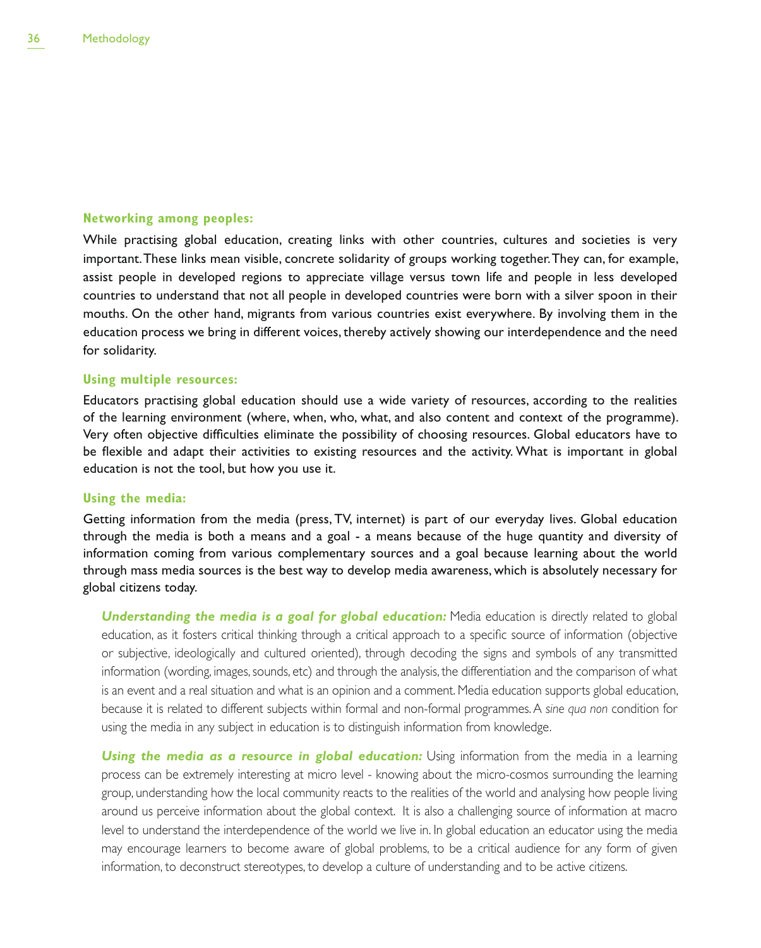## **Networking among peoples:**

While practising global education, creating links with other countries, cultures and societies is very important. These links mean visible, concrete solidarity of groups working together. They can, for example, assist people in developed regions to appreciate village versus town life and people in less developed countries to understand that not all people in developed countries were born with a silver spoon in their mouths. On the other hand, migrants from various countries exist everywhere. By involving them in the education process we bring in different voices, thereby actively showing our interdependence and the need for solidarity.

## **Using multiple resources:**

Educators practising global education should use a wide variety of resources, according to the realities of the learning environment (where, when, who, what, and also content and context of the programme). Very often objective difficulties eliminate the possibility of choosing resources. Global educators have to be flexible and adapt their activities to existing resources and the activity. What is important in global education is not the tool, but how you use it.

## **Using the media:**

Getting information from the media (press, TV, internet) is part of our everyday lives. Global education through the media is both a means and a goal - a means because of the huge quantity and diversity of information coming from various complementary sources and a goal because learning about the world through mass media sources is the best way to develop media awareness, which is absolutely necessary for global citizens today.

**Understanding the media is a goal for global education:** Media education is directly related to global education, as it fosters critical thinking through a critical approach to a specific source of information (objective or subjective, ideologically and cultured oriented), through decoding the signs and symbols of any transmitted information (wording, images, sounds, etc) and through the analysis, the differentiation and the comparison of what is an event and a real situation and what is an opinion and a comment. Media education supports global education, because it is related to different subjects within formal and non-formal programmes. A *sine qua non* condition for using the media in any subject in education is to distinguish information from knowledge.

**Using the media as a resource in global education:** Using information from the media in a learning process can be extremely interesting at micro level - knowing about the micro-cosmos surrounding the learning group, understanding how the local community reacts to the realities of the world and analysing how people living around us perceive information about the global context. It is also a challenging source of information at macro level to understand the interdependence of the world we live in. In global education an educator using the media may encourage learners to become aware of global problems, to be a critical audience for any form of given information, to deconstruct stereotypes, to develop a culture of understanding and to be active citizens.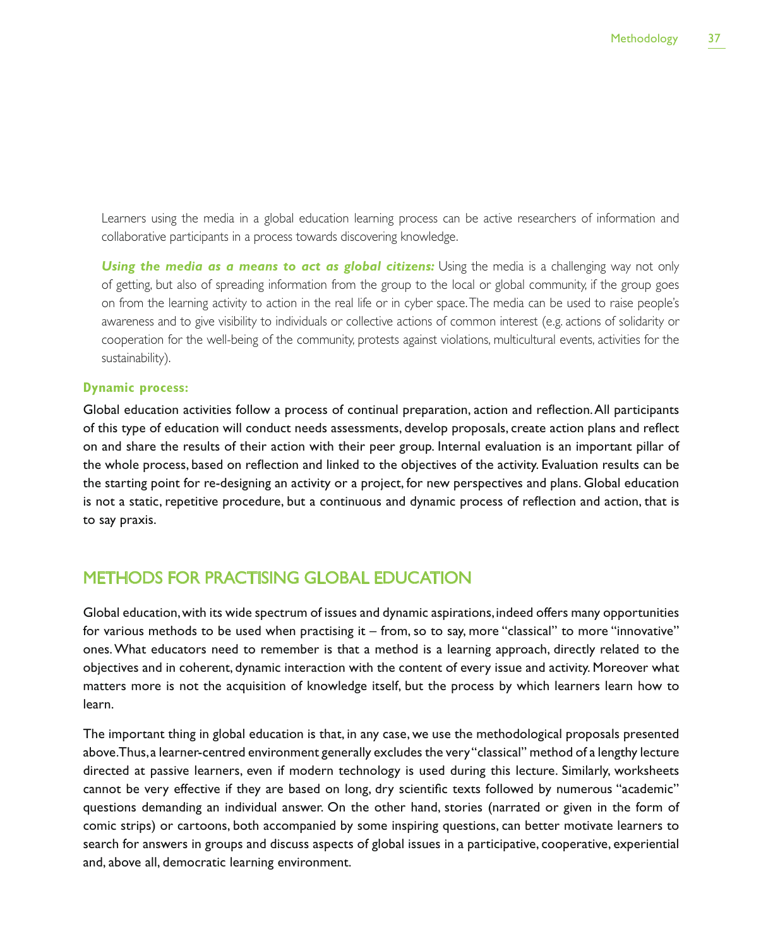Learners using the media in a global education learning process can be active researchers of information and collaborative participants in a process towards discovering knowledge.

**Using the media as a means to act as global citizens:** Using the media is a challenging way not only of getting, but also of spreading information from the group to the local or global community, if the group goes on from the learning activity to action in the real life or in cyber space. The media can be used to raise people's awareness and to give visibility to individuals or collective actions of common interest (e.g. actions of solidarity or cooperation for the well-being of the community, protests against violations, multicultural events, activities for the sustainability).

## **Dynamic process:**

Global education activities follow a process of continual preparation, action and reflection. All participants of this type of education will conduct needs assessments, develop proposals, create action plans and reflect on and share the results of their action with their peer group. Internal evaluation is an important pillar of the whole process, based on reflection and linked to the objectives of the activity. Evaluation results can be the starting point for re-designing an activity or a project, for new perspectives and plans. Global education is not a static, repetitive procedure, but a continuous and dynamic process of reflection and action, that is to say praxis.

## METHODS FOR PRACTISING GLOBAL EDUCATION

Global education, with its wide spectrum of issues and dynamic aspirations, indeed offers many opportunities for various methods to be used when practising it – from, so to say, more "classical" to more "innovative" ones. What educators need to remember is that a method is a learning approach, directly related to the objectives and in coherent, dynamic interaction with the content of every issue and activity. Moreover what matters more is not the acquisition of knowledge itself, but the process by which learners learn how to learn.

The important thing in global education is that, in any case, we use the methodological proposals presented above. Thus, a learner-centred environment generally excludes the very "classical" method of a lengthy lecture directed at passive learners, even if modern technology is used during this lecture. Similarly, worksheets cannot be very effective if they are based on long, dry scientific texts followed by numerous "academic" questions demanding an individual answer. On the other hand, stories (narrated or given in the form of comic strips) or cartoons, both accompanied by some inspiring questions, can better motivate learners to search for answers in groups and discuss aspects of global issues in a participative, cooperative, experiential and, above all, democratic learning environment.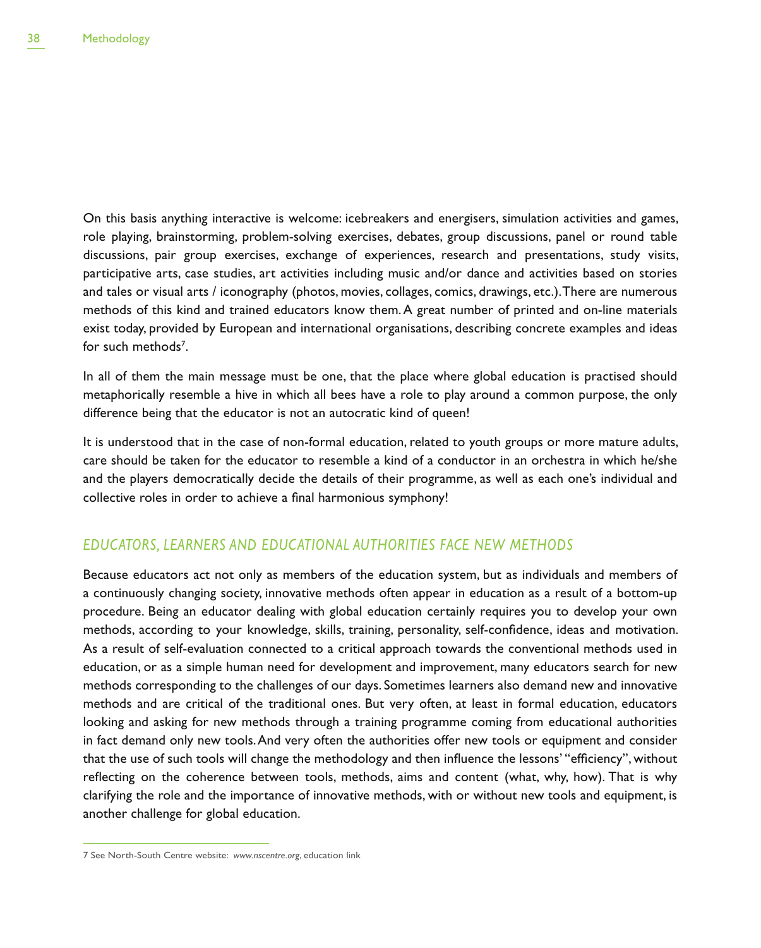On this basis anything interactive is welcome: icebreakers and energisers, simulation activities and games, role playing, brainstorming, problem-solving exercises, debates, group discussions, panel or round table discussions, pair group exercises, exchange of experiences, research and presentations, study visits, participative arts, case studies, art activities including music and/or dance and activities based on stories and tales or visual arts / iconography (photos, movies, collages, comics, drawings, etc.). There are numerous methods of this kind and trained educators know them. A great number of printed and on-line materials exist today, provided by European and international organisations, describing concrete examples and ideas for such methods<sup>7</sup>.

In all of them the main message must be one, that the place where global education is practised should metaphorically resemble a hive in which all bees have a role to play around a common purpose, the only difference being that the educator is not an autocratic kind of queen!

It is understood that in the case of non-formal education, related to youth groups or more mature adults, care should be taken for the educator to resemble a kind of a conductor in an orchestra in which he/she and the players democratically decide the details of their programme, as well as each one's individual and collective roles in order to achieve a final harmonious symphony!

## *EDUCATORS, LEARNERS AND EDUCATIONAL AUTHORITIES FACE NEW METHODS*

Because educators act not only as members of the education system, but as individuals and members of a continuously changing society, innovative methods often appear in education as a result of a bottom-up procedure. Being an educator dealing with global education certainly requires you to develop your own methods, according to your knowledge, skills, training, personality, self-confidence, ideas and motivation. As a result of self-evaluation connected to a critical approach towards the conventional methods used in education, or as a simple human need for development and improvement, many educators search for new methods corresponding to the challenges of our days. Sometimes learners also demand new and innovative methods and are critical of the traditional ones. But very often, at least in formal education, educators looking and asking for new methods through a training programme coming from educational authorities in fact demand only new tools. And very often the authorities offer new tools or equipment and consider that the use of such tools will change the methodology and then influence the lessons' "efficiency", without reflecting on the coherence between tools, methods, aims and content (what, why, how). That is why clarifying the role and the importance of innovative methods, with or without new tools and equipment, is another challenge for global education.

<sup>7</sup> See North-South Centre website: *www.nscentre.org*, education link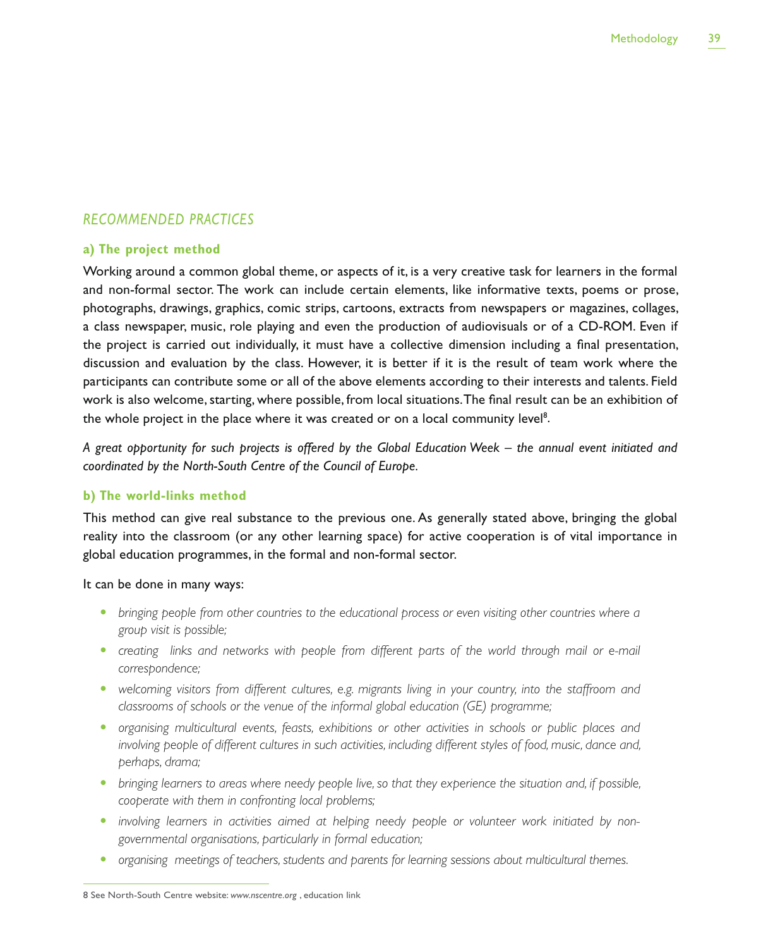## *RECOMMENDED PRACTICES*

## **a) The project method**

Working around a common global theme, or aspects of it, is a very creative task for learners in the formal and non-formal sector. The work can include certain elements, like informative texts, poems or prose, photographs, drawings, graphics, comic strips, cartoons, extracts from newspapers or magazines, collages, a class newspaper, music, role playing and even the production of audiovisuals or of a CD-ROM. Even if the project is carried out individually, it must have a collective dimension including a final presentation, discussion and evaluation by the class. However, it is better if it is the result of team work where the participants can contribute some or all of the above elements according to their interests and talents. Field work is also welcome, starting, where possible, from local situations. The final result can be an exhibition of the whole project in the place where it was created or on a local community level<sup>8</sup>.

*A great opportunity for such projects is offered by the Global Education Week – the annual event initiated and coordinated by the North-South Centre of the Council of Europe.*

## **b) The world-links method**

This method can give real substance to the previous one. As generally stated above, bringing the global reality into the classroom (or any other learning space) for active cooperation is of vital importance in global education programmes, in the formal and non-formal sector.

It can be done in many ways:

- bringing people from other countries to the educational process or even visiting other countries where a *group visit is possible;*
- creating links and networks with people from different parts of the world through mail or e-mail *correspondence;*
- welcoming visitors from different cultures, e.g. migrants living in your country, into the staffroom and *classrooms of schools or the venue of the informal global education (GE) programme;*
- organising multicultural events, feasts, exhibitions or other activities in schools or public places and *involving people of different cultures in such activities, including different styles of food, music, dance and, perhaps, drama;*
- bringing learners to areas where needy people live, so that they experience the situation and, if possible, *cooperate with them in confronting local problems;*
- involving learners in activities aimed at helping needy people or volunteer work initiated by non*governmental organisations, particularly in formal education;*
- organising meetings of teachers, students and parents for learning sessions about multicultural themes.

<sup>8</sup> See North-South Centre website: *www.nscentre.org* , education link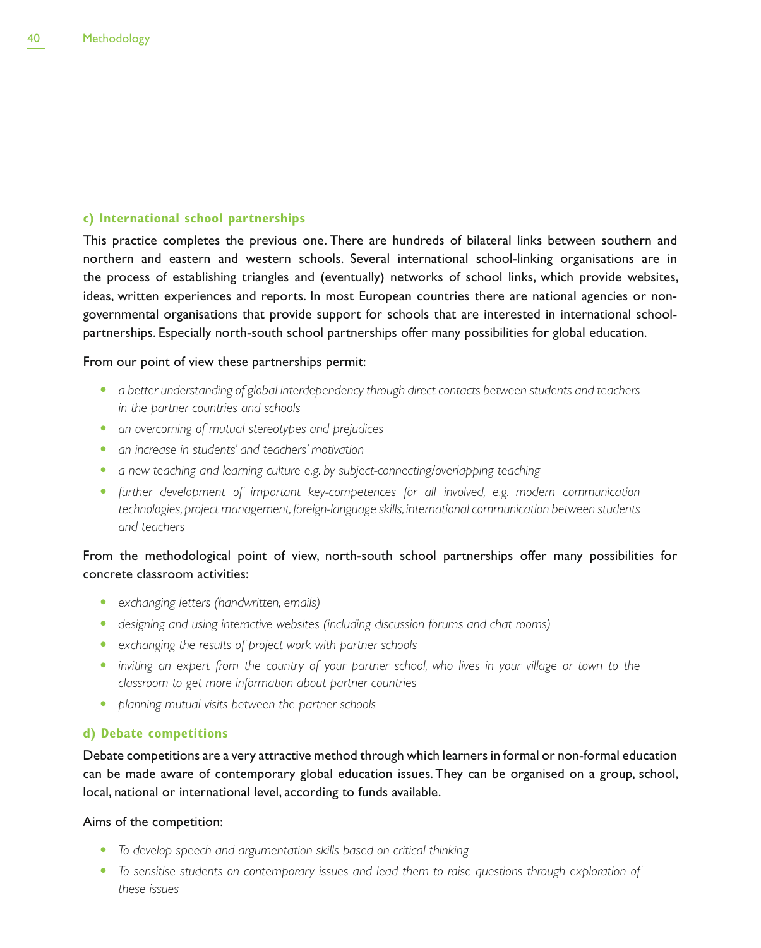## **c) International school partnerships**

This practice completes the previous one. There are hundreds of bilateral links between southern and northern and eastern and western schools. Several international school-linking organisations are in the process of establishing triangles and (eventually) networks of school links, which provide websites, ideas, written experiences and reports. In most European countries there are national agencies or nongovernmental organisations that provide support for schools that are interested in international schoolpartnerships. Especially north-south school partnerships offer many possibilities for global education.

## From our point of view these partnerships permit:

- **•** a better understanding of global interdependency through direct contacts between students and teachers *in the partner countries and schools*
- **•** an overcoming of mutual stereotypes and prejudices
- **•** an increase in students' and teachers' motivation
- **•** *a new teaching and learning culture e.g. by subject-connecting/overlapping teaching*
- further development of important key-competences for all involved, e.g. modern communication *technologies, project management, foreign-language skills, international communication between students and teachers*

## From the methodological point of view, north-south school partnerships offer many possibilities for concrete classroom activities:

- exchanging letters (handwritten, emails)
- designing and using interactive websites (including discussion forums and chat rooms)
- **•** exchanging the results of project work with partner schools
- inviting an expert from the country of your partner school, who lives in your village or town to the *classroom to get more information about partner countries*
- planning mutual visits between the partner schools

## **d) Debate competitions**

Debate competitions are a very attractive method through which learners in formal or non-formal education can be made aware of contemporary global education issues. They can be organised on a group, school, local, national or international level, according to funds available.

Aims of the competition:

- t *To develop speech and argumentation skills based on critical thinking*
- To sensitise students on contemporary issues and lead them to raise questions through exploration of *these issues*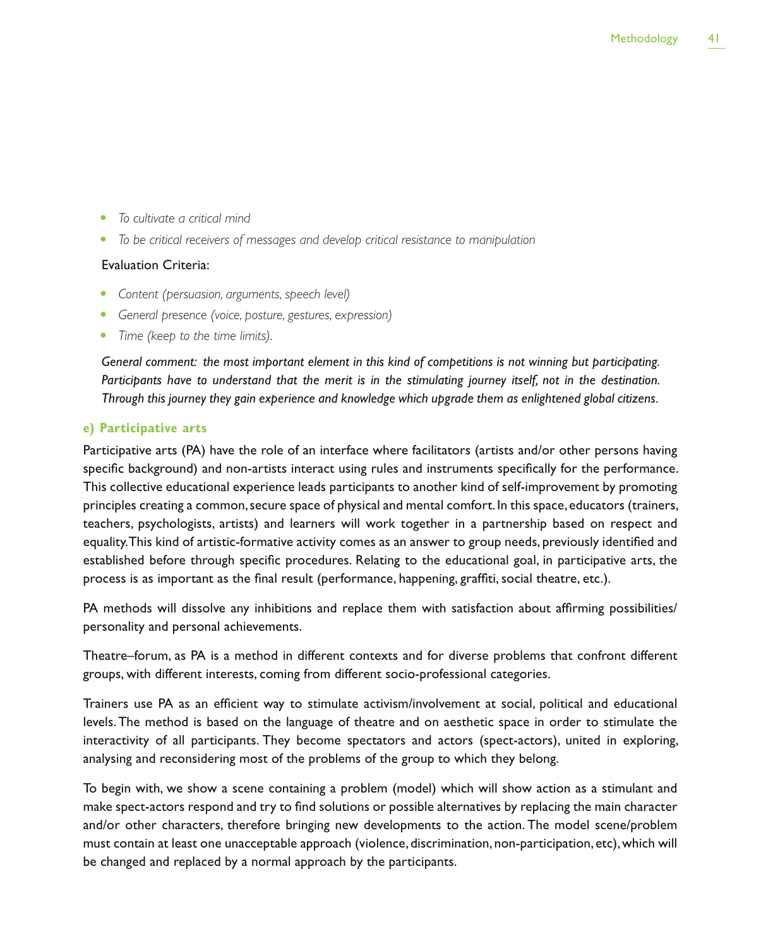- To cultivate a critical mind
- t *To be critical receivers of messages and develop critical resistance to manipulation*

## Evaluation Criteria:

- Content (persuasion, arguments, speech level)
- **•** General presence (voice, posture, gestures, expression)
- Time (keep to the time limits).

*General comment: the most important element in this kind of competitions is not winning but participating.*  Participants have to understand that the merit is in the stimulating journey itself, not in the destination. *Through this journey they gain experience and knowledge which upgrade them as enlightened global citizens.*

## **e) Participative arts**

Participative arts (PA) have the role of an interface where facilitators (artists and/or other persons having specific background) and non-artists interact using rules and instruments specifically for the performance. This collective educational experience leads participants to another kind of self-improvement by promoting principles creating a common, secure space of physical and mental comfort. In this space, educators (trainers, teachers, psychologists, artists) and learners will work together in a partnership based on respect and equality. This kind of artistic-formative activity comes as an answer to group needs, previously identified and established before through specific procedures. Relating to the educational goal, in participative arts, the process is as important as the final result (performance, happening, graffiti, social theatre, etc.).

PA methods will dissolve any inhibitions and replace them with satisfaction about affirming possibilities/ personality and personal achievements.

Theatre–forum, as PA is a method in different contexts and for diverse problems that confront different groups, with different interests, coming from different socio-professional categories.

Trainers use PA as an efficient way to stimulate activism/involvement at social, political and educational levels. The method is based on the language of theatre and on aesthetic space in order to stimulate the interactivity of all participants. They become spectators and actors (spect-actors), united in exploring, analysing and reconsidering most of the problems of the group to which they belong.

To begin with, we show a scene containing a problem (model) which will show action as a stimulant and make spect-actors respond and try to find solutions or possible alternatives by replacing the main character and/or other characters, therefore bringing new developments to the action. The model scene/problem must contain at least one unacceptable approach (violence, discrimination, non-participation, etc), which will be changed and replaced by a normal approach by the participants.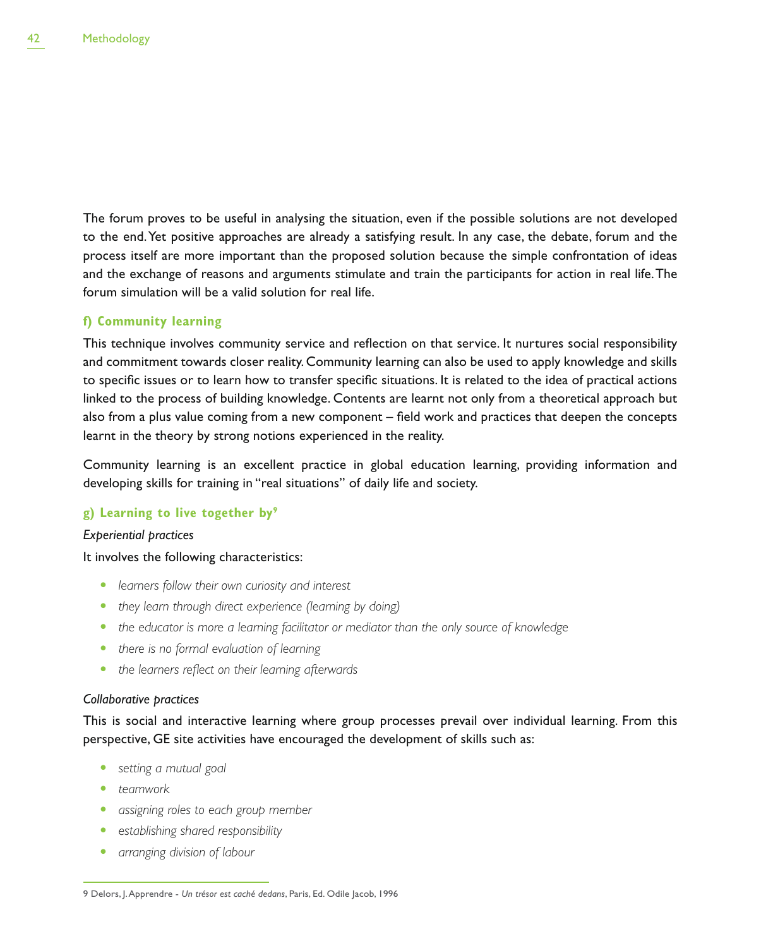The forum proves to be useful in analysing the situation, even if the possible solutions are not developed to the end. Yet positive approaches are already a satisfying result. In any case, the debate, forum and the process itself are more important than the proposed solution because the simple confrontation of ideas and the exchange of reasons and arguments stimulate and train the participants for action in real life. The forum simulation will be a valid solution for real life.

## **f) Community learning**

This technique involves community service and reflection on that service. It nurtures social responsibility and commitment towards closer reality. Community learning can also be used to apply knowledge and skills to specific issues or to learn how to transfer specific situations. It is related to the idea of practical actions linked to the process of building knowledge. Contents are learnt not only from a theoretical approach but also from a plus value coming from a new component – field work and practices that deepen the concepts learnt in the theory by strong notions experienced in the reality.

Community learning is an excellent practice in global education learning, providing information and developing skills for training in "real situations" of daily life and society.

## **g) Learning to live together by9**

## *Experiential practices*

## It involves the following characteristics:

- **•** learners follow their own curiosity and interest
- they learn through direct experience (learning by doing)
- the educator is more a learning facilitator or mediator than the only source of knowledge
- there is no formal evaluation of learning
- the learners reflect on their learning afterwards

## *Collaborative practices*

This is social and interactive learning where group processes prevail over individual learning. From this perspective, GE site activities have encouraged the development of skills such as:

- **•** setting a mutual goal
- teamwork
- **•** assigning roles to each group member
- **•** establishing shared responsibility
- **•** arranging division of labour

<sup>9</sup> Delors, J. Apprendre - *Un trésor est caché dedans*, Paris, Ed. Odile Jacob, 1996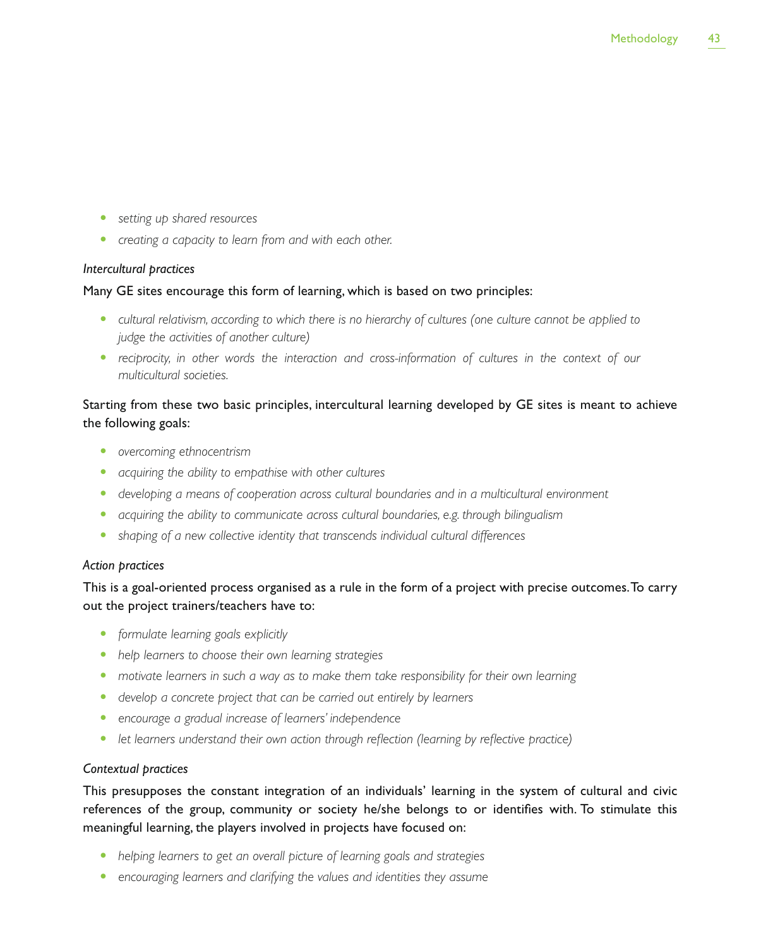- **•** setting up shared resources
- creating a capacity to learn from and with each other.

## *Intercultural practices*

## Many GE sites encourage this form of learning, which is based on two principles:

- t *cultural relativism, according to which there is no hierarchy of cultures (one culture cannot be applied to judge the activities of another culture)*
- reciprocity, in other words the interaction and cross-information of cultures in the context of our *multicultural societies.*

## Starting from these two basic principles, intercultural learning developed by GE sites is meant to achieve the following goals:

- **•** overcoming ethnocentrism
- **•** *acquiring the ability to empathise with other cultures*
- t *developing a means of cooperation across cultural boundaries and in a multicultural environment*
- acquiring the ability to communicate across cultural boundaries, e.g. through bilingualism
- shaping of a new collective identity that transcends individual cultural differences

## *Action practices*

This is a goal-oriented process organised as a rule in the form of a project with precise outcomes. To carry out the project trainers/teachers have to:

- **•** formulate learning goals explicitly
- help learners to choose their own learning strategies
- **•** motivate learners in such a way as to make them take responsibility for their own learning
- develop a concrete project that can be carried out entirely by learners
- **•** encourage a gradual increase of learners' independence
- let learners understand their own action through reflection (learning by reflective practice)

## *Contextual practices*

This presupposes the constant integration of an individuals' learning in the system of cultural and civic references of the group, community or society he/she belongs to or identifies with. To stimulate this meaningful learning, the players involved in projects have focused on:

- helping learners to get an overall picture of learning goals and strategies
- **•** encouraging learners and clarifying the values and identities they assume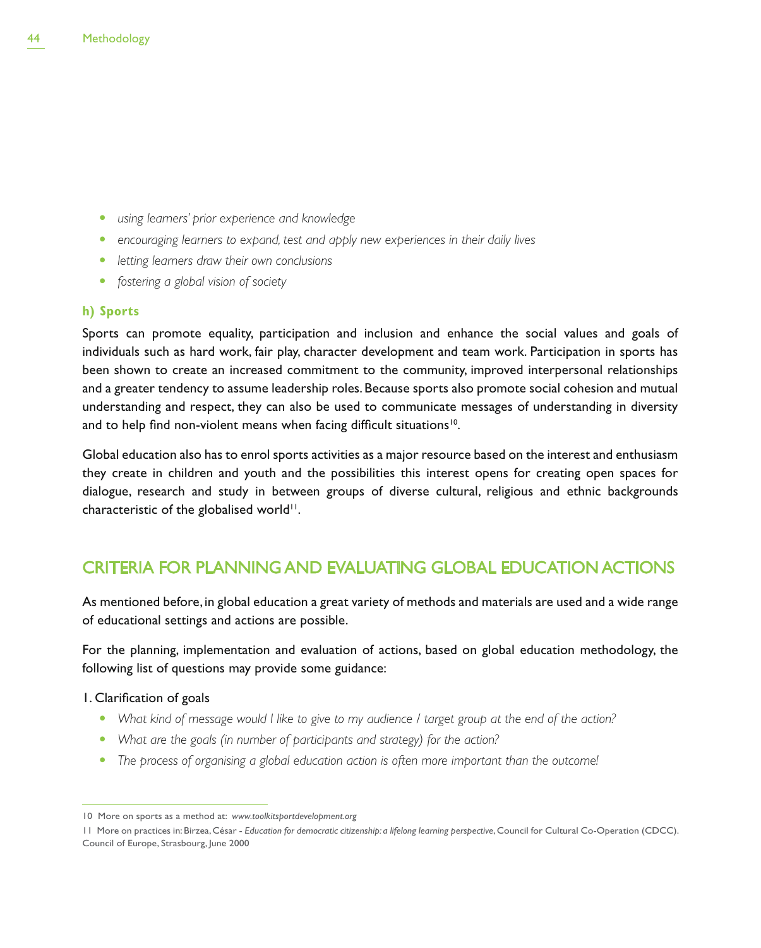- **•** using learners' prior experience and knowledge
- **•** encouraging learners to expand, test and apply new experiences in their daily lives
- **•** letting learners draw their own conclusions
- **•** fostering a global vision of society

## **h) Sports**

Sports can promote equality, participation and inclusion and enhance the social values and goals of individuals such as hard work, fair play, character development and team work. Participation in sports has been shown to create an increased commitment to the community, improved interpersonal relationships and a greater tendency to assume leadership roles. Because sports also promote social cohesion and mutual understanding and respect, they can also be used to communicate messages of understanding in diversity and to help find non-violent means when facing difficult situations<sup>10</sup>.

Global education also has to enrol sports activities as a major resource based on the interest and enthusiasm they create in children and youth and the possibilities this interest opens for creating open spaces for dialogue, research and study in between groups of diverse cultural, religious and ethnic backgrounds characteristic of the globalised world<sup>11</sup>.

## CRITERIA FOR PLANNING AND EVALUATING GLOBAL EDUCATION ACTIONS

As mentioned before, in global education a great variety of methods and materials are used and a wide range of educational settings and actions are possible.

For the planning, implementation and evaluation of actions, based on global education methodology, the following list of questions may provide some guidance:

## 1. Clarification of goals

- What kind of message would I like to give to my audience I target group at the end of the action?
- What are the goals (in number of participants and strategy) for the action?
- The process of organising a global education action is often more important than the outcome!

<sup>10</sup> More on sports as a method at: *www.toolkitsportdevelopment.org*

<sup>11</sup> More on practices in: Birzea, César - *Education for democratic citizenship: a lifelong learning perspective*, Council for Cultural Co-Operation (CDCC). Council of Europe, Strasbourg, June 2000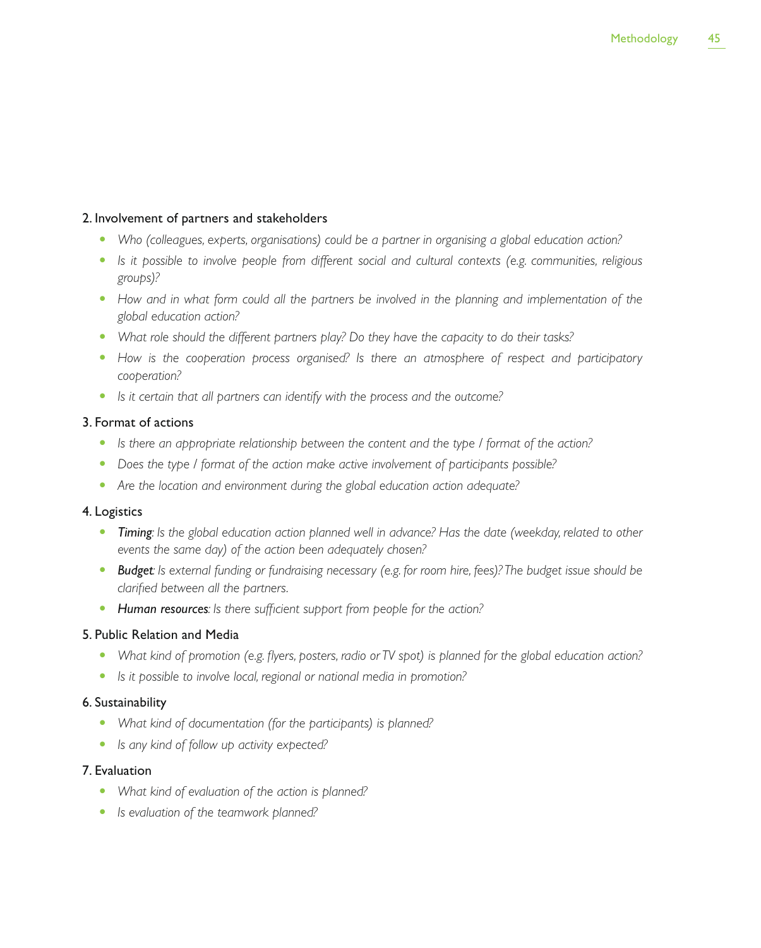## 2. Involvement of partners and stakeholders

- Who (colleagues, experts, organisations) could be a partner in organising a global education action?
- Is it possible to involve people from different social and cultural contexts (e.g. communities, religious *groups)?*
- How and in what form could all the partners be involved in the planning and implementation of the *global education action?*
- What role should the different partners play? Do they have the capacity to do their tasks?
- How is the cooperation process organised? Is there an atmosphere of respect and participatory *cooperation?*
- **•** Is it certain that all partners can identify with the process and the outcome?

## 3. Format of actions

- Is there an appropriate relationship between the content and the type / format of the action?
- Does the type / format of the action make active involvement of participants possible?
- Are the location and environment during the global education action adequate?

## 4. Logistics

- **Timing**: Is the global education action planned well in advance? Has the date (weekday, related to other *events the same day) of the action been adequately chosen?*
- **Budget**: Is external funding or fundraising necessary (e.g. for room hire, fees)? The budget issue should be *clarified between all the partners.*
- Human resources: Is there sufficient support from people for the action?

## 5. Public Relation and Media

- What kind of promotion (e.g. flyers, posters, radio or TV spot) is planned for the global education action?
- **•** Is it possible to involve local, regional or national media in promotion?

## 6. Sustainability

- What kind of documentation (for the participants) is planned?
- Is any kind of follow up activity expected?

## 7. Evaluation

- What kind of evaluation of the action is planned?
- Is evaluation of the teamwork planned?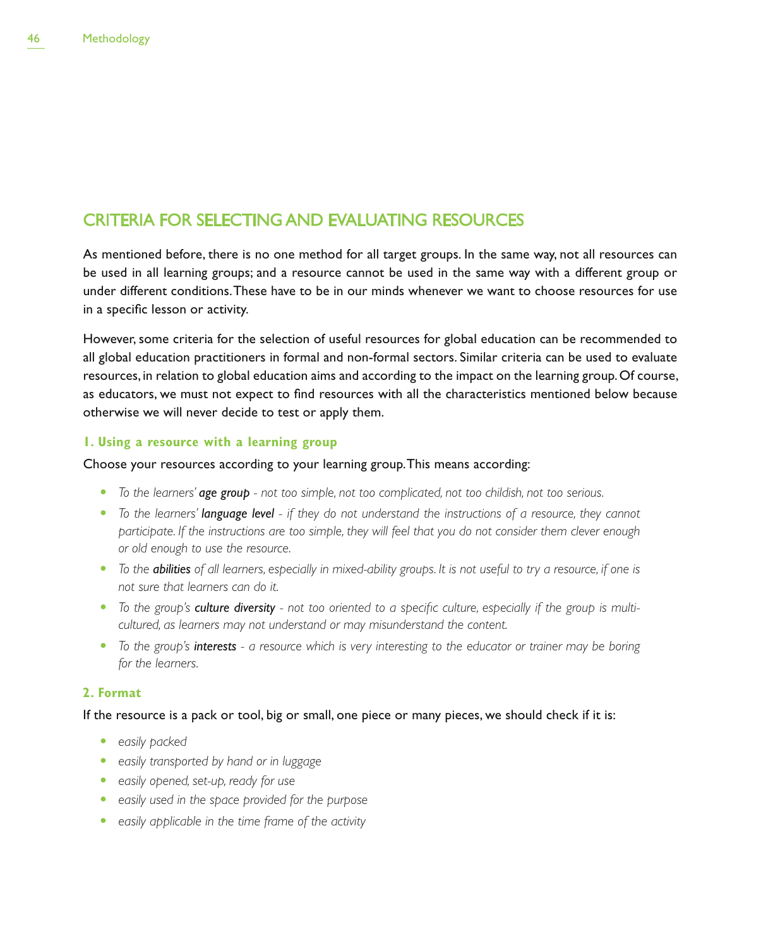## CRITERIA FOR SELECTING AND EVALUATING RESOURCES

As mentioned before, there is no one method for all target groups. In the same way, not all resources can be used in all learning groups; and a resource cannot be used in the same way with a different group or under different conditions. These have to be in our minds whenever we want to choose resources for use in a specific lesson or activity.

However, some criteria for the selection of useful resources for global education can be recommended to all global education practitioners in formal and non-formal sectors. Similar criteria can be used to evaluate resources, in relation to global education aims and according to the impact on the learning group. Of course, as educators, we must not expect to find resources with all the characteristics mentioned below because otherwise we will never decide to test or apply them.

## **1. Using a resource with a learning group**

## Choose your resources according to your learning group. This means according:

- t *To the learners' age group not too simple, not too complicated, not too childish, not too serious.*
- t *To the learners' language level if they do not understand the instructions of a resource, they cannot participate. If the instructions are too simple, they will feel that you do not consider them clever enough or old enough to use the resource.*
- To the **abilities** of all learners, especially in mixed-ability groups. It is not useful to try a resource, if one is *not sure that learners can do it.*
- To the group's *culture diversity* not too oriented to a specific culture, especially if the group is multi*cultured, as learners may not understand or may misunderstand the content.*
- t *To the group's interests a resource which is very interesting to the educator or trainer may be boring for the learners.*

## **2. Format**

If the resource is a pack or tool, big or small, one piece or many pieces, we should check if it is:

- easily packed
- **•** easily transported by hand or in luggage
- **•** easily opened, set-up, ready for use
- **•** easily used in the space provided for the purpose
- **•** easily applicable in the time frame of the activity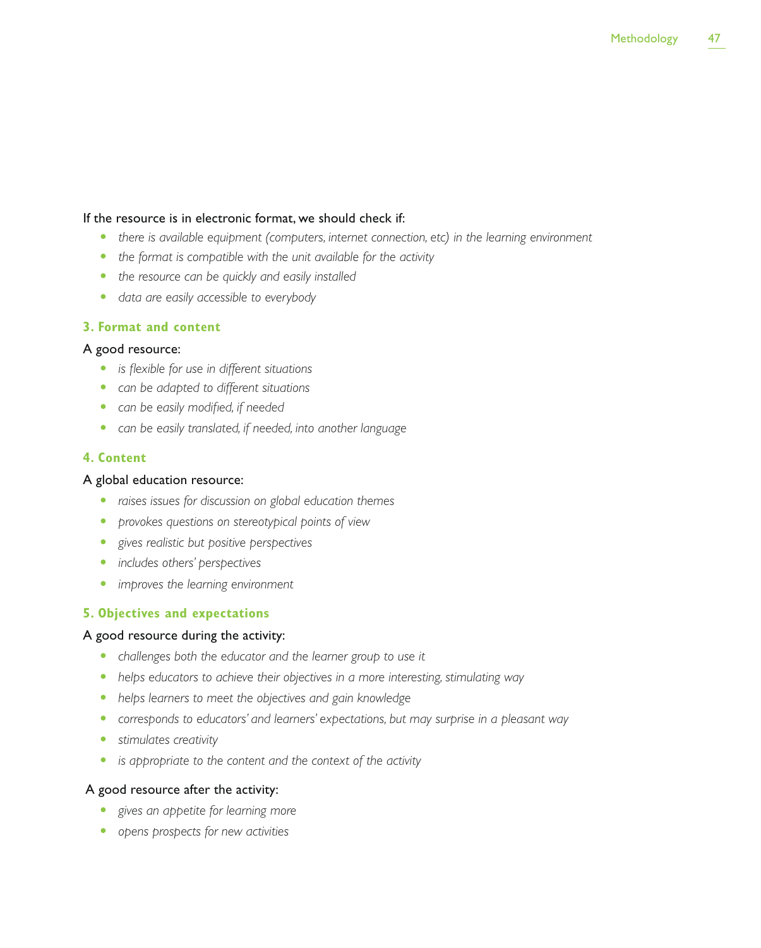## If the resource is in electronic format, we should check if:

- there is available equipment (computers, internet connection, etc) in the learning environment
- the format is compatible with the unit available for the activity
- the resource can be quickly and easily installed
- t *data are easily accessible to everybody*

## **3. Format and content**

## A good resource:

- **•** *is flexible for use in different situations*
- can be adapted to different situations
- can be easily modified, if needed
- can be easily translated, if needed, into another language

## **4. Content**

## A global education resource:

- **•** raises issues for discussion on global education themes
- **•** *provokes questions on stereotypical points of view*
- **•** gives realistic but positive perspectives
- **•** *includes others' perspectives*
- **•** *improves the learning environment*

## **5. Objectives and expectations**

## A good resource during the activity:

- challenges both the educator and the learner group to use it
- helps educators to achieve their objectives in a more interesting, stimulating way
- helps learners to meet the objectives and gain knowledge
- **•** corresponds to educators' and learners' expectations, but may surprise in a pleasant way
- **•** stimulates creativity
- **•** is appropriate to the content and the context of the activity

## A good resource after the activity:

- **•** gives an appetite for learning more
- **•** opens prospects for new activities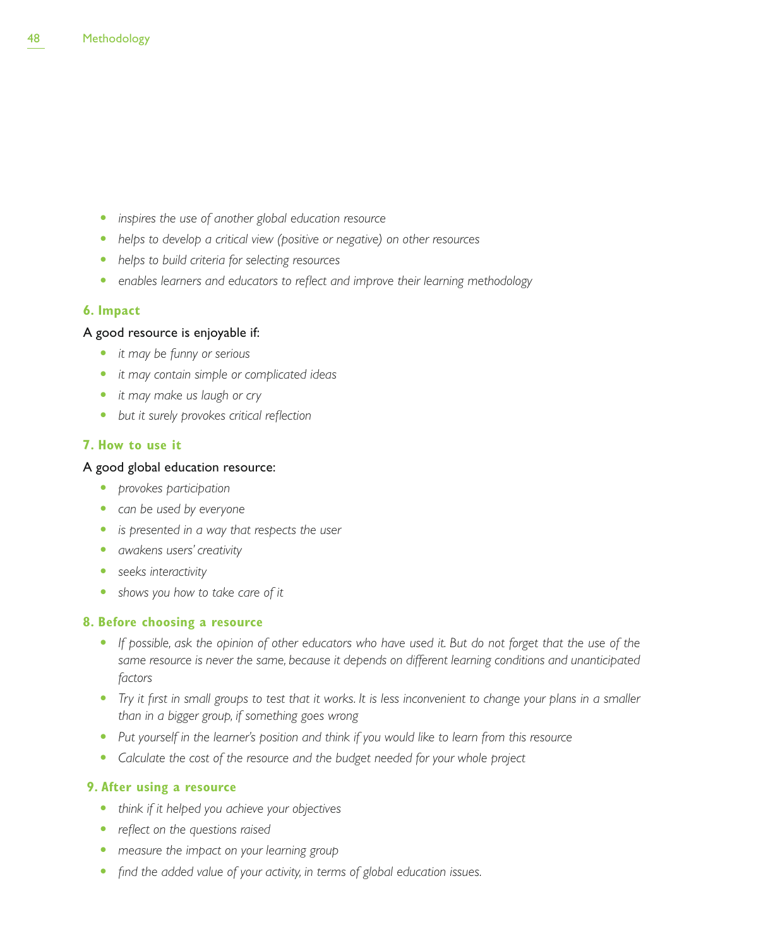- **•** inspires the use of another global education resource
- helps to develop a critical view (positive or negative) on other resources
- **•** helps to build criteria for selecting resources
- **•** enables learners and educators to reflect and improve their learning methodology

## **6. Impact**

## A good resource is enjoyable if:

- **•** *it may be funny or serious*
- t *it may contain simple or complicated ideas*
- *it may make us laugh or cry*
- but it surely provokes critical reflection

## **7. How to use it**

## A good global education resource:

- **•** *provokes participation*
- can be used by everyone
- **•** is presented in a way that respects the user
- **•** *awakens users' creativity*
- **•** seeks interactivity
- shows you how to take care of it

## **8. Before choosing a resource**

- If possible, ask the opinion of other educators who have used it. But do not forget that the use of the *same resource is never the same, because it depends on different learning conditions and unanticipated factors*
- *Try it first in small groups to test that it works. It is less inconvenient to change your plans in a smaller than in a bigger group, if something goes wrong*
- Put yourself in the learner's position and think if you would like to learn from this resource
- Calculate the cost of the resource and the budget needed for your whole project

## **9. After using a resource**

- **•** think if it helped you achieve your objectives
- *reflect on the questions raised*
- measure the *impact on your learning group*
- find the added value of your activity, in terms of global education issues.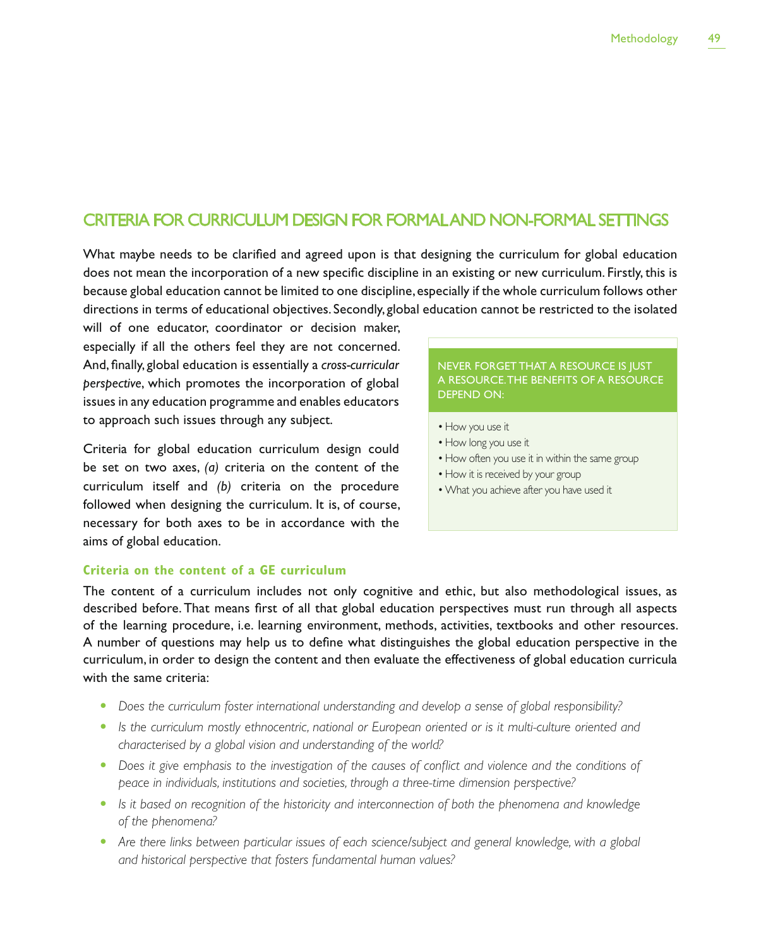## CRITERIA FOR CURRICULUM DESIGN FOR FORMAL AND NON-FORMAL SETTINGS

What maybe needs to be clarified and agreed upon is that designing the curriculum for global education does not mean the incorporation of a new specific discipline in an existing or new curriculum. Firstly, this is because global education cannot be limited to one discipline, especially if the whole curriculum follows other directions in terms of educational objectives. Secondly, global education cannot be restricted to the isolated

will of one educator, coordinator or decision maker, especially if all the others feel they are not concerned. And, finally, global education is essentially a *cross-curricular perspective*, which promotes the incorporation of global issues in any education programme and enables educators to approach such issues through any subject.

Criteria for global education curriculum design could be set on two axes, *(a)* criteria on the content of the curriculum itself and *(b)* criteria on the procedure followed when designing the curriculum. It is, of course, necessary for both axes to be in accordance with the aims of global education.

## NEVER FORGET THAT A RESOURCE IS JUST A RESOURCE. THE BENEFITS OF A RESOURCE DEPEND ON:

- How you use it
- How long you use it
- How often you use it in within the same group
- How it is received by your group
- What you achieve after you have used it

## **Criteria on the content of a GE curriculum**

The content of a curriculum includes not only cognitive and ethic, but also methodological issues, as described before. That means first of all that global education perspectives must run through all aspects of the learning procedure, i.e. learning environment, methods, activities, textbooks and other resources. A number of questions may help us to define what distinguishes the global education perspective in the curriculum, in order to design the content and then evaluate the effectiveness of global education curricula with the same criteria:

- Does the curriculum foster international understanding and develop a sense of global responsibility?
- Is the curriculum mostly ethnocentric, national or European oriented or is it multi-culture oriented and *characterised by a global vision and understanding of the world?*
- Does it give emphasis to the investigation of the causes of conflict and violence and the conditions of *peace in individuals, institutions and societies, through a three-time dimension perspective?*
- **•** Is it based on recognition of the historicity and interconnection of both the phenomena and knowledge *of the phenomena?*
- Are there links between particular issues of each science/subject and general knowledge, with a global *and historical perspective that fosters fundamental human values?*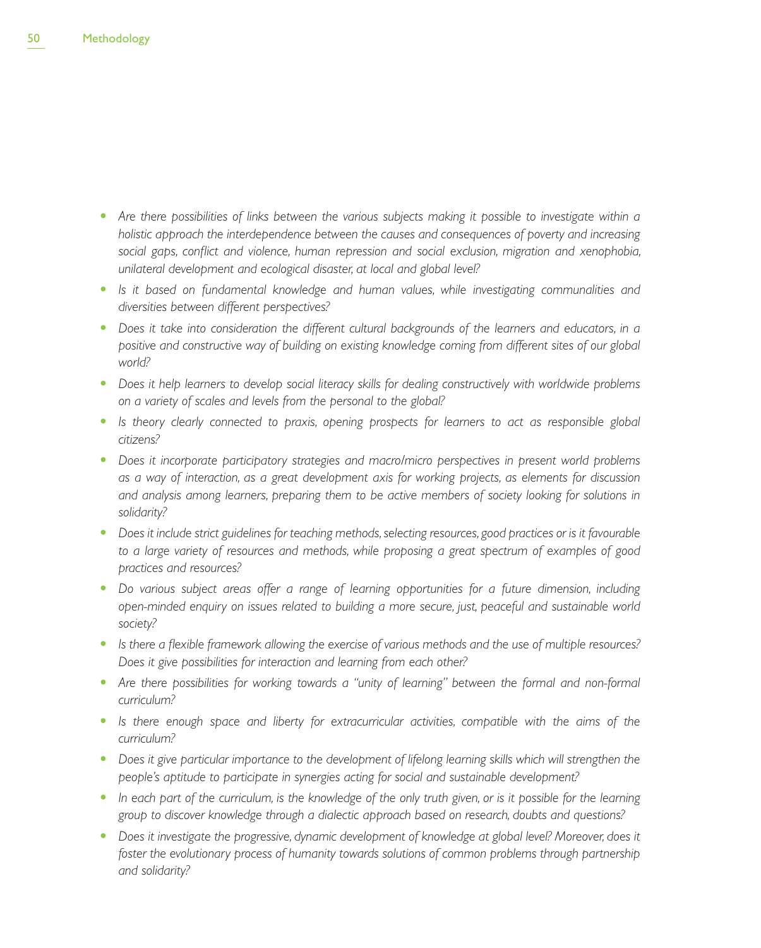- Are there possibilities of links between the various subjects making it possible to investigate within a *holistic approach the interdependence between the causes and consequences of poverty and increasing social gaps, conflict and violence, human repression and social exclusion, migration and xenophobia, unilateral development and ecological disaster, at local and global level?*
- Is it based on fundamental knowledge and human values, while investigating communalities and *diversities between different perspectives?*
- Does it take into consideration the different cultural backgrounds of the learners and educators, in a *positive and constructive way of building on existing knowledge coming from different sites of our global world?*
- t *Does it help learners to develop social literacy skills for dealing constructively with worldwide problems on a variety of scales and levels from the personal to the global?*
- **•** Is theory clearly connected to praxis, opening prospects for learners to act as responsible global *citizens?*
- Does it incorporate participatory strategies and macro/micro perspectives in present world problems *as a way of interaction, as a great development axis for working projects, as elements for discussion and analysis among learners, preparing them to be active members of society looking for solutions in solidarity?*
- Does it include strict guidelines for teaching methods, selecting resources, good practices or is it favourable *to a large variety of resources and methods, while proposing a great spectrum of examples of good practices and resources?*
- Do various subject areas offer a range of learning opportunities for a future dimension, including *open-minded enquiry on issues related to building a more secure, just, peaceful and sustainable world society?*
- **•** Is there a flexible framework allowing the exercise of various methods and the use of multiple resources? *Does it give possibilities for interaction and learning from each other?*
- Are there possibilities for working towards a "unity of learning" between the formal and non-formal *curriculum?*
- Is there enough space and liberty for extracurricular activities, compatible with the aims of the *curriculum?*
- Does it give particular importance to the development of lifelong learning skills which will strengthen the *people's aptitude to participate in synergies acting for social and sustainable development?*
- In each part of the curriculum, is the knowledge of the only truth given, or is it possible for the learning *group to discover knowledge through a dialectic approach based on research, doubts and questions?*
- Does it investigate the progressive, dynamic development of knowledge at global level? Moreover, does it foster the evolutionary process of humanity towards solutions of common problems through partnership *and solidarity?*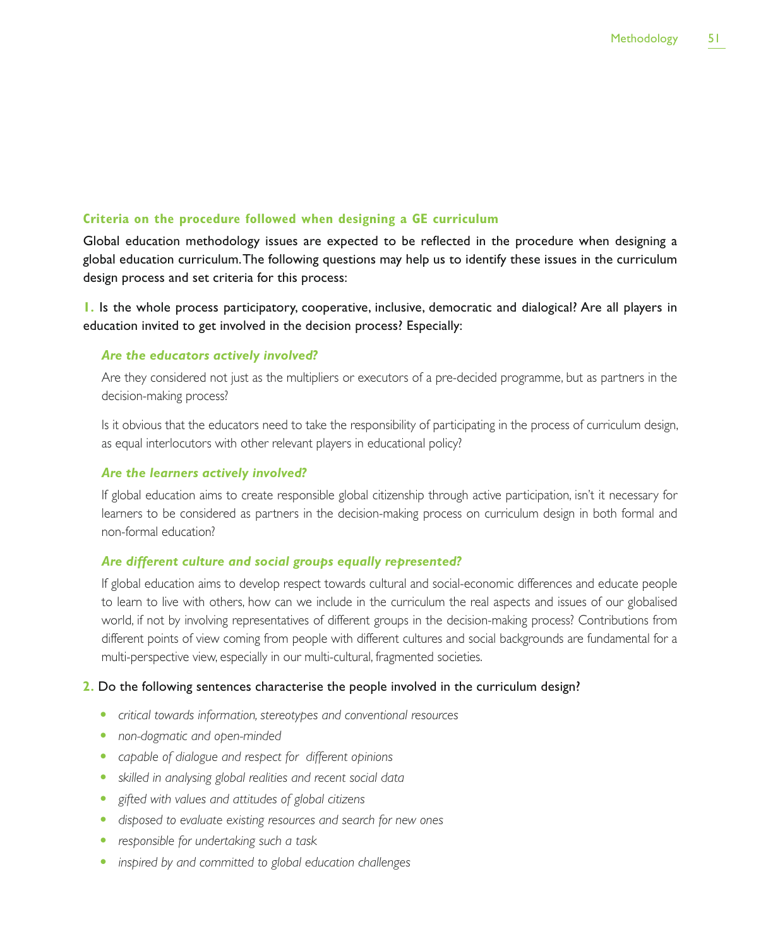## **Criteria on the procedure followed when designing a GE curriculum**

Global education methodology issues are expected to be reflected in the procedure when designing a global education curriculum. The following questions may help us to identify these issues in the curriculum design process and set criteria for this process:

**1.** Is the whole process participatory, cooperative, inclusive, democratic and dialogical? Are all players in education invited to get involved in the decision process? Especially:

## *Are the educators actively involved?*

Are they considered not just as the multipliers or executors of a pre-decided programme, but as partners in the decision-making process?

Is it obvious that the educators need to take the responsibility of participating in the process of curriculum design, as equal interlocutors with other relevant players in educational policy?

#### *Are the learners actively involved?*

If global education aims to create responsible global citizenship through active participation, isn't it necessary for learners to be considered as partners in the decision-making process on curriculum design in both formal and non-formal education?

## *Are different culture and social groups equally represented?*

If global education aims to develop respect towards cultural and social-economic differences and educate people to learn to live with others, how can we include in the curriculum the real aspects and issues of our globalised world, if not by involving representatives of different groups in the decision-making process? Contributions from different points of view coming from people with different cultures and social backgrounds are fundamental for a multi-perspective view, especially in our multi-cultural, fragmented societies.

### **2.** Do the following sentences characterise the people involved in the curriculum design?

- **•** *critical towards information, stereotypes and conventional resources*
- **•** *non-dogmatic and open-minded*
- **•** capable of dialogue and respect for different opinions
- **•** skilled in analysing global realities and recent social data
- t *gifted with values and attitudes of global citizens*
- **t** disposed to evaluate existing resources and search for new ones
- **•** responsible for undertaking such a task
- **•** *inspired by and committed to global education challenges*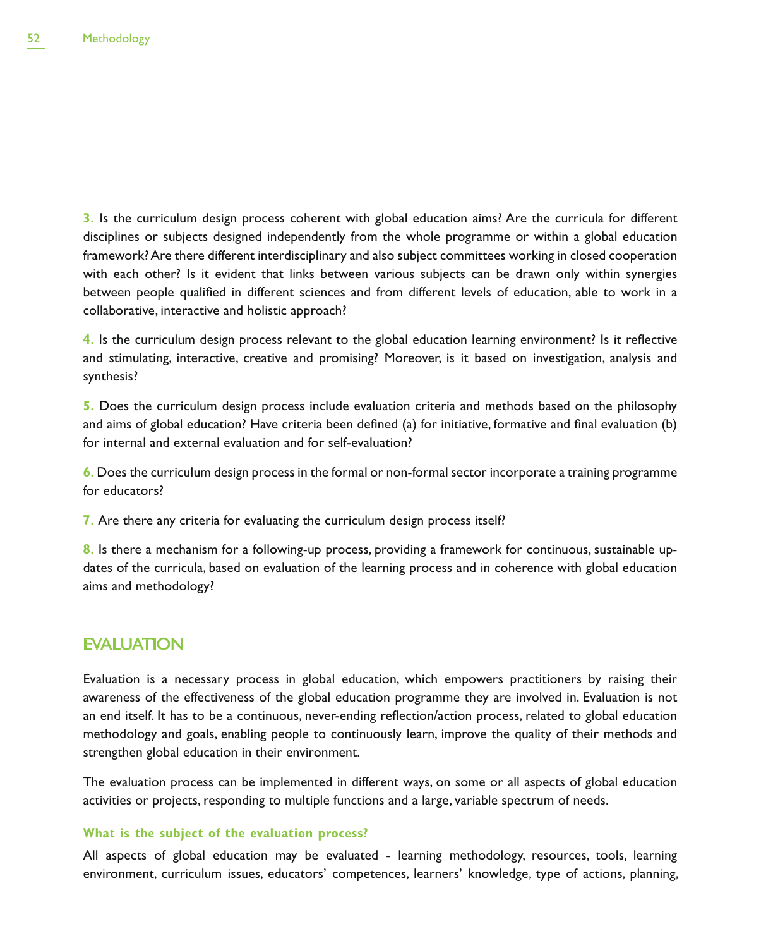**3.** Is the curriculum design process coherent with global education aims? Are the curricula for different disciplines or subjects designed independently from the whole programme or within a global education framework? Are there different interdisciplinary and also subject committees working in closed cooperation with each other? Is it evident that links between various subjects can be drawn only within synergies between people qualified in different sciences and from different levels of education, able to work in a collaborative, interactive and holistic approach?

**4.** Is the curriculum design process relevant to the global education learning environment? Is it reflective and stimulating, interactive, creative and promising? Moreover, is it based on investigation, analysis and synthesis?

**5.** Does the curriculum design process include evaluation criteria and methods based on the philosophy and aims of global education? Have criteria been defined (a) for initiative, formative and final evaluation (b) for internal and external evaluation and for self-evaluation?

**6.** Does the curriculum design process in the formal or non-formal sector incorporate a training programme for educators?

**7.** Are there any criteria for evaluating the curriculum design process itself?

**8.** Is there a mechanism for a following-up process, providing a framework for continuous, sustainable updates of the curricula, based on evaluation of the learning process and in coherence with global education aims and methodology?

## EVALUATION

Evaluation is a necessary process in global education, which empowers practitioners by raising their awareness of the effectiveness of the global education programme they are involved in. Evaluation is not an end itself. It has to be a continuous, never-ending reflection/action process, related to global education methodology and goals, enabling people to continuously learn, improve the quality of their methods and strengthen global education in their environment.

The evaluation process can be implemented in different ways, on some or all aspects of global education activities or projects, responding to multiple functions and a large, variable spectrum of needs.

## **What is the subject of the evaluation process?**

All aspects of global education may be evaluated - learning methodology, resources, tools, learning environment, curriculum issues, educators' competences, learners' knowledge, type of actions, planning,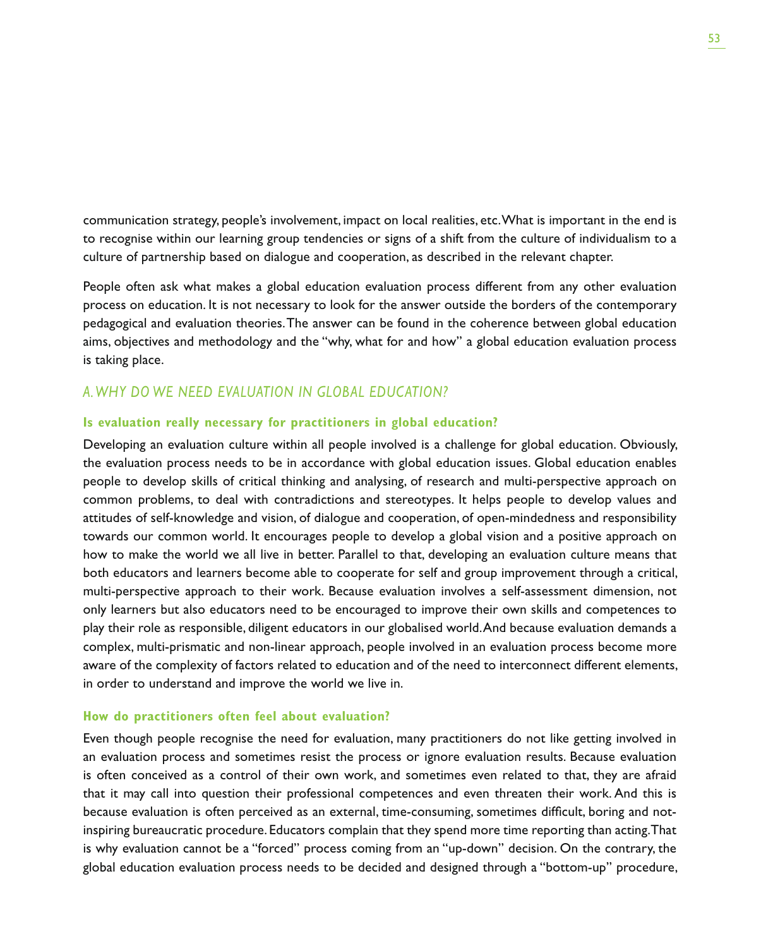communication strategy, people's involvement, impact on local realities, etc. What is important in the end is to recognise within our learning group tendencies or signs of a shift from the culture of individualism to a culture of partnership based on dialogue and cooperation, as described in the relevant chapter.

People often ask what makes a global education evaluation process different from any other evaluation process on education. It is not necessary to look for the answer outside the borders of the contemporary pedagogical and evaluation theories. The answer can be found in the coherence between global education aims, objectives and methodology and the "why, what for and how" a global education evaluation process is taking place.

## *A. WHY DO WE NEED EVALUATION IN GLOBAL EDUCATION?*

## **Is evaluation really necessary for practitioners in global education?**

Developing an evaluation culture within all people involved is a challenge for global education. Obviously, the evaluation process needs to be in accordance with global education issues. Global education enables people to develop skills of critical thinking and analysing, of research and multi-perspective approach on common problems, to deal with contradictions and stereotypes. It helps people to develop values and attitudes of self-knowledge and vision, of dialogue and cooperation, of open-mindedness and responsibility towards our common world. It encourages people to develop a global vision and a positive approach on how to make the world we all live in better. Parallel to that, developing an evaluation culture means that both educators and learners become able to cooperate for self and group improvement through a critical, multi-perspective approach to their work. Because evaluation involves a self-assessment dimension, not only learners but also educators need to be encouraged to improve their own skills and competences to play their role as responsible, diligent educators in our globalised world. And because evaluation demands a complex, multi-prismatic and non-linear approach, people involved in an evaluation process become more aware of the complexity of factors related to education and of the need to interconnect different elements, in order to understand and improve the world we live in.

## **How do practitioners often feel about evaluation?**

Even though people recognise the need for evaluation, many practitioners do not like getting involved in an evaluation process and sometimes resist the process or ignore evaluation results. Because evaluation is often conceived as a control of their own work, and sometimes even related to that, they are afraid that it may call into question their professional competences and even threaten their work. And this is because evaluation is often perceived as an external, time-consuming, sometimes difficult, boring and notinspiring bureaucratic procedure. Educators complain that they spend more time reporting than acting. That is why evaluation cannot be a "forced" process coming from an "up-down" decision. On the contrary, the global education evaluation process needs to be decided and designed through a "bottom-up" procedure,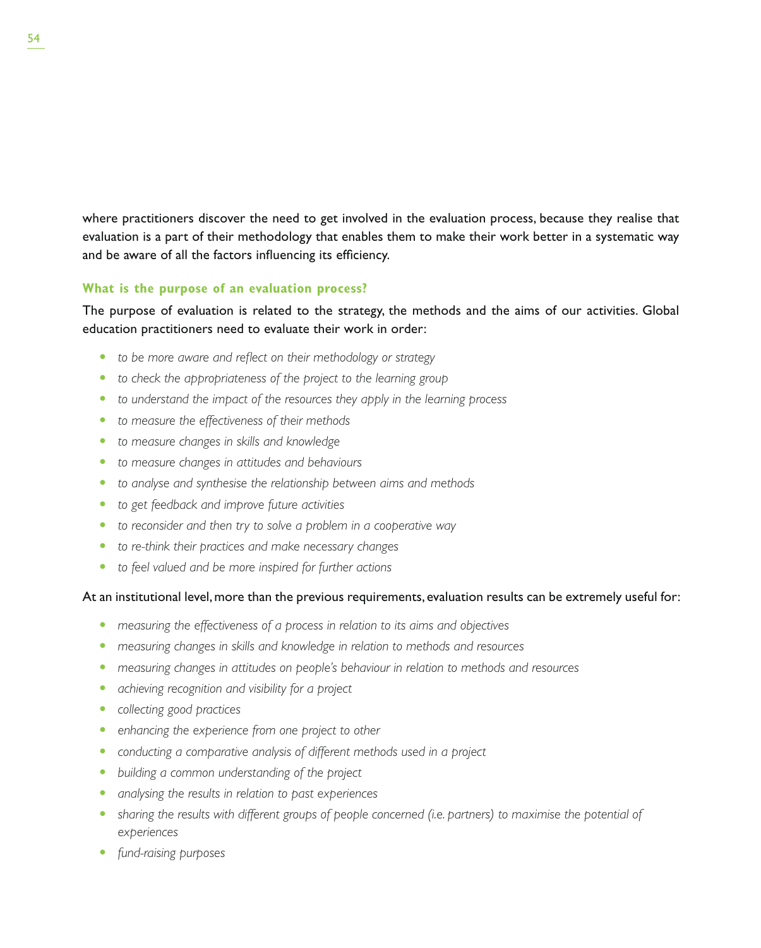where practitioners discover the need to get involved in the evaluation process, because they realise that evaluation is a part of their methodology that enables them to make their work better in a systematic way and be aware of all the factors influencing its efficiency.

## **What is the purpose of an evaluation process?**

The purpose of evaluation is related to the strategy, the methods and the aims of our activities. Global education practitioners need to evaluate their work in order:

- to be more aware and reflect on their methodology or strategy
- to check the appropriateness of the project to the learning group
- to understand the impact of the resources they apply in the learning process
- to measure the effectiveness of their methods
- $\bullet$  to measure changes in skills and knowledge
- **to measure changes in attitudes and behaviours**
- to analyse and synthesise the relationship between aims and methods
- to get feedback and improve future activities
- to reconsider and then try to solve a problem in a cooperative way
- to re-think their practices and make necessary changes
- to feel valued and be more inspired for further actions

## At an institutional level, more than the previous requirements, evaluation results can be extremely useful for:

- measuring the effectiveness of a process in relation to its aims and objectives
- **•** measuring changes in skills and knowledge in relation to methods and resources
- **•** measuring changes in attitudes on people's behaviour in relation to methods and resources
- **•** achieving recognition and visibility for a project
- **•** *collecting good practices*
- **•** enhancing the experience from one project to other
- **•** conducting a comparative analysis of different methods used in a project
- building a common understanding of the project
- **•** analysing the results in relation to past experiences
- t *sharing the results with different groups of people concerned (i.e. partners) to maximise the potential of experiences*
- fund-raising purposes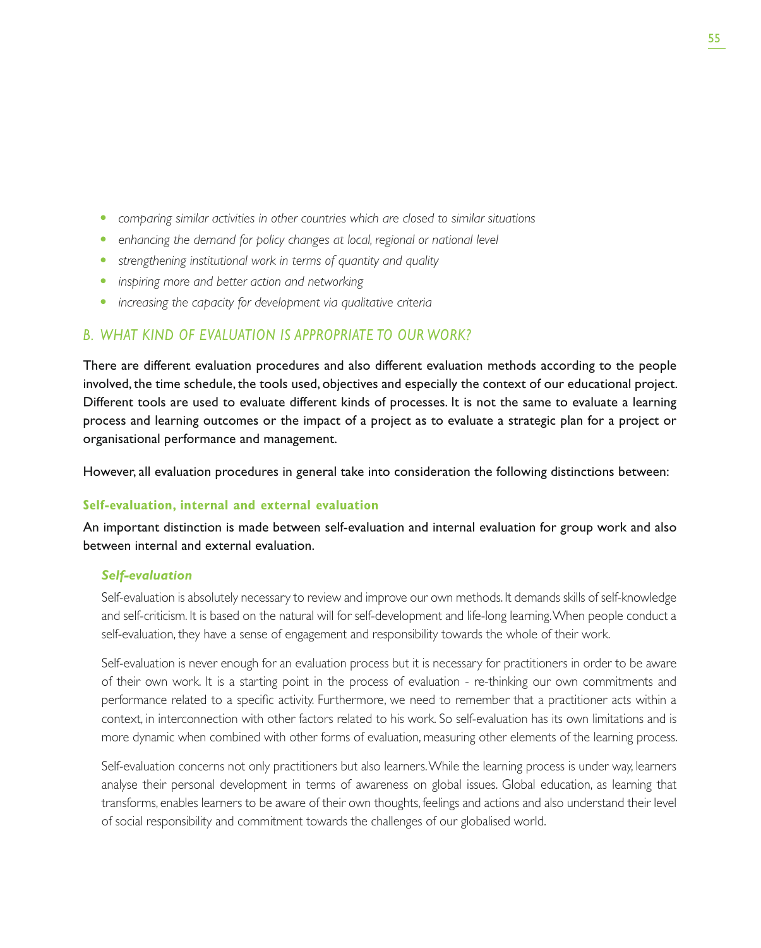- **•** comparing similar activities in other countries which are closed to similar situations
- **•** enhancing the demand for policy changes at local, regional or national level
- **•** strengthening institutional work in terms of quantity and quality
- **•** inspiring more and better action and networking
- **•** increasing the capacity for development via qualitative criteria

## *B. WHAT KIND OF EVALUATION IS APPROPRIATE TO OUR WORK?*

There are different evaluation procedures and also different evaluation methods according to the people involved, the time schedule, the tools used, objectives and especially the context of our educational project. Different tools are used to evaluate different kinds of processes. It is not the same to evaluate a learning process and learning outcomes or the impact of a project as to evaluate a strategic plan for a project or organisational performance and management.

However, all evaluation procedures in general take into consideration the following distinctions between:

## **Self-evaluation, internal and external evaluation**

An important distinction is made between self-evaluation and internal evaluation for group work and also between internal and external evaluation.

## *Self-evaluation*

Self-evaluation is absolutely necessary to review and improve our own methods. It demands skills of self-knowledge and self-criticism. It is based on the natural will for self-development and life-long learning. When people conduct a self-evaluation, they have a sense of engagement and responsibility towards the whole of their work.

Self-evaluation is never enough for an evaluation process but it is necessary for practitioners in order to be aware of their own work. It is a starting point in the process of evaluation - re-thinking our own commitments and performance related to a specific activity. Furthermore, we need to remember that a practitioner acts within a context, in interconnection with other factors related to his work. So self-evaluation has its own limitations and is more dynamic when combined with other forms of evaluation, measuring other elements of the learning process.

Self-evaluation concerns not only practitioners but also learners. While the learning process is under way, learners analyse their personal development in terms of awareness on global issues. Global education, as learning that transforms, enables learners to be aware of their own thoughts, feelings and actions and also understand their level of social responsibility and commitment towards the challenges of our globalised world.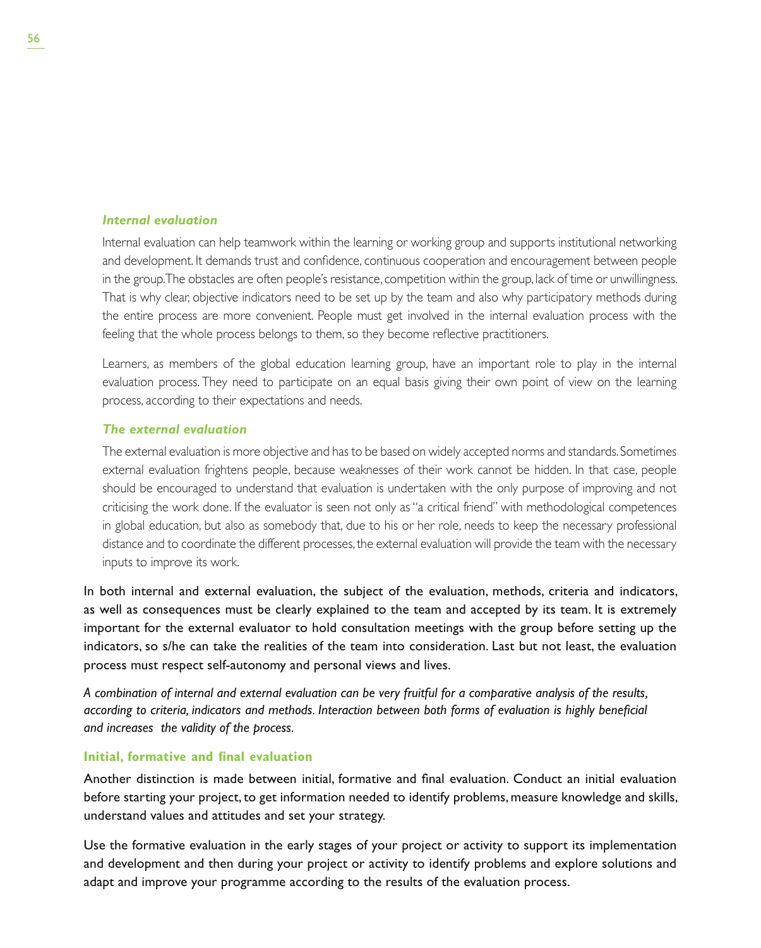## *Internal evaluation*

Internal evaluation can help teamwork within the learning or working group and supports institutional networking and development. It demands trust and confidence, continuous cooperation and encouragement between people in the group. The obstacles are often people's resistance, competition within the group, lack of time or unwillingness. That is why clear, objective indicators need to be set up by the team and also why participatory methods during the entire process are more convenient. People must get involved in the internal evaluation process with the feeling that the whole process belongs to them, so they become reflective practitioners.

Learners, as members of the global education learning group, have an important role to play in the internal evaluation process. They need to participate on an equal basis giving their own point of view on the learning process, according to their expectations and needs.

## *The external evaluation*

The external evaluation is more objective and has to be based on widely accepted norms and standards. Sometimes external evaluation frightens people, because weaknesses of their work cannot be hidden. In that case, people should be encouraged to understand that evaluation is undertaken with the only purpose of improving and not criticising the work done. If the evaluator is seen not only as "a critical friend" with methodological competences in global education, but also as somebody that, due to his or her role, needs to keep the necessary professional distance and to coordinate the different processes, the external evaluation will provide the team with the necessary inputs to improve its work.

In both internal and external evaluation, the subject of the evaluation, methods, criteria and indicators, as well as consequences must be clearly explained to the team and accepted by its team. It is extremely important for the external evaluator to hold consultation meetings with the group before setting up the indicators, so s/he can take the realities of the team into consideration. Last but not least, the evaluation process must respect self-autonomy and personal views and lives.

*A combination of internal and external evaluation can be very fruitful for a comparative analysis of the results, according to criteria, indicators and methods. Interaction between both forms of evaluation is highly beneficial and increases the validity of the process.*

## **Initial, formative and final evaluation**

Another distinction is made between initial, formative and final evaluation. Conduct an initial evaluation before starting your project, to get information needed to identify problems, measure knowledge and skills, understand values and attitudes and set your strategy.

Use the formative evaluation in the early stages of your project or activity to support its implementation and development and then during your project or activity to identify problems and explore solutions and adapt and improve your programme according to the results of the evaluation process.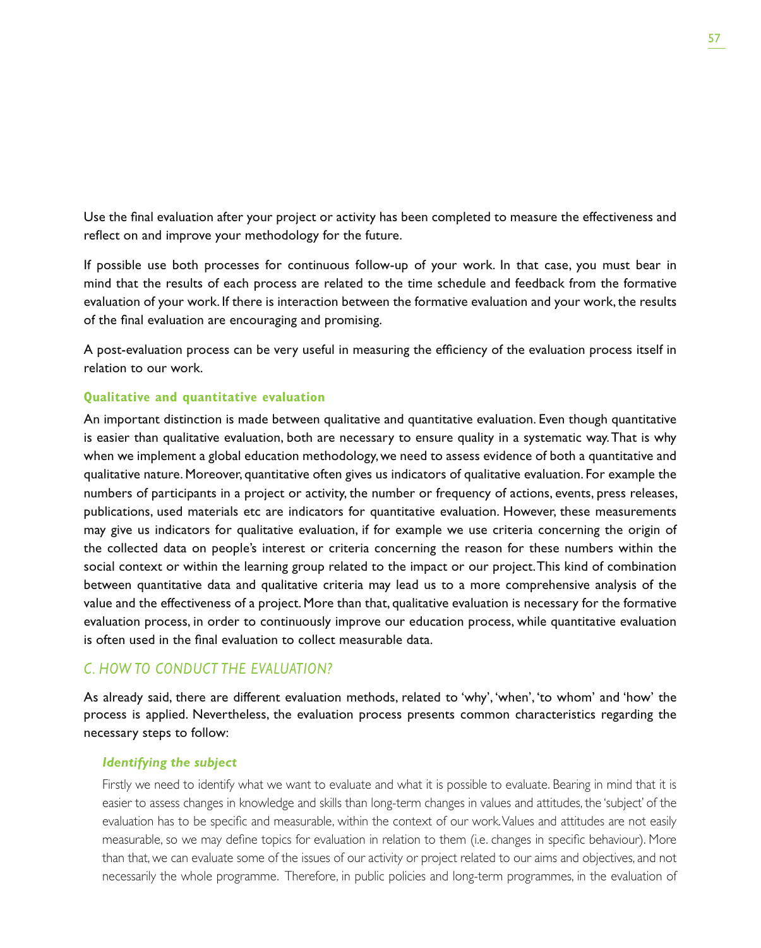Use the final evaluation after your project or activity has been completed to measure the effectiveness and reflect on and improve your methodology for the future.

If possible use both processes for continuous follow-up of your work. In that case, you must bear in mind that the results of each process are related to the time schedule and feedback from the formative evaluation of your work. If there is interaction between the formative evaluation and your work, the results of the final evaluation are encouraging and promising.

A post-evaluation process can be very useful in measuring the efficiency of the evaluation process itself in relation to our work.

## **Qualitative and quantitative evaluation**

An important distinction is made between qualitative and quantitative evaluation. Even though quantitative is easier than qualitative evaluation, both are necessary to ensure quality in a systematic way. That is why when we implement a global education methodology, we need to assess evidence of both a quantitative and qualitative nature. Moreover, quantitative often gives us indicators of qualitative evaluation. For example the numbers of participants in a project or activity, the number or frequency of actions, events, press releases, publications, used materials etc are indicators for quantitative evaluation. However, these measurements may give us indicators for qualitative evaluation, if for example we use criteria concerning the origin of the collected data on people's interest or criteria concerning the reason for these numbers within the social context or within the learning group related to the impact or our project. This kind of combination between quantitative data and qualitative criteria may lead us to a more comprehensive analysis of the value and the effectiveness of a project. More than that, qualitative evaluation is necessary for the formative evaluation process, in order to continuously improve our education process, while quantitative evaluation is often used in the final evaluation to collect measurable data.

## *C. HOW TO CONDUCT THE EVALUATION?*

As already said, there are different evaluation methods, related to 'why', 'when', 'to whom' and 'how' the process is applied. Nevertheless, the evaluation process presents common characteristics regarding the necessary steps to follow:

## *Identifying the subject*

Firstly we need to identify what we want to evaluate and what it is possible to evaluate. Bearing in mind that it is easier to assess changes in knowledge and skills than long-term changes in values and attitudes, the 'subject' of the evaluation has to be specific and measurable, within the context of our work. Values and attitudes are not easily measurable, so we may define topics for evaluation in relation to them (i.e. changes in specific behaviour). More than that, we can evaluate some of the issues of our activity or project related to our aims and objectives, and not necessarily the whole programme. Therefore, in public policies and long-term programmes, in the evaluation of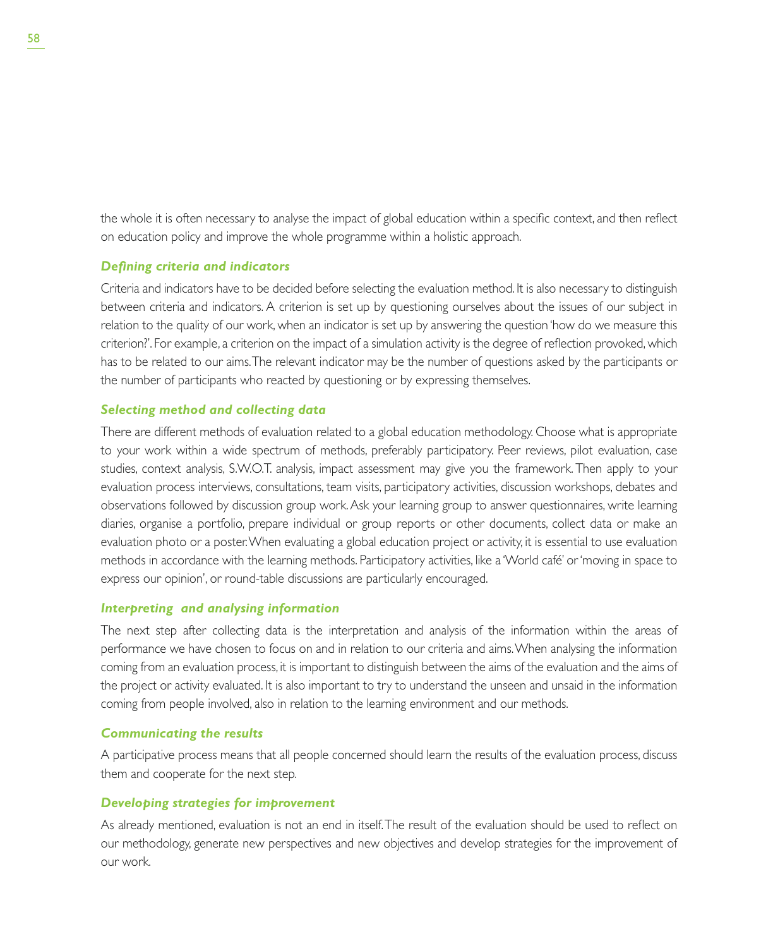the whole it is often necessary to analyse the impact of global education within a specific context, and then reflect on education policy and improve the whole programme within a holistic approach.

## *Defining criteria and indicators*

Criteria and indicators have to be decided before selecting the evaluation method. It is also necessary to distinguish between criteria and indicators. A criterion is set up by questioning ourselves about the issues of our subject in relation to the quality of our work, when an indicator is set up by answering the question 'how do we measure this criterion?'. For example, a criterion on the impact of a simulation activity is the degree of reflection provoked, which has to be related to our aims. The relevant indicator may be the number of questions asked by the participants or the number of participants who reacted by questioning or by expressing themselves.

## *Selecting method and collecting data*

There are different methods of evaluation related to a global education methodology. Choose what is appropriate to your work within a wide spectrum of methods, preferably participatory. Peer reviews, pilot evaluation, case studies, context analysis, S.W.O.T. analysis, impact assessment may give you the framework. Then apply to your evaluation process interviews, consultations, team visits, participatory activities, discussion workshops, debates and observations followed by discussion group work. Ask your learning group to answer questionnaires, write learning diaries, organise a portfolio, prepare individual or group reports or other documents, collect data or make an evaluation photo or a poster. When evaluating a global education project or activity, it is essential to use evaluation methods in accordance with the learning methods. Participatory activities, like a 'World café' or 'moving in space to express our opinion', or round-table discussions are particularly encouraged.

## *Interpreting and analysing information*

The next step after collecting data is the interpretation and analysis of the information within the areas of performance we have chosen to focus on and in relation to our criteria and aims. When analysing the information coming from an evaluation process, it is important to distinguish between the aims of the evaluation and the aims of the project or activity evaluated. It is also important to try to understand the unseen and unsaid in the information coming from people involved, also in relation to the learning environment and our methods.

## *Communicating the results*

A participative process means that all people concerned should learn the results of the evaluation process, discuss them and cooperate for the next step.

## *Developing strategies for improvement*

As already mentioned, evaluation is not an end in itself. The result of the evaluation should be used to reflect on our methodology, generate new perspectives and new objectives and develop strategies for the improvement of our work.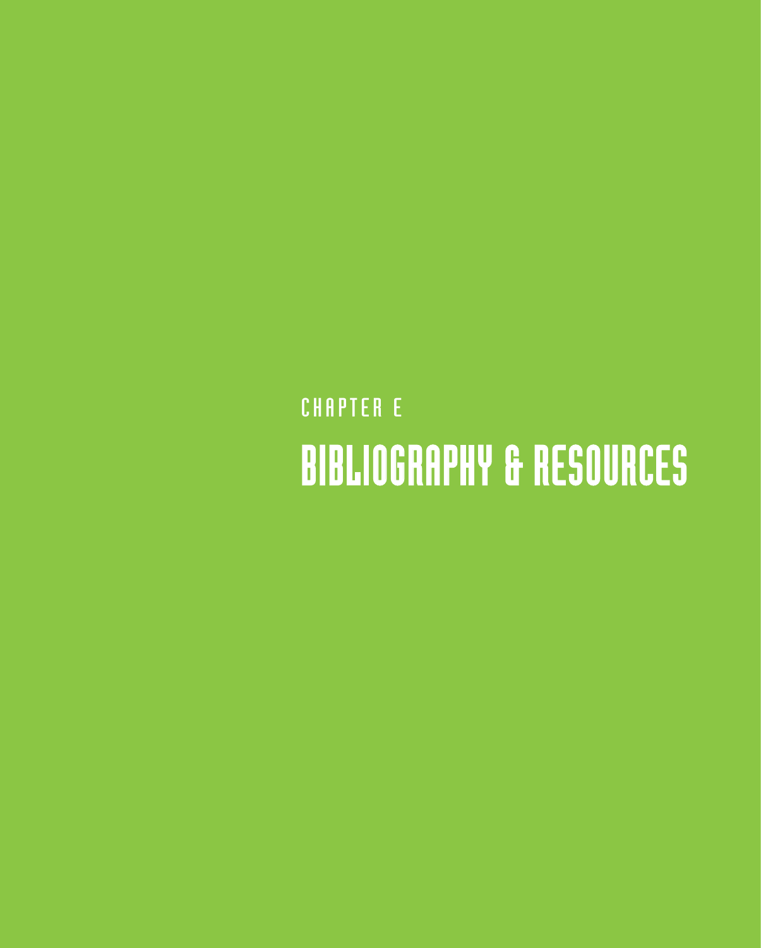## **CHAPTER E** BIBLIOGRAPHY & RESOURCES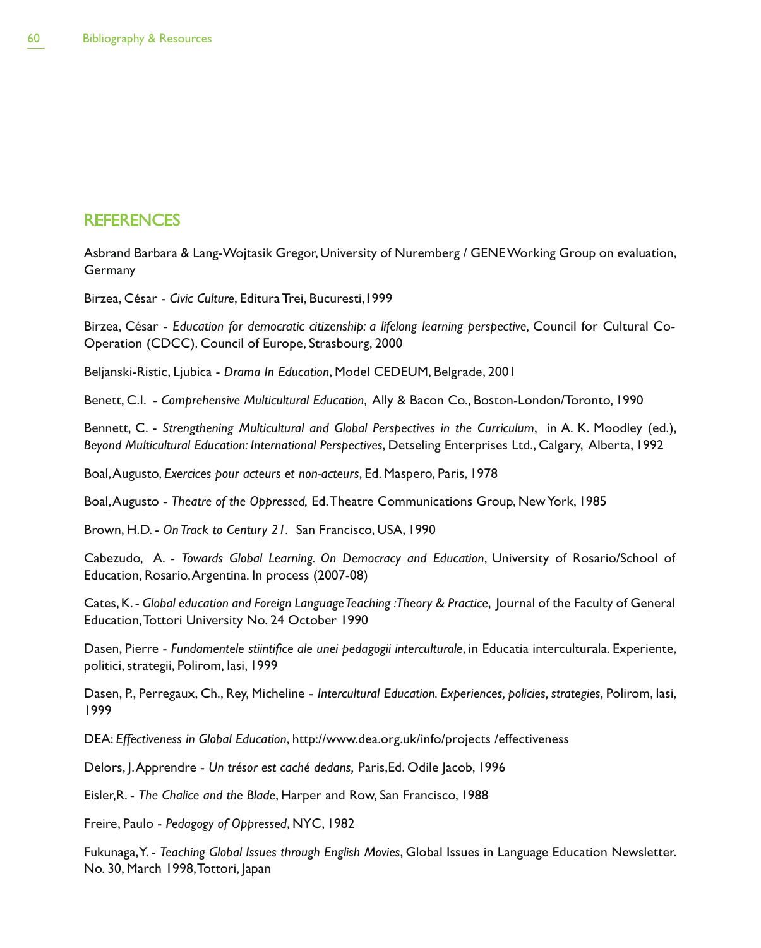## **REFERENCES**

Asbrand Barbara & Lang-Wojtasik Gregor, University of Nuremberg / GENE Working Group on evaluation, Germany

Birzea, César - *Civic Culture*, Editura Trei, Bucuresti,1999

Birzea, César - *Education for democratic citizenship: a lifelong learning perspective,* Council for Cultural Co-Operation (CDCC). Council of Europe, Strasbourg, 2000

Beljanski-Ristic, Ljubica - *Drama In Education*, Model CEDEUM, Belgrade, 2001

Benett, C.I. - *Comprehensive Multicultural Education*, Ally & Bacon Co., Boston-London/Toronto, 1990

Bennett, C. - *Strengthening Multicultural and Global Perspectives in the Curriculum*, in A. K. Moodley (ed.), *Beyond Multicultural Education: International Perspectives*, Detseling Enterprises Ltd., Calgary, Alberta, 1992

Boal, Augusto, *Exercices pour acteurs et non-acteurs*, Ed. Maspero, Paris, 1978

Boal, Augusto - *Theatre of the Oppressed,* Ed. Theatre Communications Group, New York, 1985

Brown, H.D. - *On Track to Century 21.* San Francisco, USA, 1990

Cabezudo, A. - *Towards Global Learning. On Democracy and Education*, University of Rosario/School of Education, Rosario, Argentina. In process (2007-08)

Cates, K. - *Global education and Foreign Language Teaching : Theory & Practice*, Journal of the Faculty of General Education, Tottori University No. 24 October 1990

Dasen, Pierre - *Fundamentele stiintifice ale unei pedagogii interculturale*, in Educatia interculturala. Experiente, politici, strategii, Polirom, Iasi, 1999

Dasen, P., Perregaux, Ch., Rey, Micheline - *Intercultural Education. Experiences, policies, strategies*, Polirom, Iasi, 1999

DEA: *Effectiveness in Global Education*, http://www.dea.org.uk/info/projects /effectiveness

Delors, J. Apprendre - *Un trésor est caché dedans,* Paris,Ed. Odile Jacob, 1996

Eisler,R. - *The Chalice and the Blade*, Harper and Row, San Francisco, 1988

Freire, Paulo - *Pedagogy of Oppressed*, NYC, 1982

Fukunaga, Y. - *Teaching Global Issues through English Movies*, Global Issues in Language Education Newsletter. No. 30, March 1998, Tottori, Japan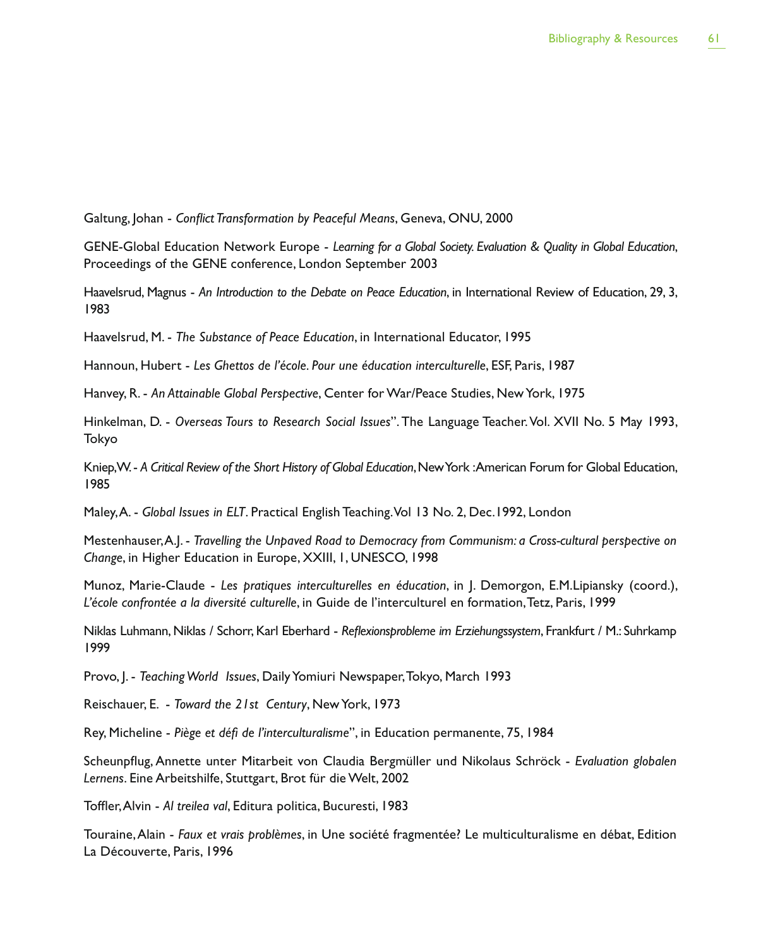Galtung, Johan - *Conflict Transformation by Peaceful Means*, Geneva, ONU, 2000

GENE-Global Education Network Europe - *Learning for a Global Society. Evaluation & Quality in Global Education*, Proceedings of the GENE conference, London September 2003

Haavelsrud, Magnus - *An Introduction to the Debate on Peace Education*, in International Review of Education, 29, 3, 1983

Haavelsrud, M. - *The Substance of Peace Education*, in International Educator, 1995

Hannoun, Hubert - *Les Ghettos de l'école. Pour une éducation interculturelle*, ESF, Paris, 1987

Hanvey, R. - *An Attainable Global Perspective*, Center for War/Peace Studies, New York, 1975

Hinkelman, D. - *Overseas Tours to Research Social Issues*". The Language Teacher. Vol. XVII No. 5 May 1993, Tokyo

Kniep, W. - *A Critical Review of the Short History of Global Education*, New York : American Forum for Global Education, 1985

Maley, A. - *Global Issues in ELT*. Practical English Teaching. Vol 13 No. 2, Dec.1992, London

Mestenhauser, A.J. - *Travelling the Unpaved Road to Democracy from Communism: a Cross-cultural perspective on Change*, in Higher Education in Europe, XXIII, 1, UNESCO, 1998

Munoz, Marie-Claude - *Les pratiques interculturelles en éducation*, in J. Demorgon, E.M.Lipiansky (coord.), *L'école confrontée a la diversité culturelle*, in Guide de l'interculturel en formation, Tetz, Paris, 1999

Niklas Luhmann, Niklas / Schorr, Karl Eberhard - *Reflexionsprobleme im Erziehungssystem*, Frankfurt / M.: Suhrkamp 1999

Provo, J. - *Teaching World Issues*, Daily Yomiuri Newspaper, Tokyo, March 1993

Reischauer, E. - *Toward the 21st Century*, New York, 1973

Rey, Micheline - *Piège et défi de l'interculturalisme*", in Education permanente, 75, 1984

Scheunpflug, Annette unter Mitarbeit von Claudia Bergmüller und Nikolaus Schröck - *Evaluation globalen Lernens*. Eine Arbeitshilfe, Stuttgart, Brot für die Welt, 2002

Toffler, Alvin - *Al treilea val*, Editura politica, Bucuresti, 1983

Touraine, Alain - *Faux et vrais problèmes*, in Une société fragmentée? Le multiculturalisme en débat, Edition La Découverte, Paris, 1996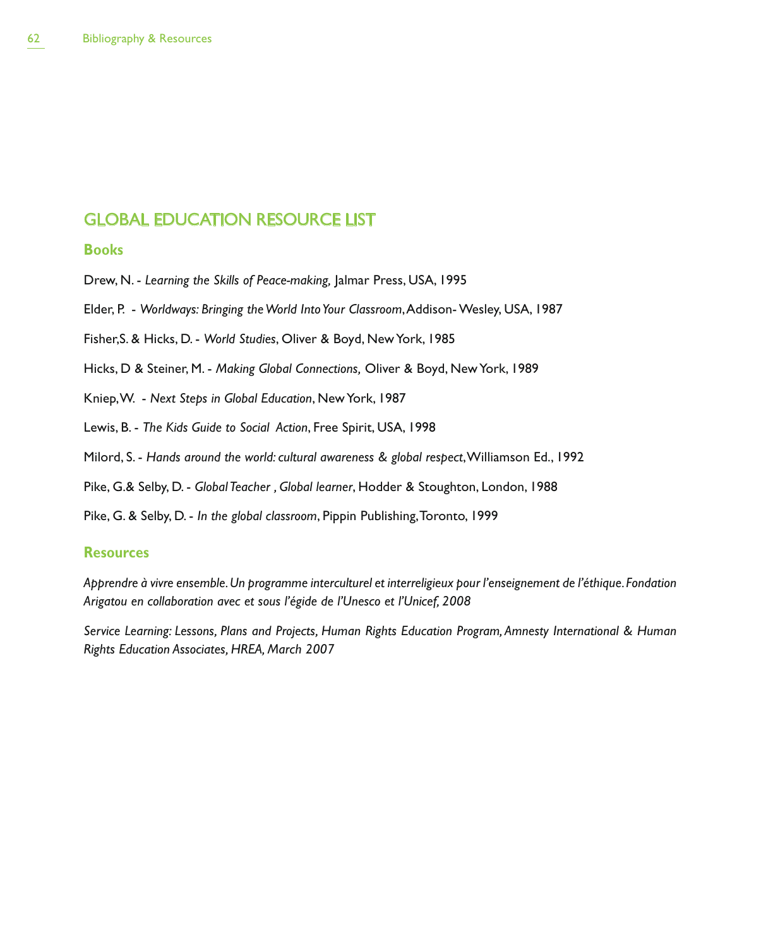## GLOBAL EDUCATION RESOURCE LIST

## **Books**

Drew, N. - *Learning the Skills of Peace-making,* Jalmar Press, USA, 1995

Elder, P. - *Worldways: Bringing the World Into Your Classroom*, Addison- Wesley, USA, 1987

Fisher,S. & Hicks, D. - *World Studies*, Oliver & Boyd, New York, 1985

Hicks, D & Steiner, M. - *Making Global Connections,* Oliver & Boyd, New York, 1989

Kniep, W. - *Next Steps in Global Education*, New York, 1987

Lewis, B. - *The Kids Guide to Social Action*, Free Spirit, USA, 1998

Milord, S. - *Hands around the world: cultural awareness & global respect*, Williamson Ed., 1992

Pike, G.& Selby, D. - *Global Teacher , Global learner*, Hodder & Stoughton, London, 1988

Pike, G. & Selby, D. - *In the global classroom*, Pippin Publishing, Toronto, 1999

## **Resources**

*Apprendre à vivre ensemble. Un programme interculturel et interreligieux pour l'enseignement de l'éthique. Fondation Arigatou en collaboration avec et sous l'égide de l'Unesco et l'Unicef, 2008*

*Service Learning: Lessons, Plans and Projects, Human Rights Education Program, Amnesty International & Human Rights Education Associates, HREA, March 2007*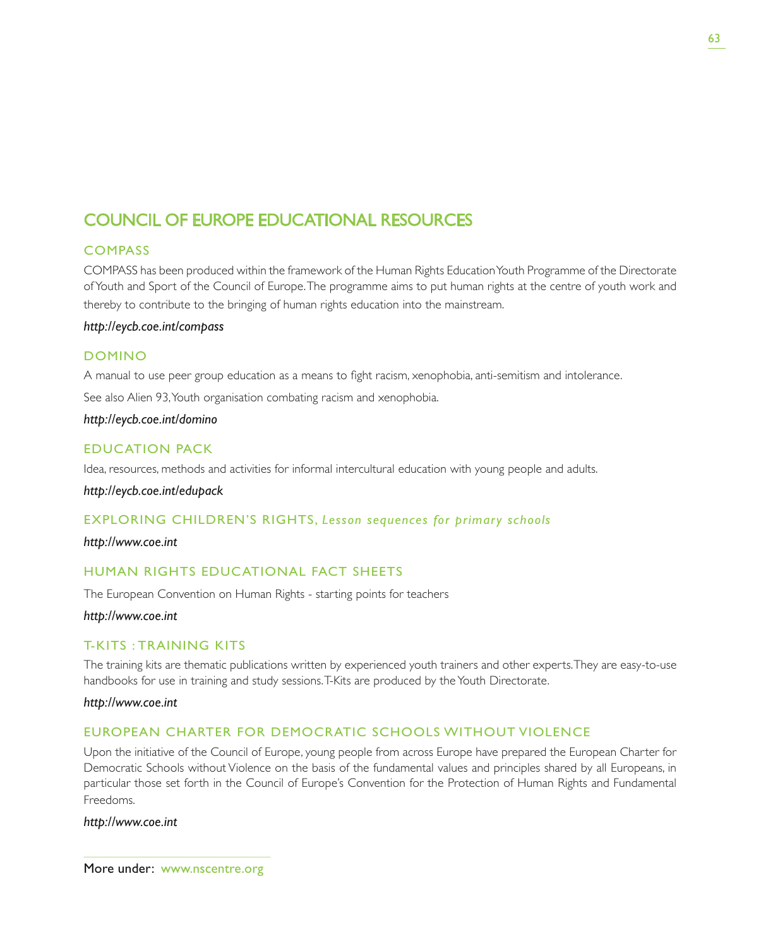## COUNCIL OF EUROPE EDUCATIONAL RESOURCES

## **COMPASS**

COMPASS has been produced within the framework of the Human Rights Education Youth Programme of the Directorate of Youth and Sport of the Council of Europe. The programme aims to put human rights at the centre of youth work and thereby to contribute to the bringing of human rights education into the mainstream.

## *http://eycb.coe.int/compass*

## DOMINO

A manual to use peer group education as a means to fight racism, xenophobia, anti-semitism and intolerance.

See also Alien 93, Youth organisation combating racism and xenophobia.

*http://eycb.coe.int/domino*

## EDUCATION PACK

Idea, resources, methods and activities for informal intercultural education with young people and adults.

*http://eycb.coe.int/edupack*

## EXPLORING CHILDREN'S RIGHTS, *Lesson sequences for primary schools*

## *http://www.coe.int*

## HUMAN RIGHTS EDUCATIONAL FACT SHEETS

The European Convention on Human Rights - starting points for teachers

## *http://www.coe.int*

## T-KITS : TRAINING KITS

The training kits are thematic publications written by experienced youth trainers and other experts. They are easy-to-use handbooks for use in training and study sessions. T-Kits are produced by the Youth Directorate.

*http://www.coe.int*

## EUROPEAN CHARTER FOR DEMOCRATIC SCHOOLS WITHOUT VIOLENCE

Upon the initiative of the Council of Europe, young people from across Europe have prepared the European Charter for Democratic Schools without Violence on the basis of the fundamental values and principles shared by all Europeans, in particular those set forth in the Council of Europe's Convention for the Protection of Human Rights and Fundamental Freedoms.

## *http://www.coe.int*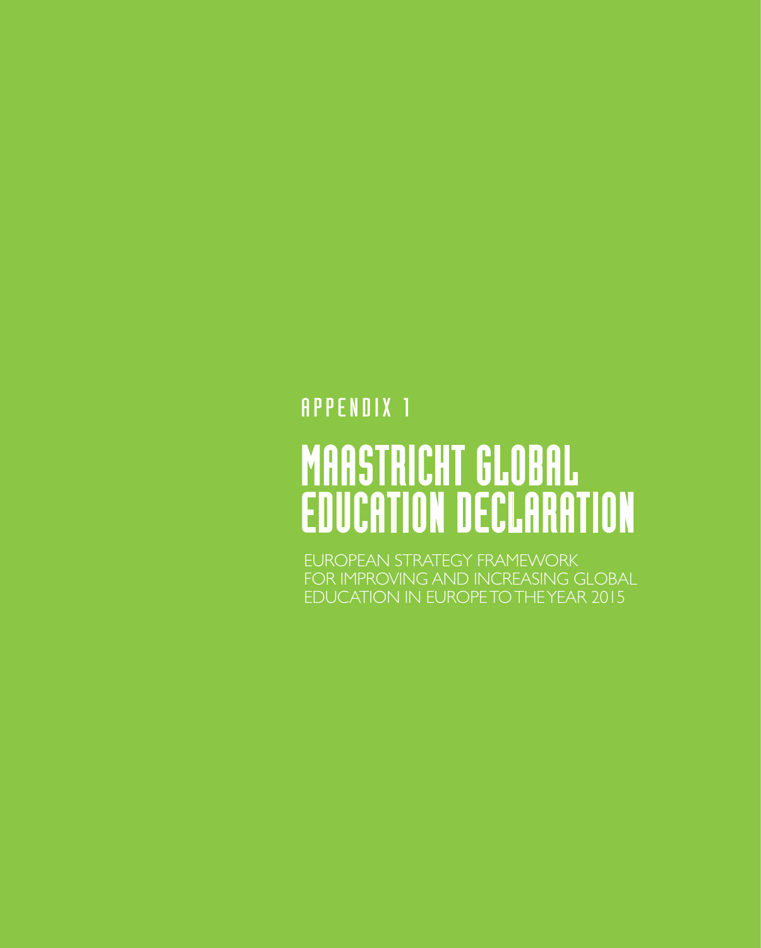## **APPENDIX 1**

# MAASTRICHT GLOBAL EDUCATION DECLARATION

EUROPEAN STRATEGY FRAMEWORK FOR IMPROVING AND INCREASING GLOBAL EDUCATION IN EUROPE TO THE YEAR 2015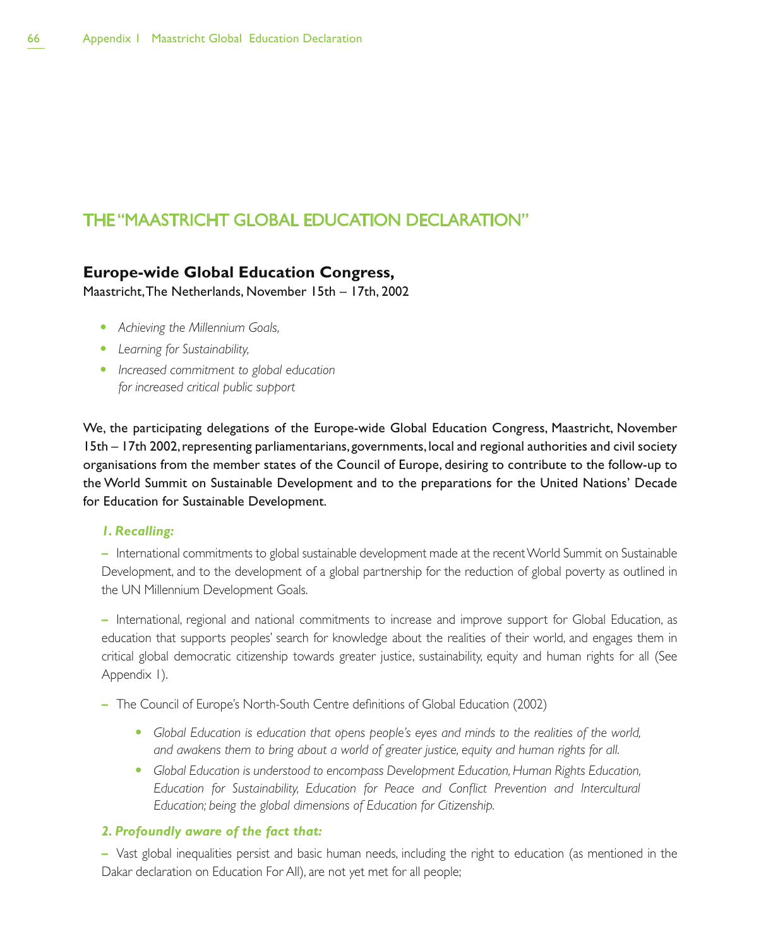## THE "MAASTRICHT GLOBAL EDUCATION DECLARATION"

## **Europe-wide Global Education Congress,**

Maastricht, The Netherlands, November 15th – 17th, 2002

- Achieving the Millennium Goals,
- Learning for Sustainability,
- **•** Increased commitment to global education *for increased critical public support*

We, the participating delegations of the Europe-wide Global Education Congress, Maastricht, November 15th – 17th 2002, representing parliamentarians, governments, local and regional authorities and civil society organisations from the member states of the Council of Europe, desiring to contribute to the follow-up to the World Summit on Sustainable Development and to the preparations for the United Nations' Decade for Education for Sustainable Development.

## *1. Recalling:*

– International commitments to global sustainable development made at the recent World Summit on Sustainable Development, and to the development of a global partnership for the reduction of global poverty as outlined in the UN Millennium Development Goals.

– International, regional and national commitments to increase and improve support for Global Education, as education that supports peoples' search for knowledge about the realities of their world, and engages them in critical global democratic citizenship towards greater justice, sustainability, equity and human rights for all (See Appendix 1).

- The Council of Europe's North-South Centre definitions of Global Education (2002)
	- **•** Global Education is education that opens people's eyes and minds to the realities of the world, *and awakens them to bring about a world of greater justice, equity and human rights for all.*
	- **Global Education is understood to encompass Development Education, Human Rights Education,** *Education for Sustainability, Education for Peace and Conflict Prevention and Intercultural Education; being the global dimensions of Education for Citizenship.*

## *2. Profoundly aware of the fact that:*

– Vast global inequalities persist and basic human needs, including the right to education (as mentioned in the Dakar declaration on Education For All), are not yet met for all people;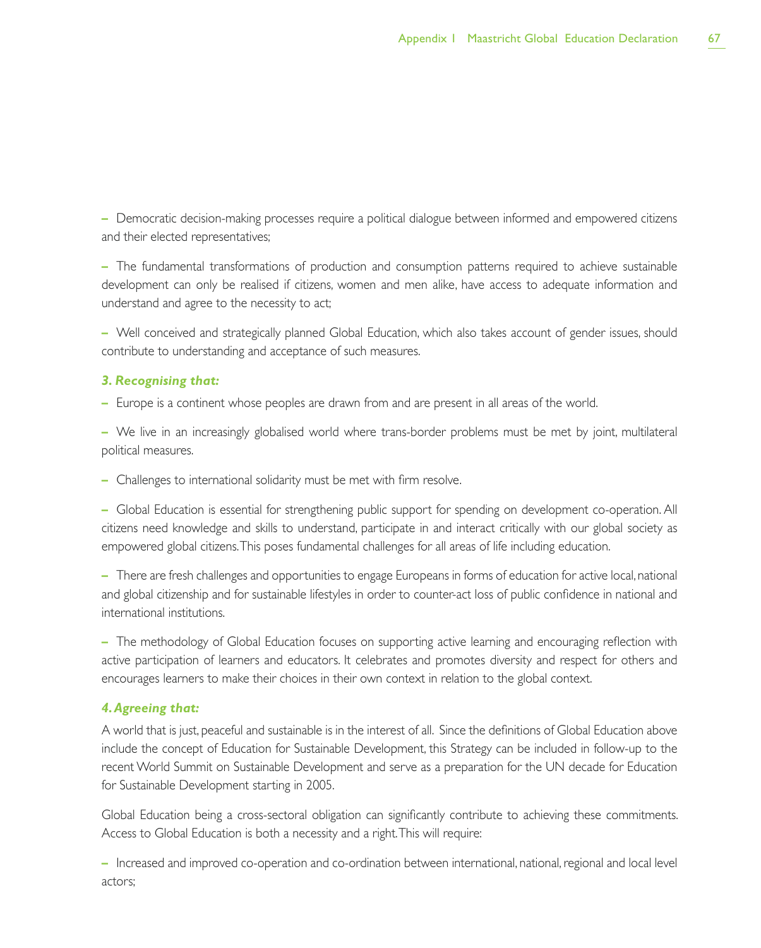– Democratic decision-making processes require a political dialogue between informed and empowered citizens and their elected representatives;

– The fundamental transformations of production and consumption patterns required to achieve sustainable development can only be realised if citizens, women and men alike, have access to adequate information and understand and agree to the necessity to act;

– Well conceived and strategically planned Global Education, which also takes account of gender issues, should contribute to understanding and acceptance of such measures.

## *3. Recognising that:*

– Europe is a continent whose peoples are drawn from and are present in all areas of the world.

– We live in an increasingly globalised world where trans-border problems must be met by joint, multilateral political measures.

– Challenges to international solidarity must be met with firm resolve.

– Global Education is essential for strengthening public support for spending on development co-operation. All citizens need knowledge and skills to understand, participate in and interact critically with our global society as empowered global citizens. This poses fundamental challenges for all areas of life including education.

– There are fresh challenges and opportunities to engage Europeans in forms of education for active local, national and global citizenship and for sustainable lifestyles in order to counter-act loss of public confidence in national and international institutions.

– The methodology of Global Education focuses on supporting active learning and encouraging reflection with active participation of learners and educators. It celebrates and promotes diversity and respect for others and encourages learners to make their choices in their own context in relation to the global context.

## *4. Agreeing that:*

A world that is just, peaceful and sustainable is in the interest of all. Since the definitions of Global Education above include the concept of Education for Sustainable Development, this Strategy can be included in follow-up to the recent World Summit on Sustainable Development and serve as a preparation for the UN decade for Education for Sustainable Development starting in 2005.

Global Education being a cross-sectoral obligation can significantly contribute to achieving these commitments. Access to Global Education is both a necessity and a right. This will require:

– Increased and improved co-operation and co-ordination between international, national, regional and local level actors;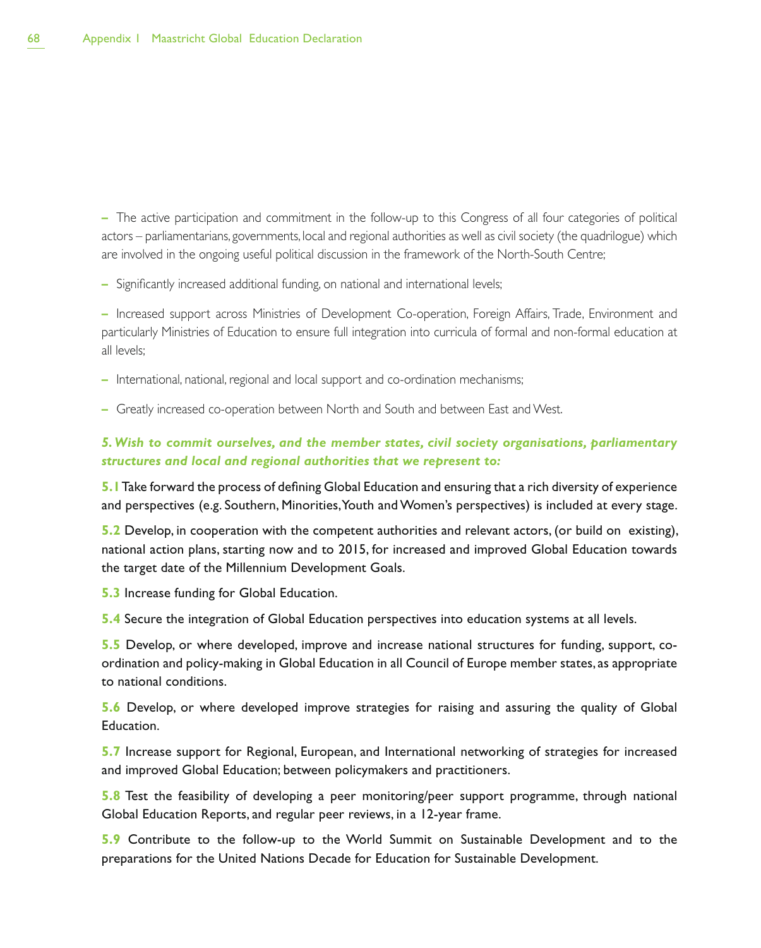– The active participation and commitment in the follow-up to this Congress of all four categories of political actors – parliamentarians, governments, local and regional authorities as well as civil society (the quadrilogue) which are involved in the ongoing useful political discussion in the framework of the North-South Centre;

– Significantly increased additional funding, on national and international levels;

– Increased support across Ministries of Development Co-operation, Foreign Affairs, Trade, Environment and particularly Ministries of Education to ensure full integration into curricula of formal and non-formal education at all levels;

– International, national, regional and local support and co-ordination mechanisms;

– Greatly increased co-operation between North and South and between East and West.

## *5. Wish to commit ourselves, and the member states, civil society organisations, parliamentary structures and local and regional authorities that we represent to:*

**5.1** Take forward the process of defining Global Education and ensuring that a rich diversity of experience and perspectives (e.g. Southern, Minorities, Youth and Women's perspectives) is included at every stage.

**5.2** Develop, in cooperation with the competent authorities and relevant actors, (or build on existing), national action plans, starting now and to 2015, for increased and improved Global Education towards the target date of the Millennium Development Goals.

**5.3** Increase funding for Global Education.

**5.4** Secure the integration of Global Education perspectives into education systems at all levels.

**5.5** Develop, or where developed, improve and increase national structures for funding, support, coordination and policy-making in Global Education in all Council of Europe member states, as appropriate to national conditions.

**5.6** Develop, or where developed improve strategies for raising and assuring the quality of Global Education.

**5.7** Increase support for Regional, European, and International networking of strategies for increased and improved Global Education; between policymakers and practitioners.

**5.8** Test the feasibility of developing a peer monitoring/peer support programme, through national Global Education Reports, and regular peer reviews, in a 12-year frame.

**5.9** Contribute to the follow-up to the World Summit on Sustainable Development and to the preparations for the United Nations Decade for Education for Sustainable Development.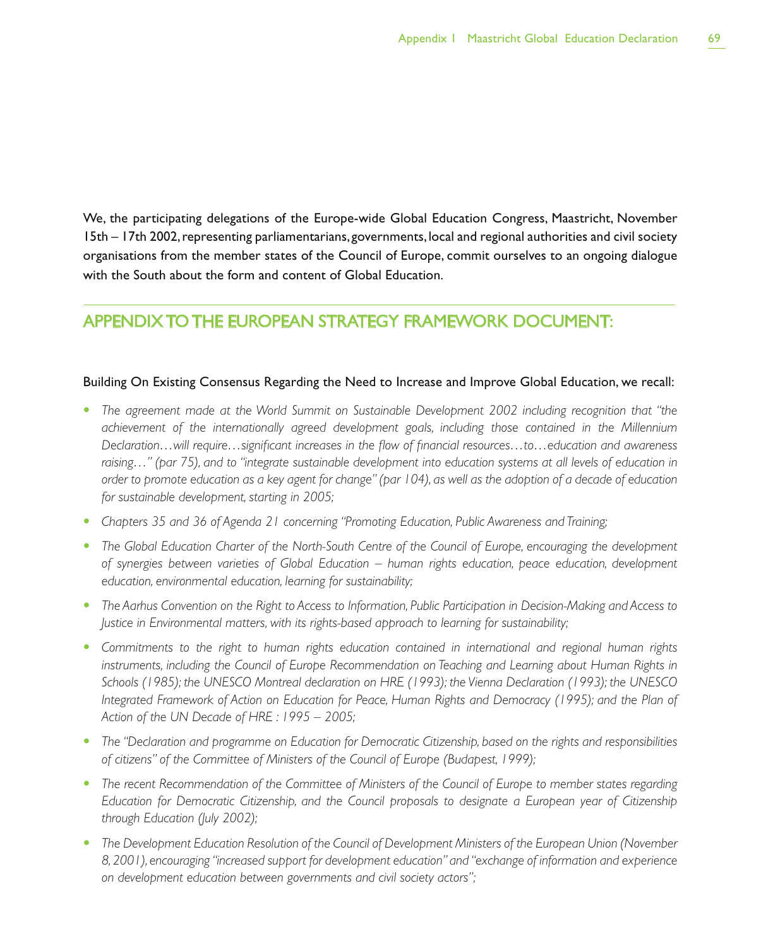We, the participating delegations of the Europe-wide Global Education Congress, Maastricht, November 15th – 17th 2002, representing parliamentarians, governments, local and regional authorities and civil society organisations from the member states of the Council of Europe, commit ourselves to an ongoing dialogue with the South about the form and content of Global Education.

## APPENDIX TO THE EUROPEAN STRATEGY FRAMEWORK DOCUMENT:

## Building On Existing Consensus Regarding the Need to Increase and Improve Global Education, we recall:

- The agreement made at the World Summit on Sustainable Development 2002 including recognition that "the *achievement of the internationally agreed development goals, including those contained in the Millennium Declaration…will require…significant increases in the flow of financial resources…to…education and awareness raising…" (par 75), and to "integrate sustainable development into education systems at all levels of education in order to promote education as a key agent for change" (par 104), as well as the adoption of a decade of education for sustainable development, starting in 2005;*
- **•** Chapters 35 and 36 of Agenda 21 concerning "Promoting Education, Public Awareness and Training;
- The Global Education Charter of the North-South Centre of the Council of Europe, encouraging the development *of synergies between varieties of Global Education – human rights education, peace education, development education, environmental education, learning for sustainability;*
- t *The Aarhus Convention on the Right to Access to Information, Public Participation in Decision-Making and Access to Justice in Environmental matters, with its rights-based approach to learning for sustainability;*
- Commitments to the right to human rights education contained in international and regional human rights *instruments, including the Council of Europe Recommendation on Teaching and Learning about Human Rights in Schools (1985); the UNESCO Montreal declaration on HRE (1993); the Vienna Declaration (1993); the UNESCO Integrated Framework of Action on Education for Peace, Human Rights and Democracy (1995); and the Plan of Action of the UN Decade of HRE : 1995 – 2005;*
- The "Declaration and programme on Education for Democratic Citizenship, based on the rights and responsibilities *of citizens" of the Committee of Ministers of the Council of Europe (Budapest, 1999);*
- **•** The recent Recommendation of the Committee of Ministers of the Council of Europe to member states regarding *Education for Democratic Citizenship, and the Council proposals to designate a European year of Citizenship through Education (July 2002);*
- **•** The Development Education Resolution of the Council of Development Ministers of the European Union (November *8, 2001), encouraging "increased support for development education" and "exchange of information and experience on development education between governments and civil society actors";*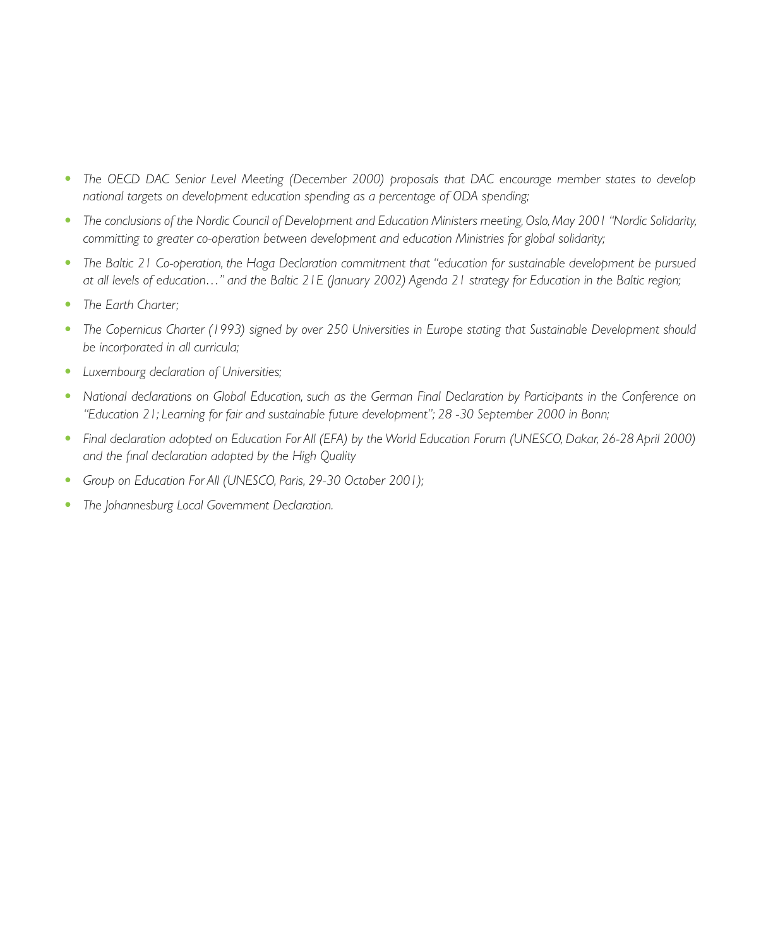- The OECD DAC Senior Level Meeting (December 2000) proposals that DAC encourage member states to develop *national targets on development education spending as a percentage of ODA spending;*
- t *The conclusions of the Nordic Council of Development and Education Ministers meeting, Oslo, May 2001 "Nordic Solidarity, committing to greater co-operation between development and education Ministries for global solidarity;*
- t *The Baltic 21 Co-operation, the Haga Declaration commitment that "education for sustainable development be pursued at all levels of education…" and the Baltic 21E (January 2002) Agenda 21 strategy for Education in the Baltic region;*
- The Earth Charter:
- The Copernicus Charter (1993) signed by over 250 Universities in Europe stating that Sustainable Development should *be incorporated in all curricula;*
- Luxembourg declaration of Universities;
- **•** National declarations on Global Education, such as the German Final Declaration by Participants in the Conference on *"Education 21; Learning for fair and sustainable future development"; 28 -30 September 2000 in Bonn;*
- **•** Final declaration adopted on Education For All (EFA) by the World Education Forum (UNESCO, Dakar, 26-28 April 2000) *and the final declaration adopted by the High Quality*
- Group on Education For All (UNESCO, Paris, 29-30 October 2001);
- The Johannesburg Local Government Declaration.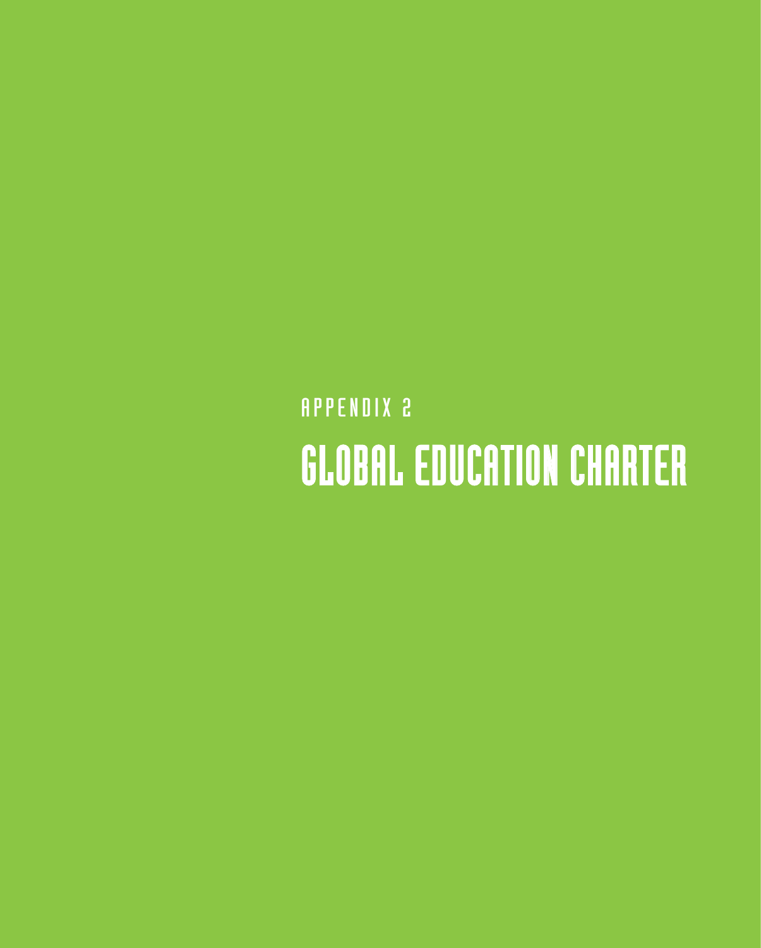## **APPENDIX 2** GLOBAL EDUCATION CHARTER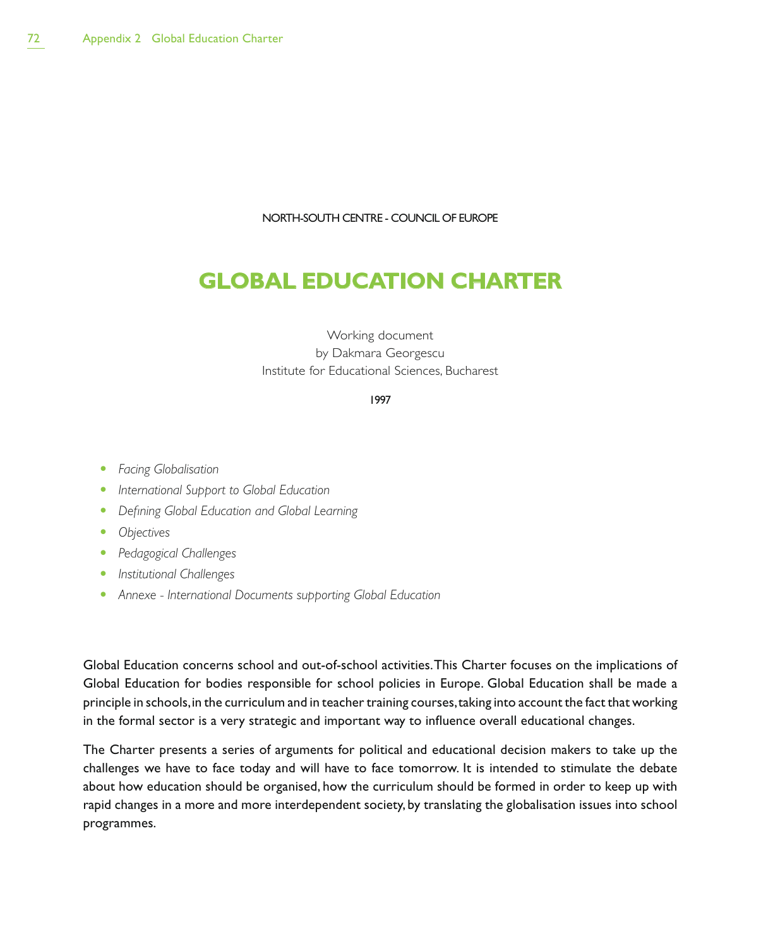NORTH-SOUTH CENTRE - COUNCIL OF EUROPE

# **GLOBAL EDUCATION CHARTER**

#### Working document by Dakmara Georgescu Institute for Educational Sciences, Bucharest

#### 1997

- **•** Facing Globalisation
- **•** International Support to Global Education
- **•** Defining Global Education and Global Learning
- Objectives
- **•** Pedagogical Challenges
- **•** *Institutional Challenges*
- **•** Annexe International Documents supporting Global Education

Global Education concerns school and out-of-school activities. This Charter focuses on the implications of Global Education for bodies responsible for school policies in Europe. Global Education shall be made a principle in schools, in the curriculum and in teacher training courses, taking into account the fact that working in the formal sector is a very strategic and important way to influence overall educational changes.

The Charter presents a series of arguments for political and educational decision makers to take up the challenges we have to face today and will have to face tomorrow. It is intended to stimulate the debate about how education should be organised, how the curriculum should be formed in order to keep up with rapid changes in a more and more interdependent society, by translating the globalisation issues into school programmes.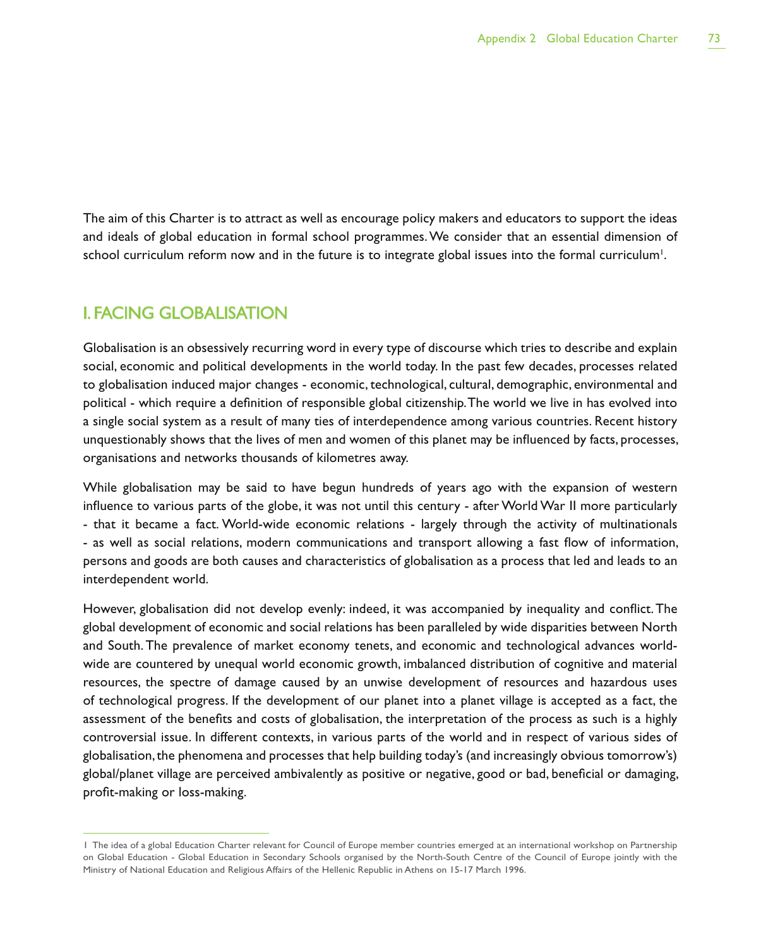The aim of this Charter is to attract as well as encourage policy makers and educators to support the ideas and ideals of global education in formal school programmes. We consider that an essential dimension of school curriculum reform now and in the future is to integrate global issues into the formal curriculum<sup>1</sup>.

### I. FACING GLOBALISATION

Globalisation is an obsessively recurring word in every type of discourse which tries to describe and explain social, economic and political developments in the world today. In the past few decades, processes related to globalisation induced major changes - economic, technological, cultural, demographic, environmental and political - which require a definition of responsible global citizenship. The world we live in has evolved into a single social system as a result of many ties of interdependence among various countries. Recent history unquestionably shows that the lives of men and women of this planet may be influenced by facts, processes, organisations and networks thousands of kilometres away.

While globalisation may be said to have begun hundreds of years ago with the expansion of western influence to various parts of the globe, it was not until this century - after World War II more particularly - that it became a fact. World-wide economic relations - largely through the activity of multinationals - as well as social relations, modern communications and transport allowing a fast flow of information, persons and goods are both causes and characteristics of globalisation as a process that led and leads to an interdependent world.

However, globalisation did not develop evenly: indeed, it was accompanied by inequality and conflict. The global development of economic and social relations has been paralleled by wide disparities between North and South. The prevalence of market economy tenets, and economic and technological advances worldwide are countered by unequal world economic growth, imbalanced distribution of cognitive and material resources, the spectre of damage caused by an unwise development of resources and hazardous uses of technological progress. If the development of our planet into a planet village is accepted as a fact, the assessment of the benefits and costs of globalisation, the interpretation of the process as such is a highly controversial issue. In different contexts, in various parts of the world and in respect of various sides of globalisation, the phenomena and processes that help building today's (and increasingly obvious tomorrow's) global/planet village are perceived ambivalently as positive or negative, good or bad, beneficial or damaging, profit-making or loss-making.

<sup>1</sup> The idea of a global Education Charter relevant for Council of Europe member countries emerged at an international workshop on Partnership on Global Education - Global Education in Secondary Schools organised by the North-South Centre of the Council of Europe jointly with the Ministry of National Education and Religious Affairs of the Hellenic Republic in Athens on 15-17 March 1996.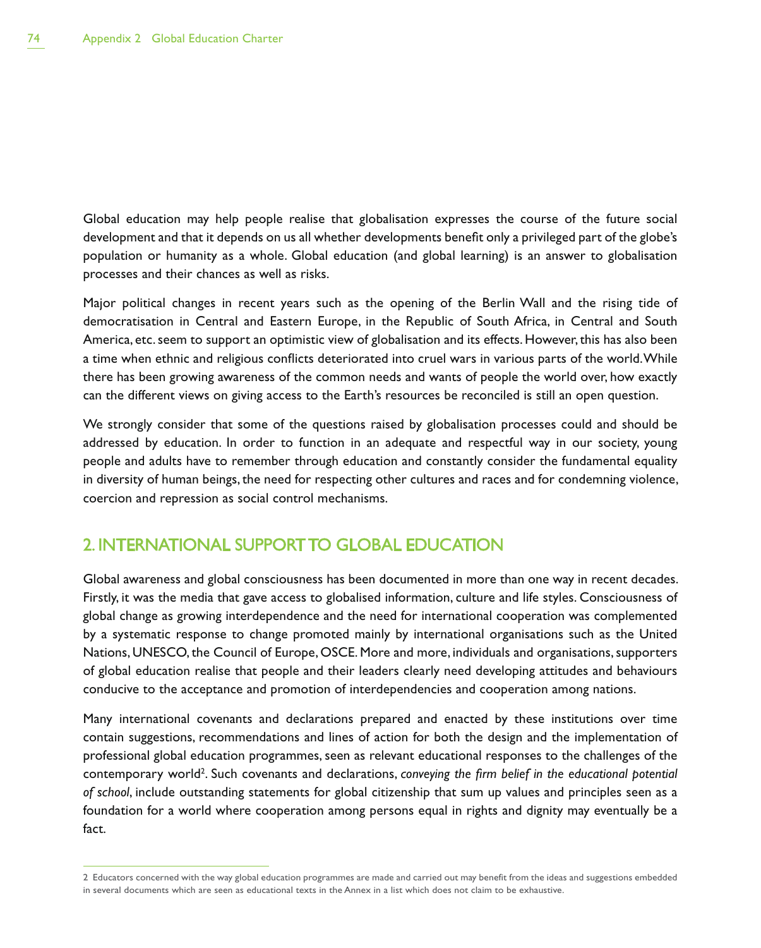Global education may help people realise that globalisation expresses the course of the future social development and that it depends on us all whether developments benefit only a privileged part of the globe's population or humanity as a whole. Global education (and global learning) is an answer to globalisation processes and their chances as well as risks.

Major political changes in recent years such as the opening of the Berlin Wall and the rising tide of democratisation in Central and Eastern Europe, in the Republic of South Africa, in Central and South America, etc. seem to support an optimistic view of globalisation and its effects. However, this has also been a time when ethnic and religious conflicts deteriorated into cruel wars in various parts of the world. While there has been growing awareness of the common needs and wants of people the world over, how exactly can the different views on giving access to the Earth's resources be reconciled is still an open question.

We strongly consider that some of the questions raised by globalisation processes could and should be addressed by education. In order to function in an adequate and respectful way in our society, young people and adults have to remember through education and constantly consider the fundamental equality in diversity of human beings, the need for respecting other cultures and races and for condemning violence, coercion and repression as social control mechanisms.

### 2. INTERNATIONAL SUPPORT TO GLOBAL EDUCATION

Global awareness and global consciousness has been documented in more than one way in recent decades. Firstly, it was the media that gave access to globalised information, culture and life styles. Consciousness of global change as growing interdependence and the need for international cooperation was complemented by a systematic response to change promoted mainly by international organisations such as the United Nations, UNESCO, the Council of Europe, OSCE. More and more, individuals and organisations, supporters of global education realise that people and their leaders clearly need developing attitudes and behaviours conducive to the acceptance and promotion of interdependencies and cooperation among nations.

Many international covenants and declarations prepared and enacted by these institutions over time contain suggestions, recommendations and lines of action for both the design and the implementation of professional global education programmes, seen as relevant educational responses to the challenges of the contemporary world<sup>2</sup>. Such covenants and declarations, *conveying the firm belief in the educational potential of school*, include outstanding statements for global citizenship that sum up values and principles seen as a foundation for a world where cooperation among persons equal in rights and dignity may eventually be a fact.

<sup>2</sup> Educators concerned with the way global education programmes are made and carried out may benefit from the ideas and suggestions embedded in several documents which are seen as educational texts in the Annex in a list which does not claim to be exhaustive.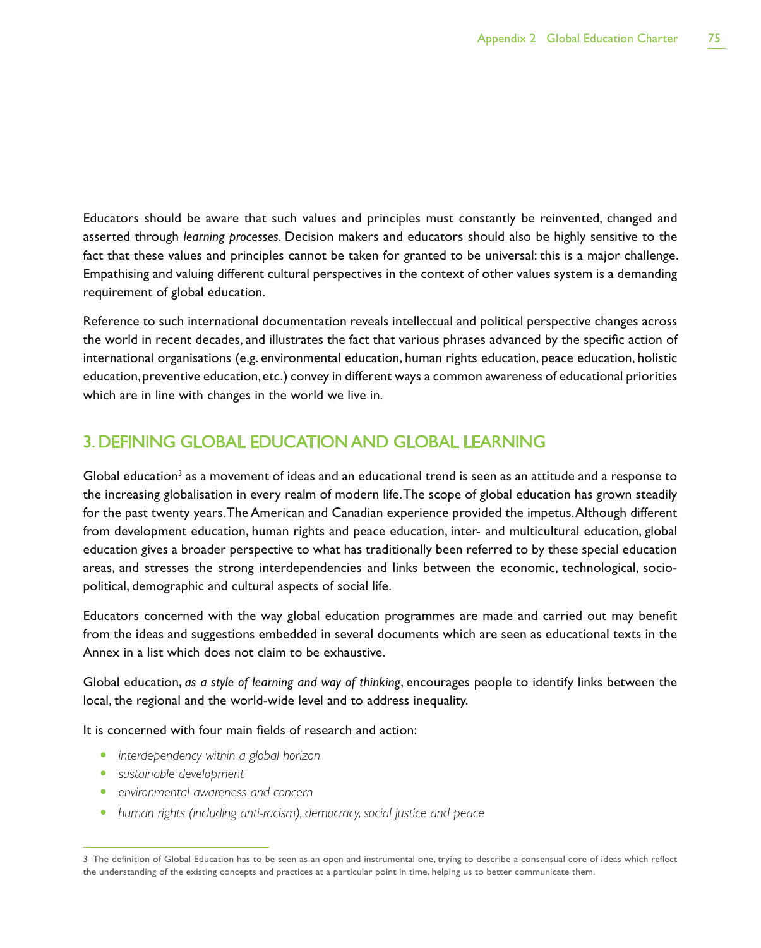Educators should be aware that such values and principles must constantly be reinvented, changed and asserted through *learning processes*. Decision makers and educators should also be highly sensitive to the fact that these values and principles cannot be taken for granted to be universal: this is a major challenge. Empathising and valuing different cultural perspectives in the context of other values system is a demanding requirement of global education.

Reference to such international documentation reveals intellectual and political perspective changes across the world in recent decades, and illustrates the fact that various phrases advanced by the specific action of international organisations (e.g. environmental education, human rights education, peace education, holistic education, preventive education, etc.) convey in different ways a common awareness of educational priorities which are in line with changes in the world we live in.

## 3. DEFINING GLOBAL EDUCATION AND GLOBAL LEARNING

Global education<sup>3</sup> as a movement of ideas and an educational trend is seen as an attitude and a response to the increasing globalisation in every realm of modern life. The scope of global education has grown steadily for the past twenty years. The American and Canadian experience provided the impetus. Although different from development education, human rights and peace education, inter- and multicultural education, global education gives a broader perspective to what has traditionally been referred to by these special education areas, and stresses the strong interdependencies and links between the economic, technological, sociopolitical, demographic and cultural aspects of social life.

Educators concerned with the way global education programmes are made and carried out may benefit from the ideas and suggestions embedded in several documents which are seen as educational texts in the Annex in a list which does not claim to be exhaustive.

Global education, *as a style of learning and way of thinking*, encourages people to identify links between the local, the regional and the world-wide level and to address inequality.

It is concerned with four main fields of research and action:

- **•** *interdependency within a global horizon*
- **•** sustainable development
- **•** environmental awareness and concern
- human rights (including anti-racism), democracy, social justice and peace

<sup>3</sup> The definition of Global Education has to be seen as an open and instrumental one, trying to describe a consensual core of ideas which reflect the understanding of the existing concepts and practices at a particular point in time, helping us to better communicate them.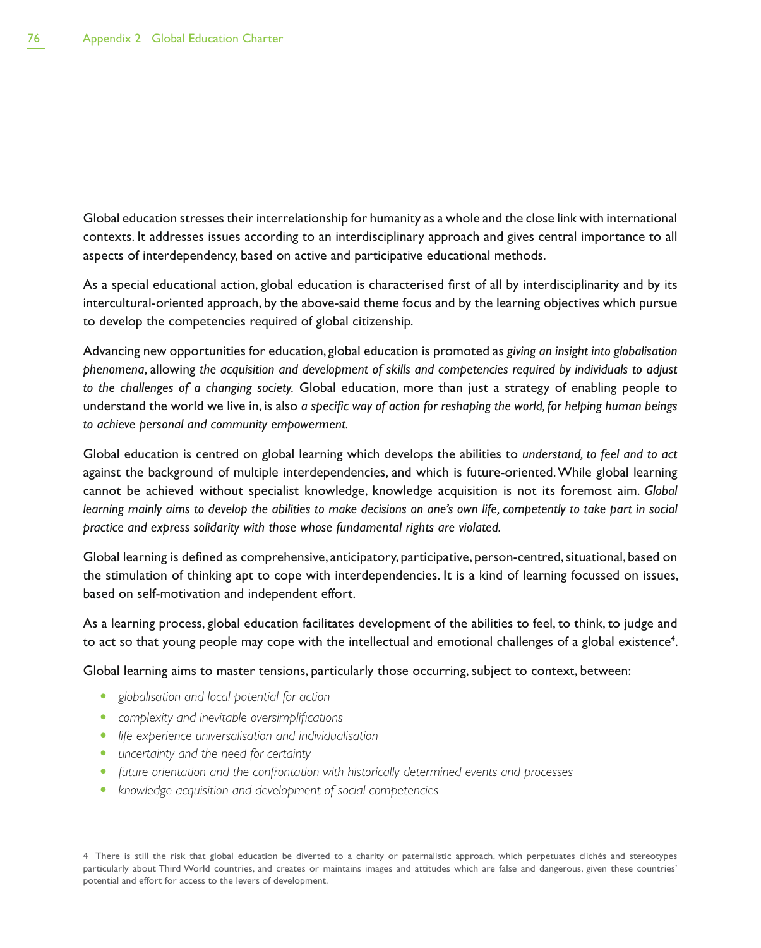Global education stresses their interrelationship for humanity as a whole and the close link with international contexts. It addresses issues according to an interdisciplinary approach and gives central importance to all aspects of interdependency, based on active and participative educational methods.

As a special educational action, global education is characterised first of all by interdisciplinarity and by its intercultural-oriented approach, by the above-said theme focus and by the learning objectives which pursue to develop the competencies required of global citizenship.

Advancing new opportunities for education, global education is promoted as *giving an insight into globalisation phenomena*, allowing *the acquisition and development of skills and competencies required by individuals to adjust to the challenges of a changing society.* Global education, more than just a strategy of enabling people to understand the world we live in, is also *a specific way of action for reshaping the world, for helping human beings to achieve personal and community empowerment.*

Global education is centred on global learning which develops the abilities to *understand, to feel and to act* against the background of multiple interdependencies, and which is future-oriented. While global learning cannot be achieved without specialist knowledge, knowledge acquisition is not its foremost aim. *Global learning mainly aims to develop the abilities to make decisions on one's own life, competently to take part in social practice and express solidarity with those whose fundamental rights are violated.*

Global learning is defined as comprehensive, anticipatory, participative, person-centred, situational, based on the stimulation of thinking apt to cope with interdependencies. It is a kind of learning focussed on issues, based on self-motivation and independent effort.

As a learning process, global education facilitates development of the abilities to feel, to think, to judge and to act so that young people may cope with the intellectual and emotional challenges of a global existence $^{\rm 4}$ .

Global learning aims to master tensions, particularly those occurring, subject to context, between:

- t *globalisation and local potential for action*
- **•** *complexity and inevitable oversimplifications*
- **•** life experience universalisation and individualisation
- uncertainty and the need for certainty
- future orientation and the confrontation with historically determined events and processes
- **•** knowledge acquisition and development of social competencies

<sup>4</sup> There is still the risk that global education be diverted to a charity or paternalistic approach, which perpetuates clichés and stereotypes particularly about Third World countries, and creates or maintains images and attitudes which are false and dangerous, given these countries' potential and effort for access to the levers of development.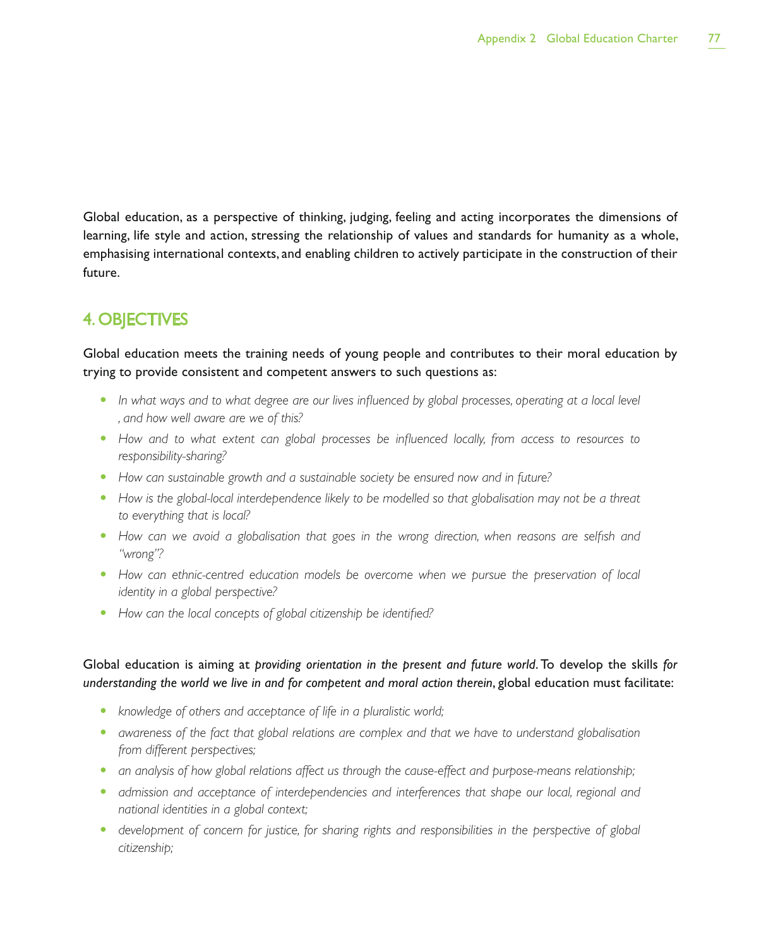Global education, as a perspective of thinking, judging, feeling and acting incorporates the dimensions of learning, life style and action, stressing the relationship of values and standards for humanity as a whole, emphasising international contexts, and enabling children to actively participate in the construction of their future.

## 4. OBJECTIVES

Global education meets the training needs of young people and contributes to their moral education by trying to provide consistent and competent answers to such questions as:

- In what ways and to what degree are our lives influenced by global processes, operating at a local level *, and how well aware are we of this?*
- How and to what extent can global processes be influenced locally, from access to resources to *responsibility-sharing?*
- How can sustainable growth and a sustainable society be ensured now and in future?
- How is the global-local interdependence likely to be modelled so that globalisation may not be a threat *to everything that is local?*
- How can we avoid a globalisation that goes in the wrong direction, when reasons are selfish and *"wrong"?*
- How can ethnic-centred education models be overcome when we pursue the preservation of local *identity in a global perspective?*
- How can the local concepts of global citizenship be identified?

#### Global education is aiming at *providing orientation in the present and future world*. To develop the skills *for understanding the world we live in and for competent and moral action therein*, global education must facilitate:

- knowledge of others and acceptance of life in a pluralistic world;
- **•** awareness of the fact that global relations are complex and that we have to understand globalisation *from different perspectives;*
- an analysis of how global relations affect us through the cause-effect and purpose-means relationship;
- **•** admission and acceptance of interdependencies and interferences that shape our local, regional and *national identities in a global context;*
- development of concern for justice, for sharing rights and responsibilities in the perspective of global *citizenship;*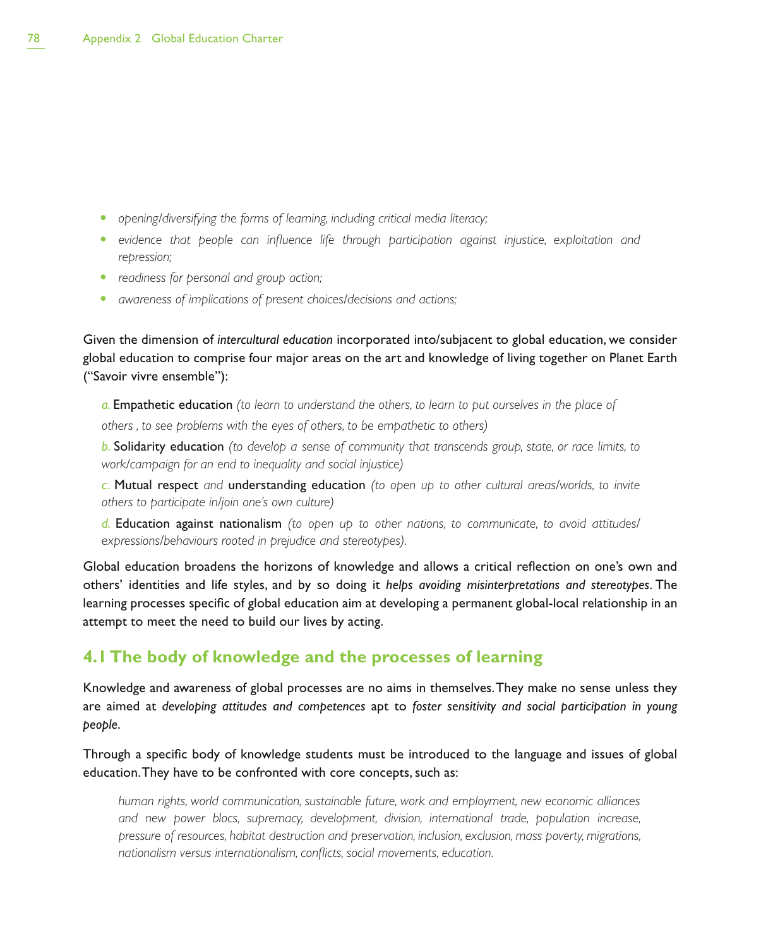- **•** opening/diversifying the forms of learning, including critical media literacy;
- **•** evidence that people can influence life through participation against injustice, exploitation and *repression;*
- readiness for personal and group action;
- awareness of *implications* of *present choices/decisions* and actions;

Given the dimension of *intercultural education* incorporated into/subjacent to global education, we consider global education to comprise four major areas on the art and knowledge of living together on Planet Earth ("Savoir vivre ensemble"):

*a.* Empathetic education *(to learn to understand the others, to learn to put ourselves in the place of others , to see problems with the eyes of others, to be empathetic to others)*

*b.* Solidarity education *(to develop a sense of community that transcends group, state, or race limits, to work/campaign for an end to inequality and social injustice)*

*c.* Mutual respect *and* understanding education *(to open up to other cultural areas/worlds, to invite others to participate in/join one's own culture)*

*d.* Education against nationalism *(to open up to other nations, to communicate, to avoid attitudes/ expressions/behaviours rooted in prejudice and stereotypes).*

Global education broadens the horizons of knowledge and allows a critical reflection on one's own and others' identities and life styles, and by so doing it *helps avoiding misinterpretations and stereotypes*. The learning processes specific of global education aim at developing a permanent global-local relationship in an attempt to meet the need to build our lives by acting.

### **4.1 The body of knowledge and the processes of learning**

Knowledge and awareness of global processes are no aims in themselves. They make no sense unless they are aimed at *developing attitudes and competences* apt to *foster sensitivity and social participation in young people*.

Through a specific body of knowledge students must be introduced to the language and issues of global education. They have to be confronted with core concepts, such as:

*human rights, world communication, sustainable future, work and employment, new economic alliances and new power blocs, supremacy, development, division, international trade, population increase, pressure of resources, habitat destruction and preservation, inclusion, exclusion, mass poverty, migrations, nationalism versus internationalism, conflicts, social movements, education.*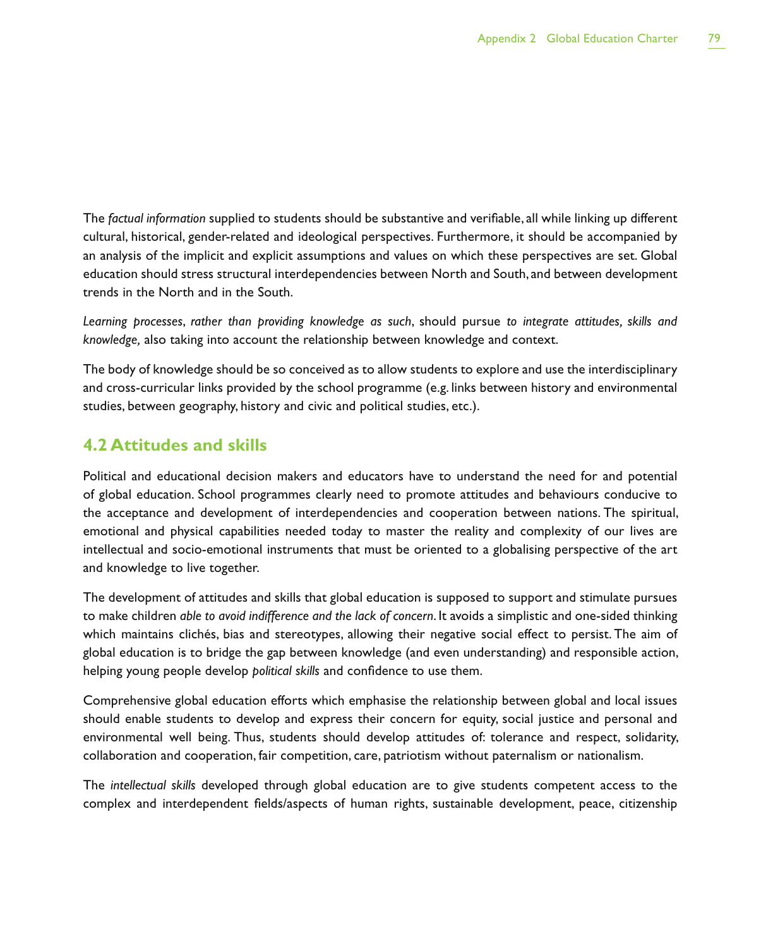The *factual information* supplied to students should be substantive and verifiable, all while linking up different cultural, historical, gender-related and ideological perspectives. Furthermore, it should be accompanied by an analysis of the implicit and explicit assumptions and values on which these perspectives are set. Global education should stress structural interdependencies between North and South, and between development trends in the North and in the South.

*Learning processes*, *rather than providing knowledge as such*, should pursue *to integrate attitudes, skills and knowledge,* also taking into account the relationship between knowledge and context.

The body of knowledge should be so conceived as to allow students to explore and use the interdisciplinary and cross-curricular links provided by the school programme (e.g. links between history and environmental studies, between geography, history and civic and political studies, etc.).

#### **4.2 Attitudes and skills**

Political and educational decision makers and educators have to understand the need for and potential of global education. School programmes clearly need to promote attitudes and behaviours conducive to the acceptance and development of interdependencies and cooperation between nations. The spiritual, emotional and physical capabilities needed today to master the reality and complexity of our lives are intellectual and socio-emotional instruments that must be oriented to a globalising perspective of the art and knowledge to live together.

The development of attitudes and skills that global education is supposed to support and stimulate pursues to make children *able to avoid indifference and the lack of concern*. It avoids a simplistic and one-sided thinking which maintains clichés, bias and stereotypes, allowing their negative social effect to persist. The aim of global education is to bridge the gap between knowledge (and even understanding) and responsible action, helping young people develop *political skills* and confidence to use them.

Comprehensive global education efforts which emphasise the relationship between global and local issues should enable students to develop and express their concern for equity, social justice and personal and environmental well being. Thus, students should develop attitudes of: tolerance and respect, solidarity, collaboration and cooperation, fair competition, care, patriotism without paternalism or nationalism.

The *intellectual skills* developed through global education are to give students competent access to the complex and interdependent fields/aspects of human rights, sustainable development, peace, citizenship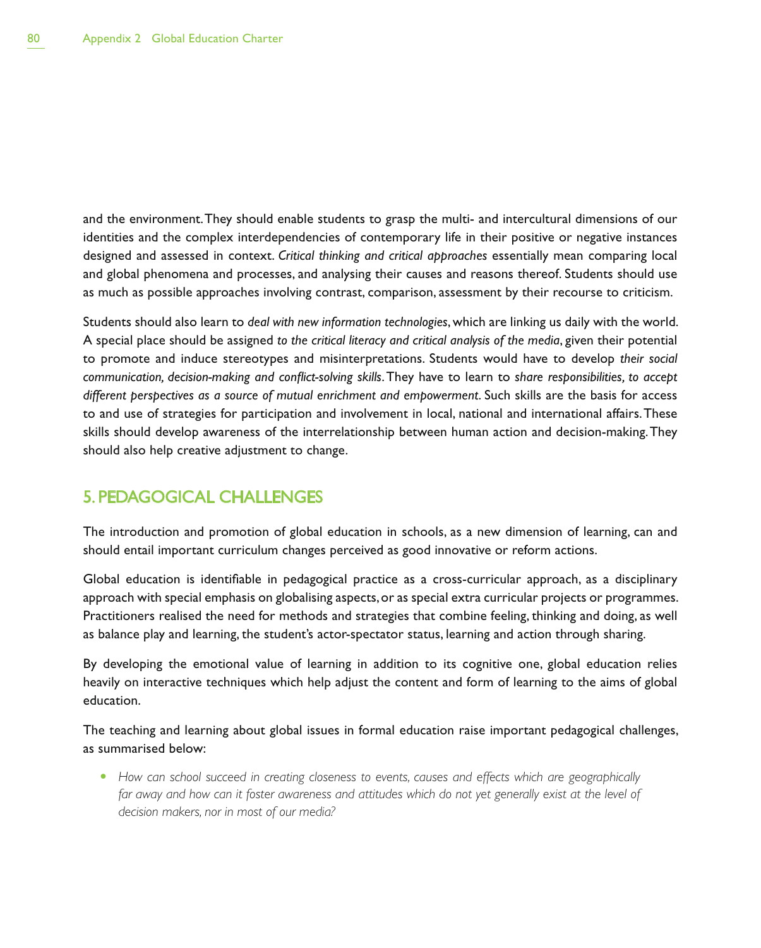and the environment. They should enable students to grasp the multi- and intercultural dimensions of our identities and the complex interdependencies of contemporary life in their positive or negative instances designed and assessed in context. *Critical thinking and critical approaches* essentially mean comparing local and global phenomena and processes, and analysing their causes and reasons thereof. Students should use as much as possible approaches involving contrast, comparison, assessment by their recourse to criticism.

Students should also learn to *deal with new information technologies*, which are linking us daily with the world. A special place should be assigned *to the critical literacy and critical analysis of the media*, given their potential to promote and induce stereotypes and misinterpretations. Students would have to develop *their social communication, decision-making and conflict-solving skills*. They have to learn to *share responsibilities, to accept different perspectives as a source of mutual enrichment and empowerment*. Such skills are the basis for access to and use of strategies for participation and involvement in local, national and international affairs. These skills should develop awareness of the interrelationship between human action and decision-making. They should also help creative adjustment to change.

### 5. PEDAGOGICAL CHALLENGES

The introduction and promotion of global education in schools, as a new dimension of learning, can and should entail important curriculum changes perceived as good innovative or reform actions.

Global education is identifiable in pedagogical practice as a cross-curricular approach, as a disciplinary approach with special emphasis on globalising aspects, or as special extra curricular projects or programmes. Practitioners realised the need for methods and strategies that combine feeling, thinking and doing, as well as balance play and learning, the student's actor-spectator status, learning and action through sharing.

By developing the emotional value of learning in addition to its cognitive one, global education relies heavily on interactive techniques which help adjust the content and form of learning to the aims of global education.

The teaching and learning about global issues in formal education raise important pedagogical challenges, as summarised below:

• How can school succeed in creating closeness to events, causes and effects which are geographically far away and how can it foster awareness and attitudes which do not yet generally exist at the level of *decision makers, nor in most of our media?*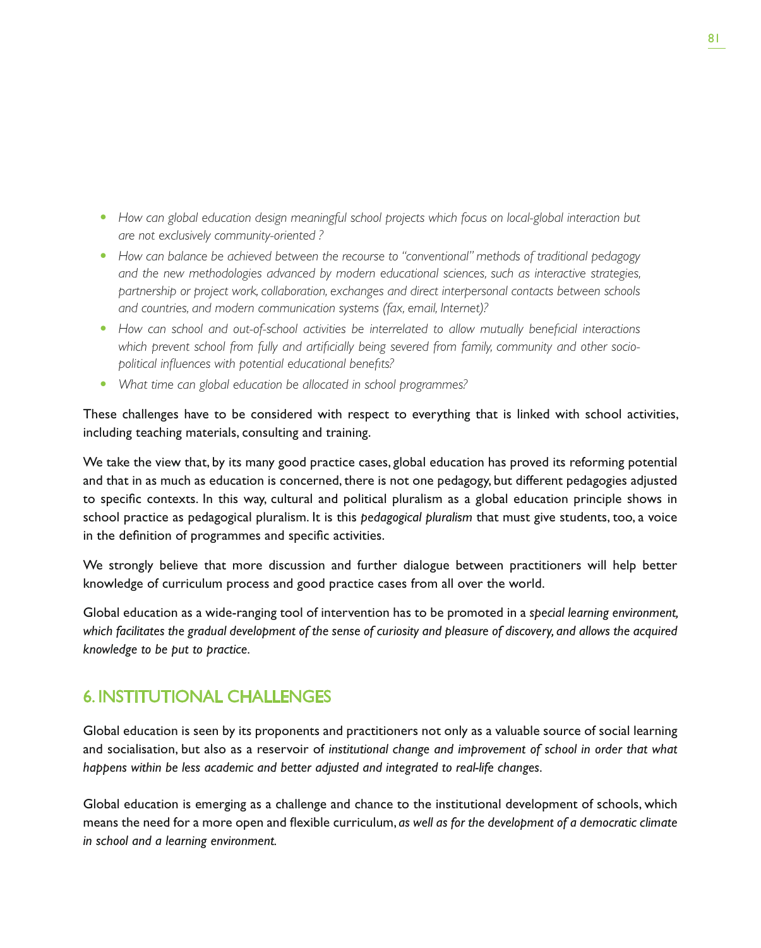- How can global education design meaningful school projects which focus on local-global interaction but *are not exclusively community-oriented ?*
- How can balance be achieved between the recourse to "conventional" methods of traditional pedagogy *and the new methodologies advanced by modern educational sciences, such as interactive strategies, partnership or project work, collaboration, exchanges and direct interpersonal contacts between schools and countries, and modern communication systems (fax, email, Internet)?*
- How can school and out-of-school activities be interrelated to allow mutually beneficial interactions *which prevent school from fully and artificially being severed from family, community and other sociopolitical influences with potential educational benefits?*
- What time can global education be allocated in school programmes?

These challenges have to be considered with respect to everything that is linked with school activities, including teaching materials, consulting and training.

We take the view that, by its many good practice cases, global education has proved its reforming potential and that in as much as education is concerned, there is not one pedagogy, but different pedagogies adjusted to specific contexts. In this way, cultural and political pluralism as a global education principle shows in school practice as pedagogical pluralism. It is this *pedagogical pluralism* that must give students, too, a voice in the definition of programmes and specific activities.

We strongly believe that more discussion and further dialogue between practitioners will help better knowledge of curriculum process and good practice cases from all over the world.

Global education as a wide-ranging tool of intervention has to be promoted in a *special learning environment, which facilitates the gradual development of the sense of curiosity and pleasure of discovery, and allows the acquired knowledge to be put to practice.*

### 6. INSTITUTIONAL CHALLENGES

Global education is seen by its proponents and practitioners not only as a valuable source of social learning and socialisation, but also as a reservoir of *institutional change and improvement of school in order that what happens within be less academic and better adjusted and integrated to real-life changes.*

Global education is emerging as a challenge and chance to the institutional development of schools, which means the need for a more open and flexible curriculum, *as well as for the development of a democratic climate in school and a learning environment.*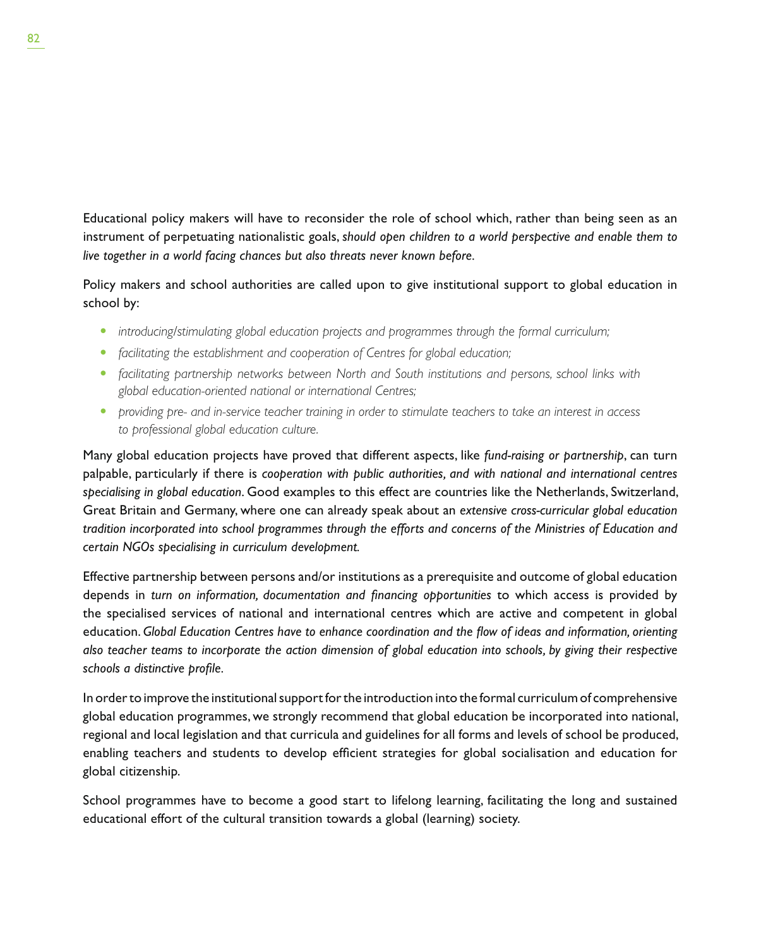Educational policy makers will have to reconsider the role of school which, rather than being seen as an instrument of perpetuating nationalistic goals, *should open children to a world perspective and enable them to live together in a world facing chances but also threats never known before.*

Policy makers and school authorities are called upon to give institutional support to global education in school by:

- *introducing/stimulating global education projects and programmes through the formal curriculum;*
- *facilitating the establishment and cooperation of Centres for global education;*
- facilitating partnership networks between North and South institutions and persons, school links with *global education-oriented national or international Centres;*
- t *providing pre- and in-service teacher training in order to stimulate teachers to take an interest in access to professional global education culture.*

Many global education projects have proved that different aspects, like *fund-raising or partnership*, can turn palpable, particularly if there is *cooperation with public authorities, and with national and international centres specialising in global education*. Good examples to this effect are countries like the Netherlands, Switzerland, Great Britain and Germany, where one can already speak about an *extensive cross-curricular global education tradition incorporated into school programmes through the efforts and concerns of the Ministries of Education and certain NGOs specialising in curriculum development.*

Effective partnership between persons and/or institutions as a prerequisite and outcome of global education depends in *turn on information, documentation and financing opportunities* to which access is provided by the specialised services of national and international centres which are active and competent in global education. *Global Education Centres have to enhance coordination and the flow of ideas and information, orienting also teacher teams to incorporate the action dimension of global education into schools, by giving their respective schools a distinctive profile.*

In order to improve the institutional support for the introduction into the formal curriculum of comprehensive global education programmes, we strongly recommend that global education be incorporated into national, regional and local legislation and that curricula and guidelines for all forms and levels of school be produced, enabling teachers and students to develop efficient strategies for global socialisation and education for global citizenship.

School programmes have to become a good start to lifelong learning, facilitating the long and sustained educational effort of the cultural transition towards a global (learning) society.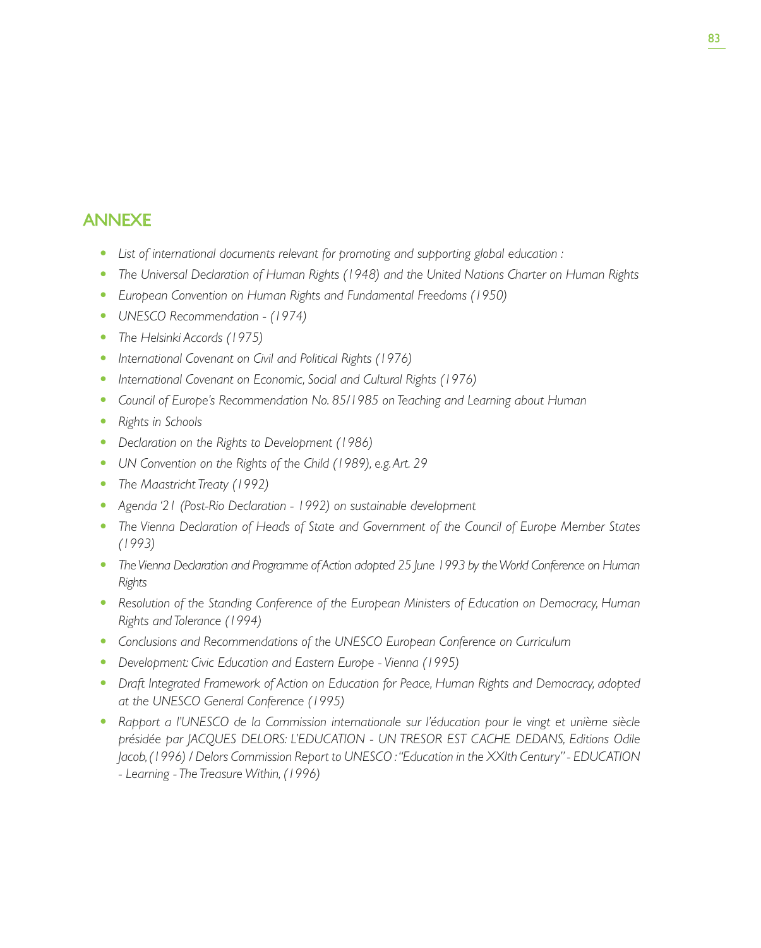### ANNEXE

- List of international documents relevant for promoting and supporting global education :
- **•** The Universal Declaration of Human Rights (1948) and the United Nations Charter on Human Rights
- t *European Convention on Human Rights and Fundamental Freedoms (1950)*
- UNESCO Recommendation (1974)
- The Helsinki Accords (1975)
- **•** International Covenant on Civil and Political Rights (1976)
- **•** International Covenant on Economic, Social and Cultural Rights (1976)
- Council of Europe's Recommendation No. 85/1985 on Teaching and Learning about Human
- **•** Rights in Schools
- Declaration on the Rights to Development (1986)
- UN Convention on the Rights of the Child (1989), e.g. Art. 29
- The Maastricht Treaty (1992)
- t *Agenda '21 (Post-Rio Declaration 1992) on sustainable development*
- **•** The Vienna Declaration of Heads of State and Government of the Council of Europe Member States *(1993)*
- The Vienna Declaration and Programme of Action adopted 25 June 1993 by the World Conference on Human *Rights*
- **•** Resolution of the Standing Conference of the European Ministers of Education on Democracy, Human *Rights and Tolerance (1994)*
- t *Conclusions and Recommendations of the UNESCO European Conference on Curriculum*
- Development: Civic Education and Eastern Europe Vienna (1995)
- **•** Draft Integrated Framework of Action on Education for Peace, Human Rights and Democracy, adopted *at the UNESCO General Conference (1995)*
- t *Rapport a l'UNESCO de la Commission internationale sur l'éducation pour le vingt et unième siècle présidée par JACQUES DELORS: L'EDUCATION - UN TRESOR EST CACHE DEDANS, Editions Odile Jacob, (1996) / Delors Commission Report to UNESCO : "Education in the XXIth Century" - EDUCATION - Learning - The Treasure Within, (1996)*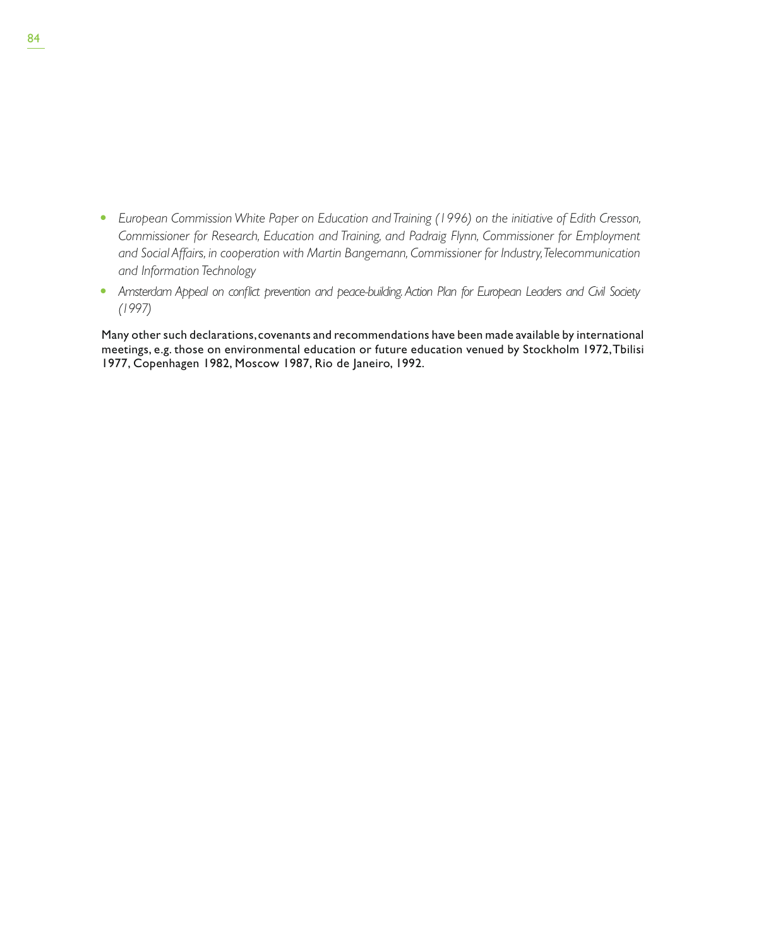- **European Commission White Paper on Education and Training (1996) on the initiative of Edith Cresson,** *Commissioner for Research, Education and Training, and Padraig Flynn, Commissioner for Employment and Social Affairs, in cooperation with Martin Bangemann, Commissioner for Industry, Telecommunication and Information Technology*
- **•** Amsterdam Appeal on conflict prevention and peace-building. Action Plan for European Leaders and Civil Society *(1997)*

Many other such declarations, covenants and recommendations have been made available by international meetings, e.g. those on environmental education or future education venued by Stockholm 1972, Tbilisi 1977, Copenhagen 1982, Moscow 1987, Rio de Janeiro, 1992.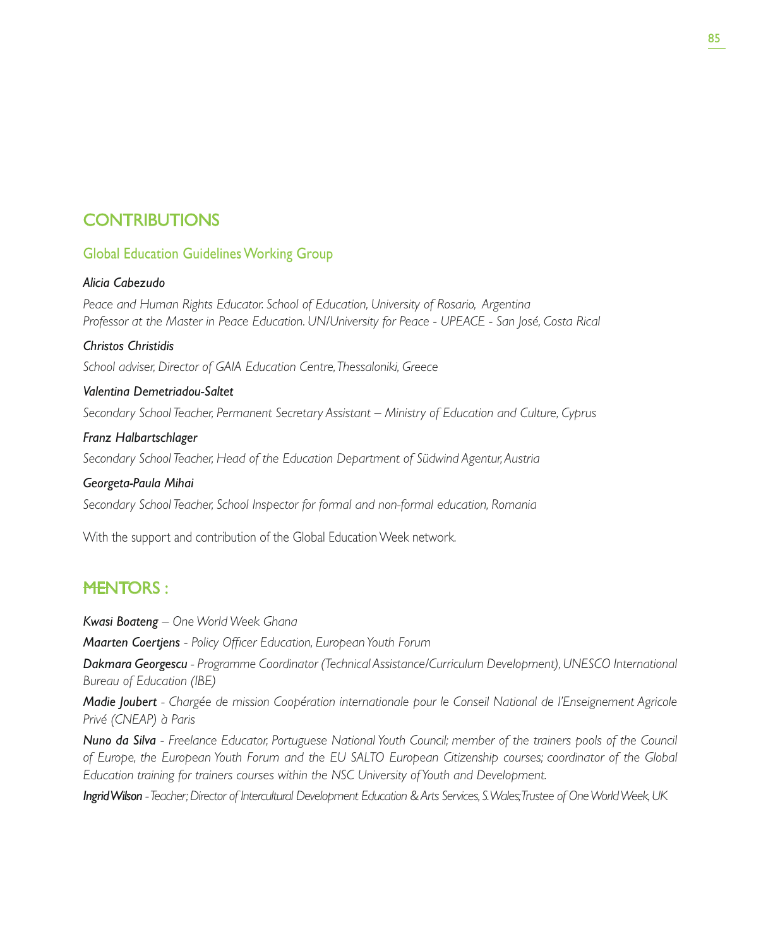## **CONTRIBUTIONS**

#### Global Education Guidelines Working Group

#### *Alicia Cabezudo*

*Peace and Human Rights Educator. School of Education, University of Rosario, Argentina Professor at the Master in Peace Education. UN/University for Peace - UPEACE - San José, Costa Rical*

#### *Christos Christidis*

*School adviser, Director of GAIA Education Centre, Thessaloniki, Greece*

#### *Valentina Demetriadou-Saltet*

*Secondary School Teacher, Permanent Secretary Assistant – Ministry of Education and Culture, Cyprus*

#### *Franz Halbartschlager*

*Secondary School Teacher, Head of the Education Department of Südwind Agentur, Austria*

#### *Georgeta-Paula Mihai*

*Secondary School Teacher, School Inspector for formal and non-formal education, Romania*

With the support and contribution of the Global Education Week network.

## **MENTORS:**

*Kwasi Boateng – One World Week Ghana*

*Maarten Coertjens - Policy Officer Education, European Youth Forum*

*Dakmara Georgescu - Programme Coordinator (Technical Assistance/Curriculum Development), UNESCO International Bureau of Education (IBE)*

*Madie Joubert - Chargée de mission Coopération internationale pour le Conseil National de l'Enseignement Agricole Privé (CNEAP) à Paris*

*Nuno da Silva - Freelance Educator, Portuguese National Youth Council; member of the trainers pools of the Council of Europe, the European Youth Forum and the EU SALTO European Citizenship courses; coordinator of the Global Education training for trainers courses within the NSC University of Youth and Development.*

*Ingrid Wilson - Teacher; Director of Intercultural Development Education & Arts Services, S. Wales; Trustee of One World Week, UK*